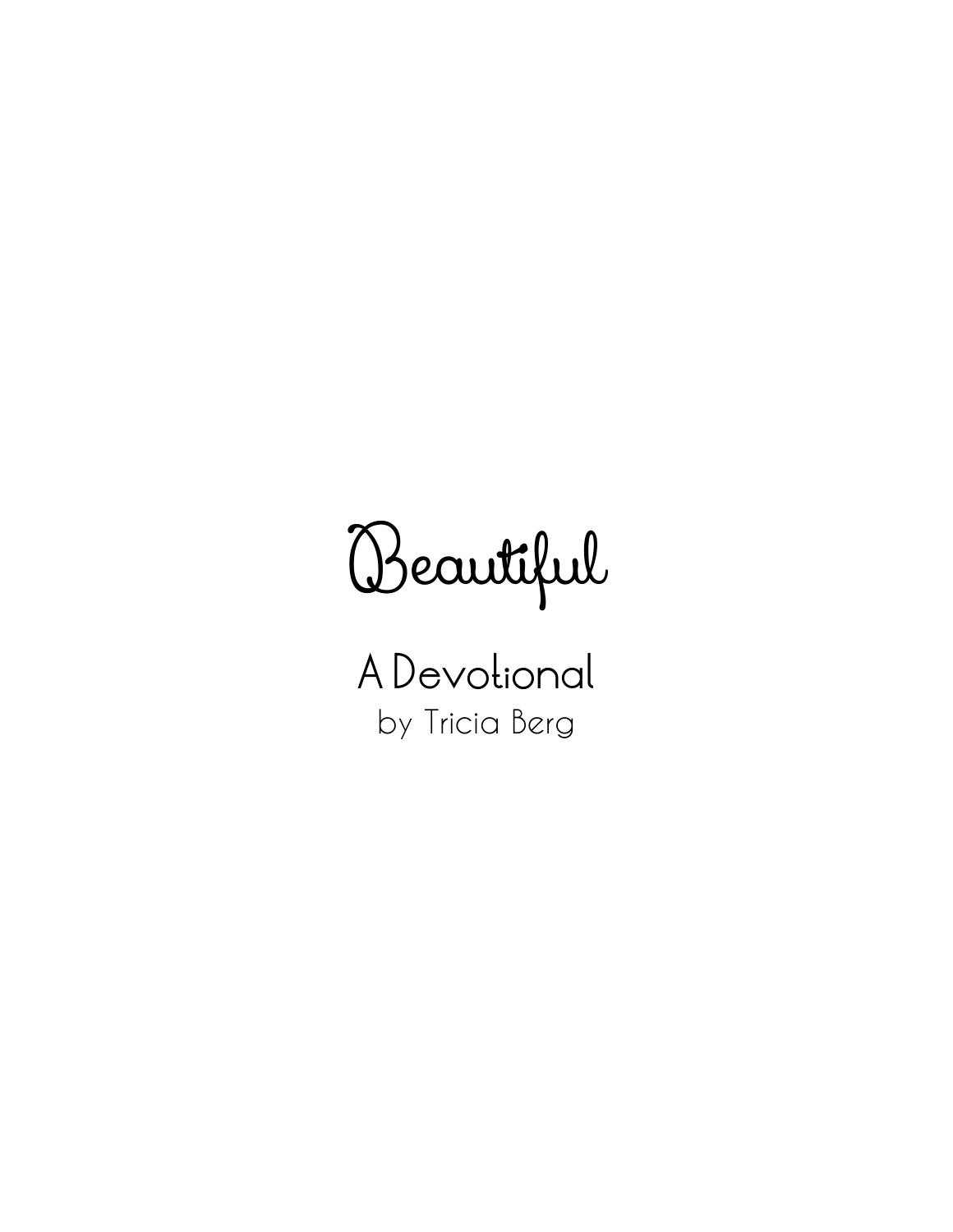Beautiful

A Devotional by Tricia Berg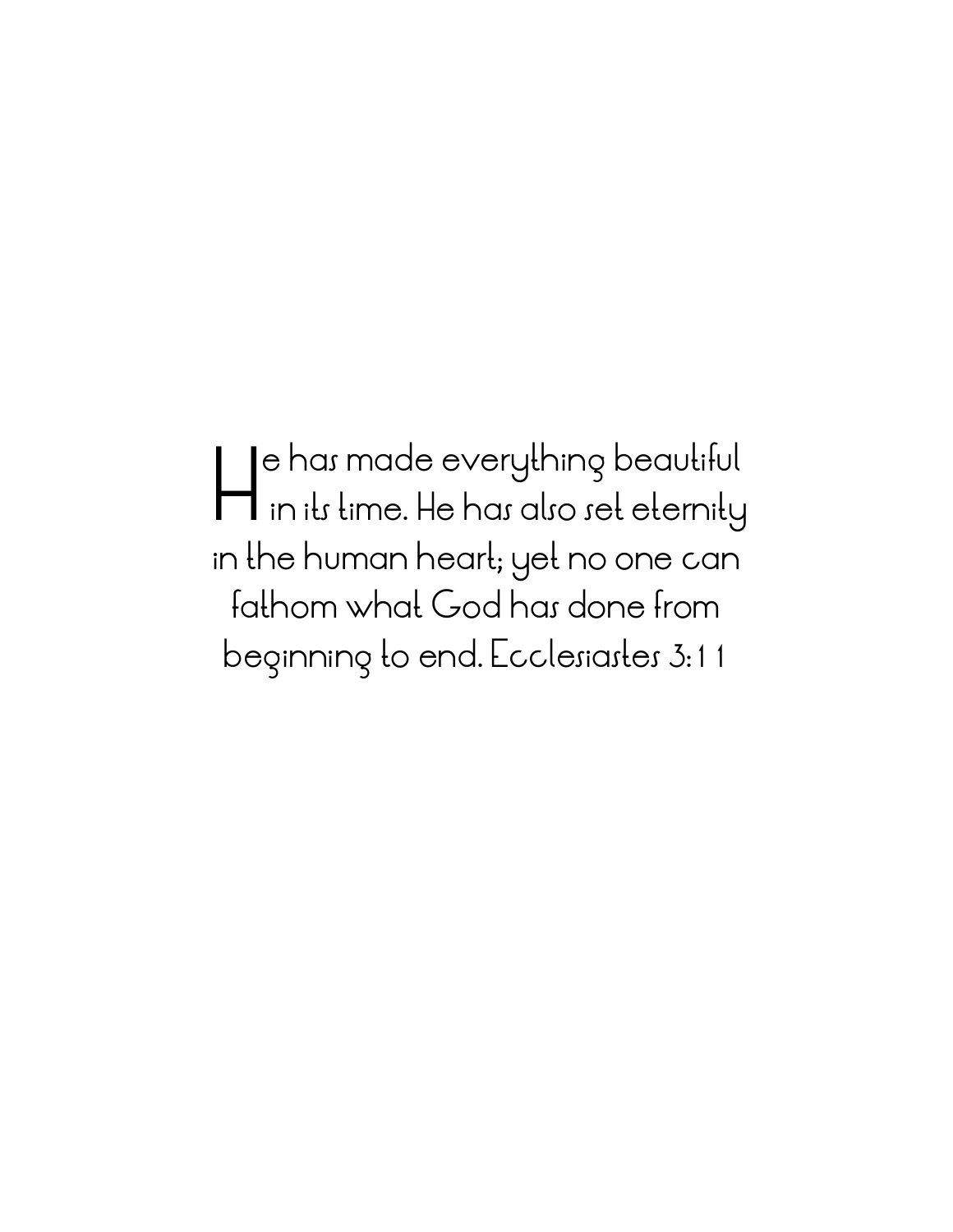H e has made everything beautiful in its time. He has also set eternity in the human heart; yet no one can fathom what God has done from beginning to end. Ecclesiastes 3:11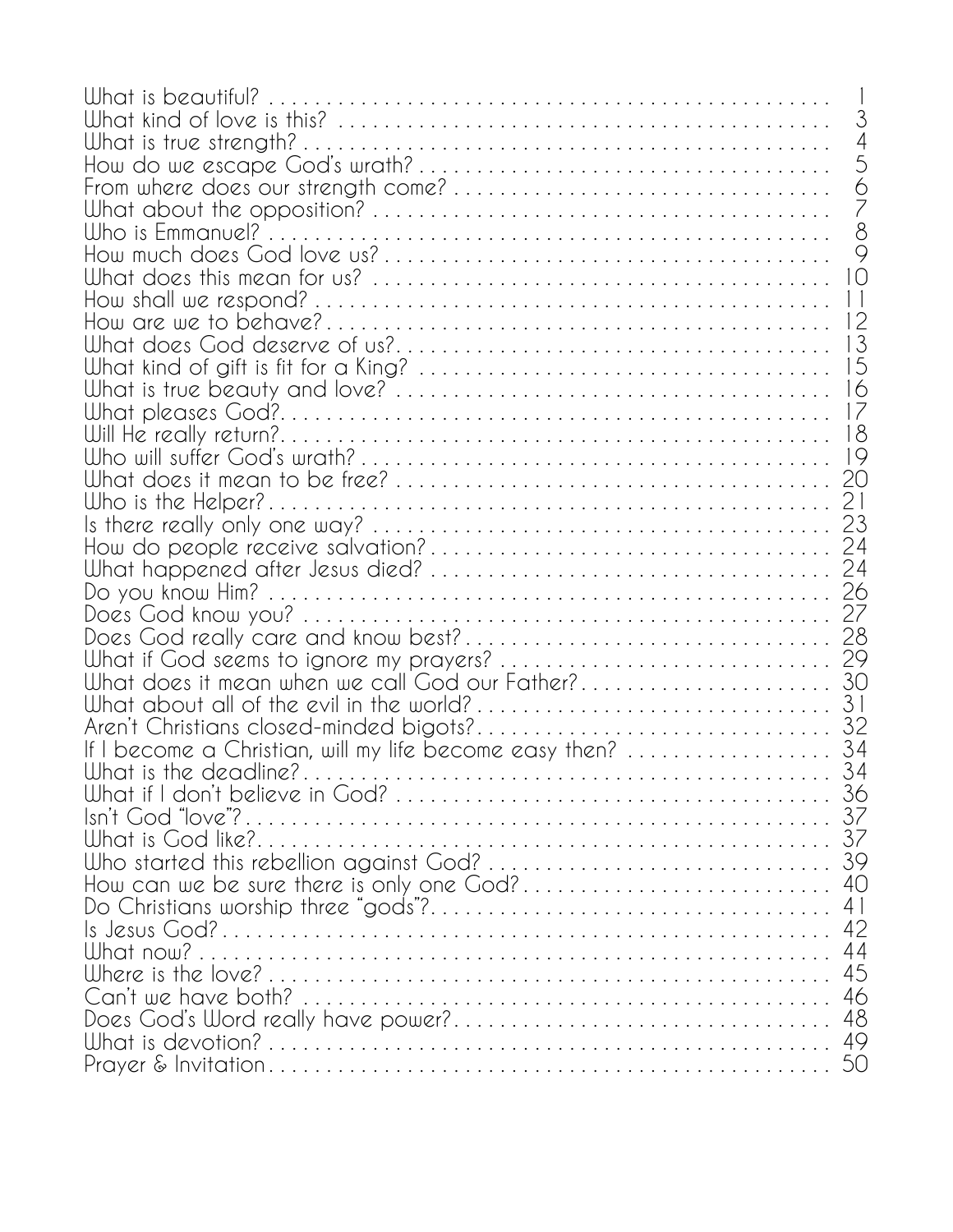|                                                                                                                  | 3              |
|------------------------------------------------------------------------------------------------------------------|----------------|
|                                                                                                                  | 4              |
|                                                                                                                  | 5              |
| From where does our strength come? $\ldots \ldots \ldots \ldots \ldots \ldots \ldots \ldots \ldots \ldots$       | 6              |
| What about the opposition? $\ldots \ldots \ldots \ldots \ldots \ldots \ldots \ldots \ldots \ldots \ldots \ldots$ | $\overline{z}$ |
|                                                                                                                  | 8              |
|                                                                                                                  | 9              |
|                                                                                                                  | IO             |
|                                                                                                                  |                |
|                                                                                                                  |                |
|                                                                                                                  |                |
|                                                                                                                  |                |
|                                                                                                                  | 16             |
|                                                                                                                  | $\frac{17}{2}$ |
|                                                                                                                  |                |
|                                                                                                                  |                |
|                                                                                                                  |                |
|                                                                                                                  |                |
|                                                                                                                  |                |
|                                                                                                                  |                |
|                                                                                                                  |                |
|                                                                                                                  |                |
|                                                                                                                  |                |
|                                                                                                                  |                |
|                                                                                                                  |                |
| What does it mean when we call God our Father? 30                                                                |                |
|                                                                                                                  |                |
|                                                                                                                  |                |
|                                                                                                                  |                |
|                                                                                                                  |                |
|                                                                                                                  | 36             |
|                                                                                                                  |                |
|                                                                                                                  |                |
|                                                                                                                  |                |
| How can we be sure there is only one God? 40                                                                     |                |
|                                                                                                                  |                |
|                                                                                                                  |                |
|                                                                                                                  |                |
|                                                                                                                  |                |
|                                                                                                                  |                |
|                                                                                                                  |                |
|                                                                                                                  |                |
|                                                                                                                  |                |
|                                                                                                                  |                |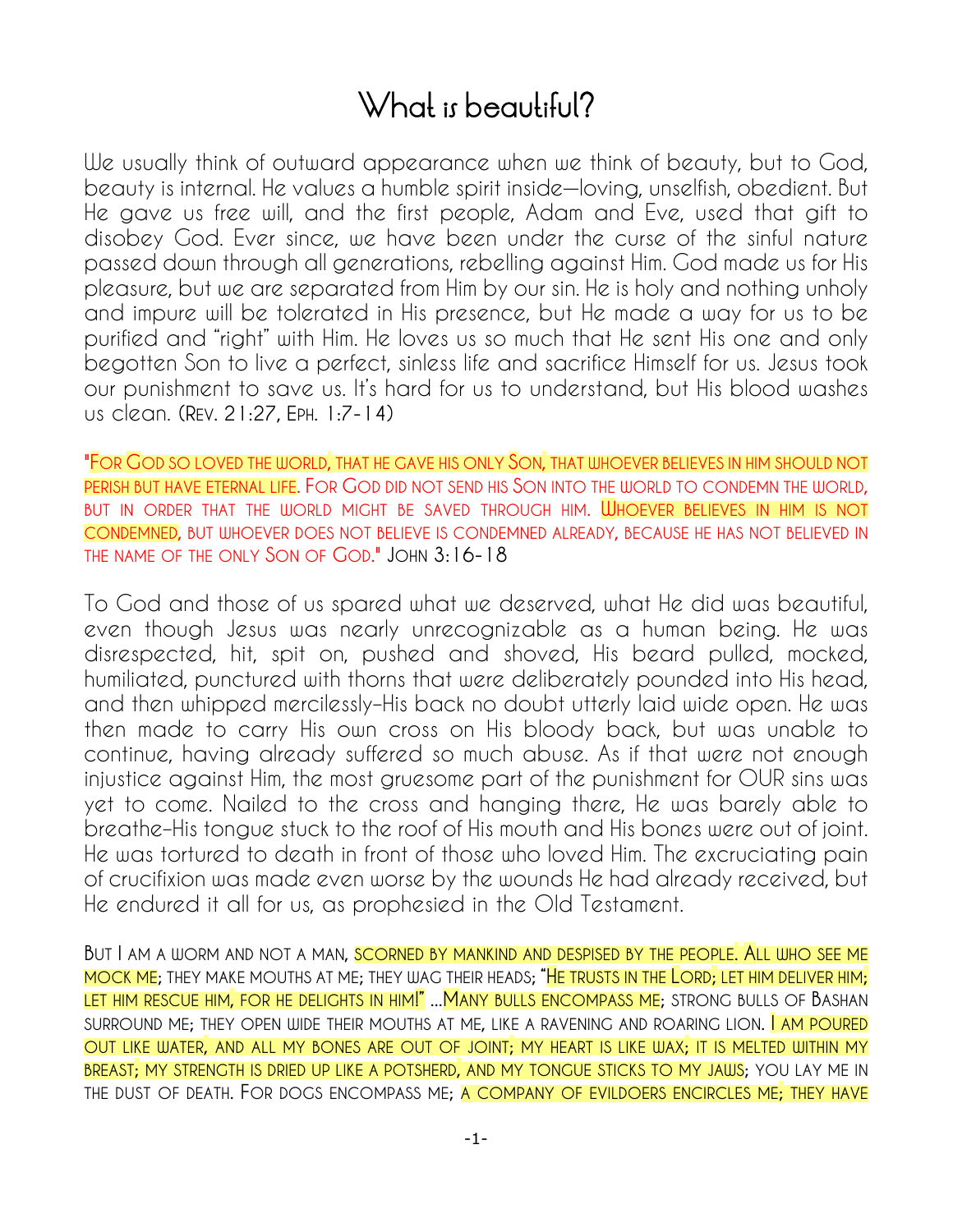### What is beautiful?

We usually think of outward appearance when we think of beauty, but to God, beauty is internal. He values a humble spirit inside—loving, unselfish, obedient. But He gave us free will, and the first people, Adam and Eve, used that gift to disobey God. Ever since, we have been under the curse of the sinful nature passed down through all generations, rebelling against Him. God made us for His pleasure, but we are separated from Him by our sin. He is holy and nothing unholy and impure will be tolerated in His presence, but He made a way for us to be purified and "right" with Him. He loves us so much that He sent His one and only begotten Son to live a perfect, sinless life and sacrifice Himself for us. Jesus took our punishment to save us. It's hard for us to understand, but His blood washes us clean. **(REV. 21:27, EPH. 1:7-14)**

"FOR GOD SO LOVED THE WORLD, THAT HE GAVE HIS ONLY SON, THAT WHOEVER BELIEVES IN HIM SHOULD NOT **PERISH BUT HAVE ETERNAL LIFE. FOR GOD DID NOT SEND HIS SON INTO THE WORLD TO CONDEMN THE WORLD, BUT IN ORDER THAT THE WORLD MIGHT BE SAVED THROUGH HIM. WHOEVER BELIEVES IN HIM IS NOT CONDEMNED, BUT WHOEVER DOES NOT BELIEVE IS CONDEMNED ALREADY, BECAUSE HE HAS NOT BELIEVED IN THE NAME OF THE ONLY SON OF GOD." JOHN 3:16-18**

To God and those of us spared what we deserved, what He did was beautiful, even though Jesus was nearly unrecognizable as a human being. He was disrespected, hit, spit on, pushed and shoved, His beard pulled, mocked, humiliated, punctured with thorns that were deliberately pounded into His head, and then whipped mercilessly–His back no doubt utterly laid wide open. He was then made to carry His own cross on His bloody back, but was unable to continue, having already suffered so much abuse. As if that were not enough injustice against Him, the most gruesome part of the punishment for OUR sins was yet to come. Nailed to the cross and hanging there, He was barely able to breathe–His tongue stuck to the roof of His mouth and His bones were out of joint. He was tortured to death in front of those who loved Him. The excruciating pain of crucifixion was made even worse by the wounds He had already received, but He endured it all for us, as prophesied in the Old Testament.

**BUT I AM A WORM AND NOT A MAN, SCORNED BY MANKIND AND DESPISED BY THE PEOPLE. ALL WHO SEE ME** MOCK ME: THEY MAKE MOUTHS AT ME: THEY WAG THEIR HEADS: "HE TRUSTS IN THE LORD: LET HIM DELIVER HIM: **LET HIM RESCUE HIM, FOR HE DELIGHTS IN HIM!" ...MANY BULLS ENCOMPASS ME; STRONG BULLS OF BASHAN SURROUND ME; THEY OPEN WIDE THEIR MOUTHS AT ME, LIKE A RAVENING AND ROARING LION. I AM POURED OUT LIKE WATER, AND ALL MY BONES ARE OUT OF JOINT; MY HEART IS LIKE WAX; IT IS MELTED WITHIN MY BREAST; MY STRENGTH IS DRIED UP LIKE A POTSHERD, AND MY TONGUE STICKS TO MY JAWS; YOU LAY ME IN THE DUST OF DEATH. FOR DOGS ENCOMPASS ME; A COMPANY OF EVILDOERS ENCIRCLES ME; THEY HAVE**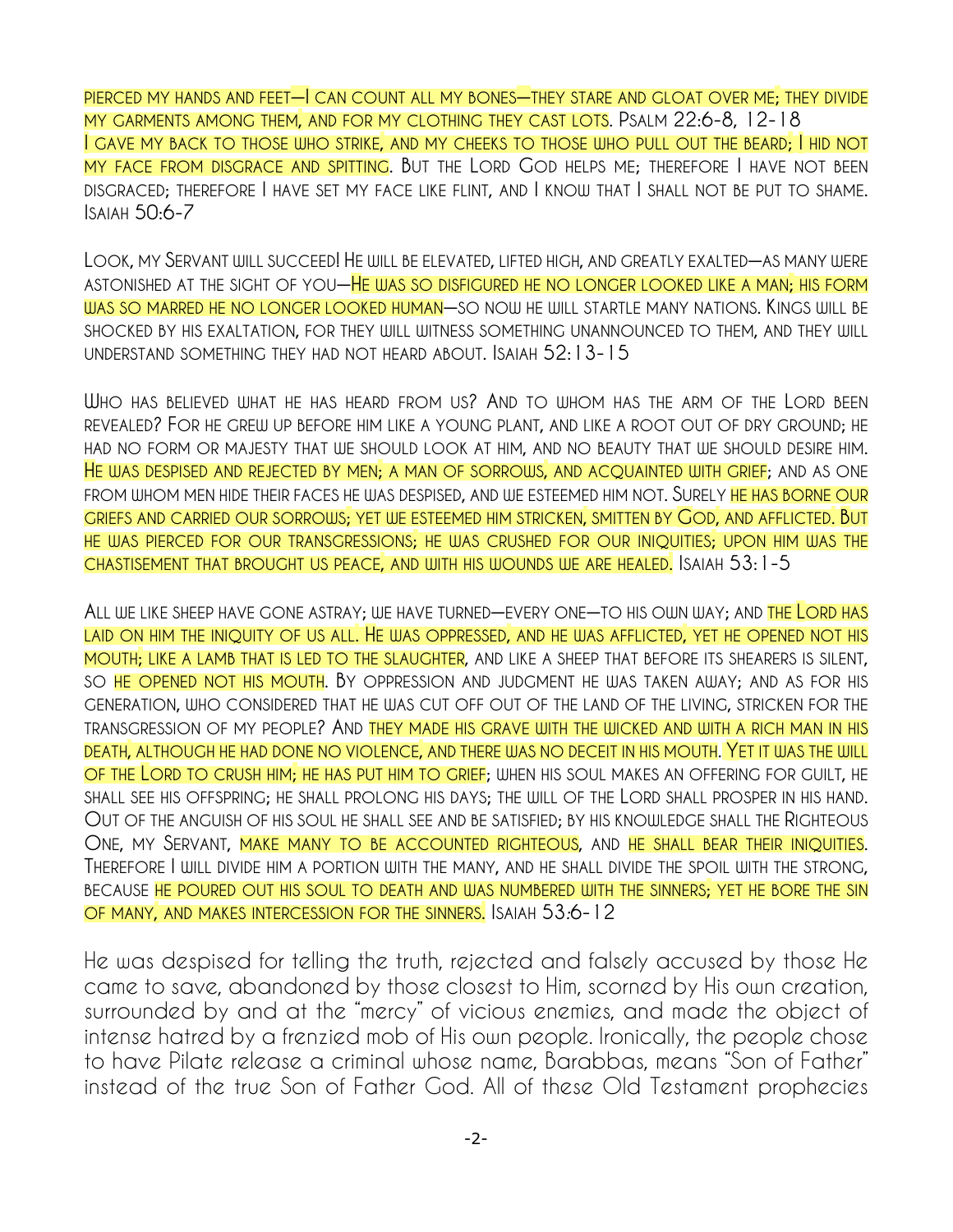PIERCED MY HANDS AND FEET- CAN COUNT ALL MY BONES-THEY STARE AND GLOAT OVER ME; THEY DIVIDE **MY GARMENTS AMONG THEM, AND FOR MY CLOTHING THEY CAST LOTS. PSALM 22:6-8, 12-18 I GAVE MY BACK TO THOSE WHO STRIKE, AND MY CHEEKS TO THOSE WHO PULL OUT THE BEARD; I HID NOT MY FACE FROM DISGRACE AND SPITTING. BUT THE LORD GOD HELPS ME; THEREFORE I HAVE NOT BEEN DISGRACED; THEREFORE I HAVE SET MY FACE LIKE FLINT, AND I KNOW THAT I SHALL NOT BE PUT TO SHAME. ISAIAH 50:6-7**

**LOOK, MY SERVANT WILL SUCCEED! HE WILL BE ELEVATED, LIFTED HIGH, AND GREATLY EXALTED—AS MANY WERE ASTONISHED AT THE SIGHT OF YOU—HE WAS SO DISFIGURED HE NO LONGER LOOKED LIKE A MAN; HIS FORM WAS SO MARRED HE NO LONGER LOOKED HUMAN—SO NOW HE WILL STARTLE MANY NATIONS. KINGS WILL BE SHOCKED BY HIS EXALTATION, FOR THEY WILL WITNESS SOMETHING UNANNOUNCED TO THEM, AND THEY WILL UNDERSTAND SOMETHING THEY HAD NOT HEARD ABOUT. ISAIAH 52:13-15**

**WHO HAS BELIEVED WHAT HE HAS HEARD FROM US? AND TO WHOM HAS THE ARM OF THE LORD BEEN REVEALED? FOR HE GREW UP BEFORE HIM LIKE A YOUNG PLANT, AND LIKE A ROOT OUT OF DRY GROUND; HE HAD NO FORM OR MAJESTY THAT WE SHOULD LOOK AT HIM, AND NO BEAUTY THAT WE SHOULD DESIRE HIM. HE WAS DESPISED AND REJECTED BY MEN; A MAN OF SORROWS, AND ACQUAINTED WITH GRIEF; AND AS ONE FROM WHOM MEN HIDE THEIR FACES HE WAS DESPISED, AND WE ESTEEMED HIM NOT. SURELY HE HAS BORNE OUR** GRIEFS AND CARRIED OUR SORROWS; YET WE ESTEEMED HIM STRICKEN, SMITTEN BY GOD, AND AFFLICTED. BUT **HE WAS PIERCED FOR OUR TRANSGRESSIONS; HE WAS CRUSHED FOR OUR INIQUITIES; UPON HIM WAS THE CHASTISEMENT THAT BROUGHT US PEACE, AND WITH HIS WOUNDS WE ARE HEALED. ISAIAH 53:1-5**

**ALL WE LIKE SHEEP HAVE GONE ASTRAY; WE HAVE TURNED—EVERY ONE—TO HIS OWN WAY; AND THE LORD HAS LAID ON HIM THE INIQUITY OF US ALL. HE WAS OPPRESSED, AND HE WAS AFFLICTED, YET HE OPENED NOT HIS MOUTH; LIKE A LAMB THAT IS LED TO THE SLAUGHTER, AND LIKE A SHEEP THAT BEFORE ITS SHEARERS IS SILENT, SO HE OPENED NOT HIS MOUTH. BY OPPRESSION AND JUDGMENT HE WAS TAKEN AWAY; AND AS FOR HIS GENERATION, WHO CONSIDERED THAT HE WAS CUT OFF OUT OF THE LAND OF THE LIVING, STRICKEN FOR THE TRANSGRESSION OF MY PEOPLE? AND THEY MADE HIS GRAVE WITH THE WICKED AND WITH A RICH MAN IN HIS** DEATH, ALTHOUGH HE HAD DONE NO VIOLENCE, AND THERE WAS NO DECEIT IN HIS MOUTH. YET IT WAS THE WILL **OF THE LORD TO CRUSH HIM; HE HAS PUT HIM TO GRIEF; WHEN HIS SOUL MAKES AN OFFERING FOR GUILT, HE SHALL SEE HIS OFFSPRING; HE SHALL PROLONG HIS DAYS; THE WILL OF THE LORD SHALL PROSPER IN HIS HAND. OUT OF THE ANGUISH OF HIS SOUL HE SHALL SEE AND BE SATISFIED; BY HIS KNOWLEDGE SHALL THE RIGHTEOUS ONE, MY SERVANT, MAKE MANY TO BE ACCOUNTED RIGHTEOUS, AND HE SHALL BEAR THEIR INIQUITIES. THEREFORE I WILL DIVIDE HIM A PORTION WITH THE MANY, AND HE SHALL DIVIDE THE SPOIL WITH THE STRONG,** BECAUSE HE POURED OUT HIS SOUL TO DEATH AND WAS NUMBERED WITH THE SINNERS; YET HE BORE THE SIN **OF MANY, AND MAKES INTERCESSION FOR THE SINNERS. ISAIAH 53***:***6-12**

He was despised for telling the truth, rejected and falsely accused by those He came to save, abandoned by those closest to Him, scorned by His own creation, surrounded by and at the "mercy" of vicious enemies, and made the object of intense hatred by a frenzied mob of His own people. Ironically, the people chose to have Pilate release a criminal whose name, Barabbas, means "Son of Father" instead of the true Son of Father God. All of these Old Testament prophecies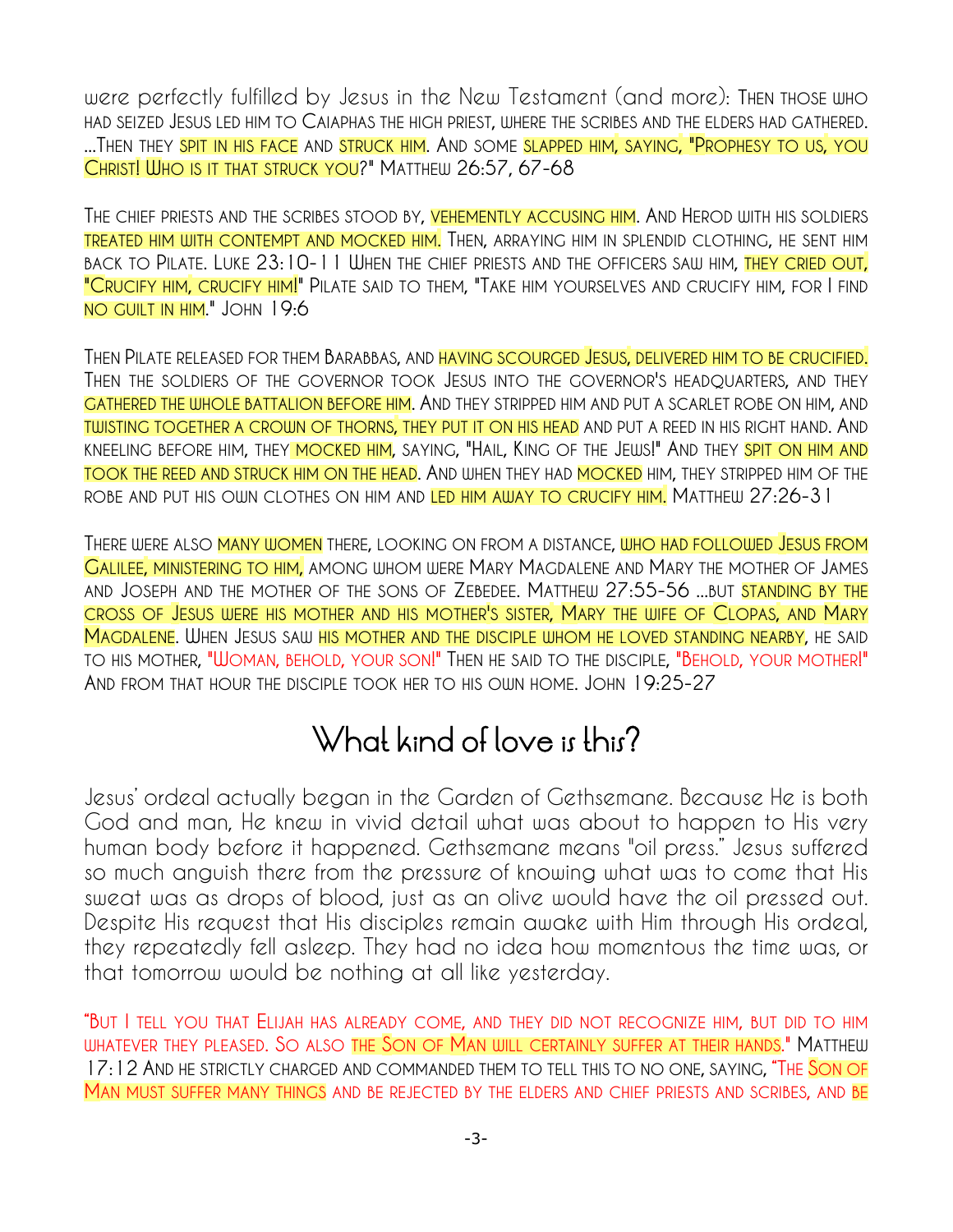were perfectly fulfilled by Jesus in the New Testament (and more): **THEN THOSE WHO HAD SEIZED JESUS LED HIM TO CAIAPHAS THE HIGH PRIEST, WHERE THE SCRIBES AND THE ELDERS HAD GATHERED. ...THEN THEY SPIT IN HIS FACE AND STRUCK HIM. AND SOME SLAPPED HIM, SAYING, "PROPHESY TO US, YOU CHRIST! WHO IS IT THAT STRUCK YOU?" MATTHEW 26:57, 67-68**

**THE CHIEF PRIESTS AND THE SCRIBES STOOD BY, VEHEMENTLY ACCUSING HIM. AND HEROD WITH HIS SOLDIERS TREATED HIM WITH CONTEMPT AND MOCKED HIM. THEN, ARRAYING HIM IN SPLENDID CLOTHING, HE SENT HIM BACK TO PILATE. LUKE 23:10-11 WHEN THE CHIEF PRIESTS AND THE OFFICERS SAW HIM, THEY CRIED OUT, "CRUCIFY HIM, CRUCIFY HIM!" PILATE SAID TO THEM, "TAKE HIM YOURSELVES AND CRUCIFY HIM, FOR I FIND NO GUILT IN HIM." JOHN 19:6**

**THEN PILATE RELEASED FOR THEM BARABBAS, AND HAVING SCOURGED JESUS, DELIVERED HIM TO BE CRUCIFIED. THEN THE SOLDIERS OF THE GOVERNOR TOOK JESUS INTO THE GOVERNOR'S HEADQUARTERS, AND THEY GATHERED THE WHOLE BATTALION BEFORE HIM. AND THEY STRIPPED HIM AND PUT A SCARLET ROBE ON HIM, AND TWISTING TOGETHER A CROWN OF THORNS, THEY PUT IT ON HIS HEAD AND PUT A REED IN HIS RIGHT HAND. AND** KNEELING BEFORE HIM, THEY MOCKED HIM, SAYING, "HAIL, KING OF THE JEWS!" AND THEY SPIT ON HIM AND **TOOK THE REED AND STRUCK HIM ON THE HEAD. AND WHEN THEY HAD MOCKED HIM, THEY STRIPPED HIM OF THE ROBE AND PUT HIS OWN CLOTHES ON HIM AND LED HIM AWAY TO CRUCIFY HIM. MATTHEW 27:26-31**

**THERE WERE ALSO MANY WOMEN THERE, LOOKING ON FROM A DISTANCE, WHO HAD FOLLOWED JESUS FROM GALILEE, MINISTERING TO HIM, AMONG WHOM WERE MARY MAGDALENE AND MARY THE MOTHER OF JAMES AND JOSEPH AND THE MOTHER OF THE SONS OF ZEBEDEE. MATTHEW 27:55-56 ...BUT STANDING BY THE** CROSS OF JESUS WERE HIS MOTHER AND HIS MOTHER'S SISTER, MARY THE WIFE OF CLOPAS, AND MARY **MAGDALENE. WHEN JESUS SAW HIS MOTHER AND THE DISCIPLE WHOM HE LOVED STANDING NEARBY, HE SAID TO HIS MOTHER, "WOMAN, BEHOLD, YOUR SON!" THEN HE SAID TO THE DISCIPLE, "BEHOLD, YOUR MOTHER!" AND FROM THAT HOUR THE DISCIPLE TOOK HER TO HIS OWN HOME. JOHN 19:25-27**

### What kind of love is this?

Jesus' ordeal actually began in the Garden of Gethsemane. Because He is both God and man, He knew in vivid detail what was about to happen to His very human body before it happened. Gethsemane means "oil press." Jesus suffered so much anguish there from the pressure of knowing what was to come that His sweat was as drops of blood, just as an olive would have the oil pressed out. Despite His request that His disciples remain awake with Him through His ordeal, they repeatedly fell asleep. They had no idea how momentous the time was, or that tomorrow would be nothing at all like yesterday.

**"BUT I TELL YOU THAT ELIJAH HAS ALREADY COME, AND THEY DID NOT RECOGNIZE HIM, BUT DID TO HIM WHATEVER THEY PLEASED. SO ALSO THE SON OF MAN WILL CERTAINLY SUFFER AT THEIR HANDS." MATTHEW 17:12 AND HE STRICTLY CHARGED AND COMMANDED THEM TO TELL THIS TO NO ONE, SAYING, "THE SON OF MAN MUST SUFFER MANY THINGS AND BE REJECTED BY THE ELDERS AND CHIEF PRIESTS AND SCRIBES, AND BE**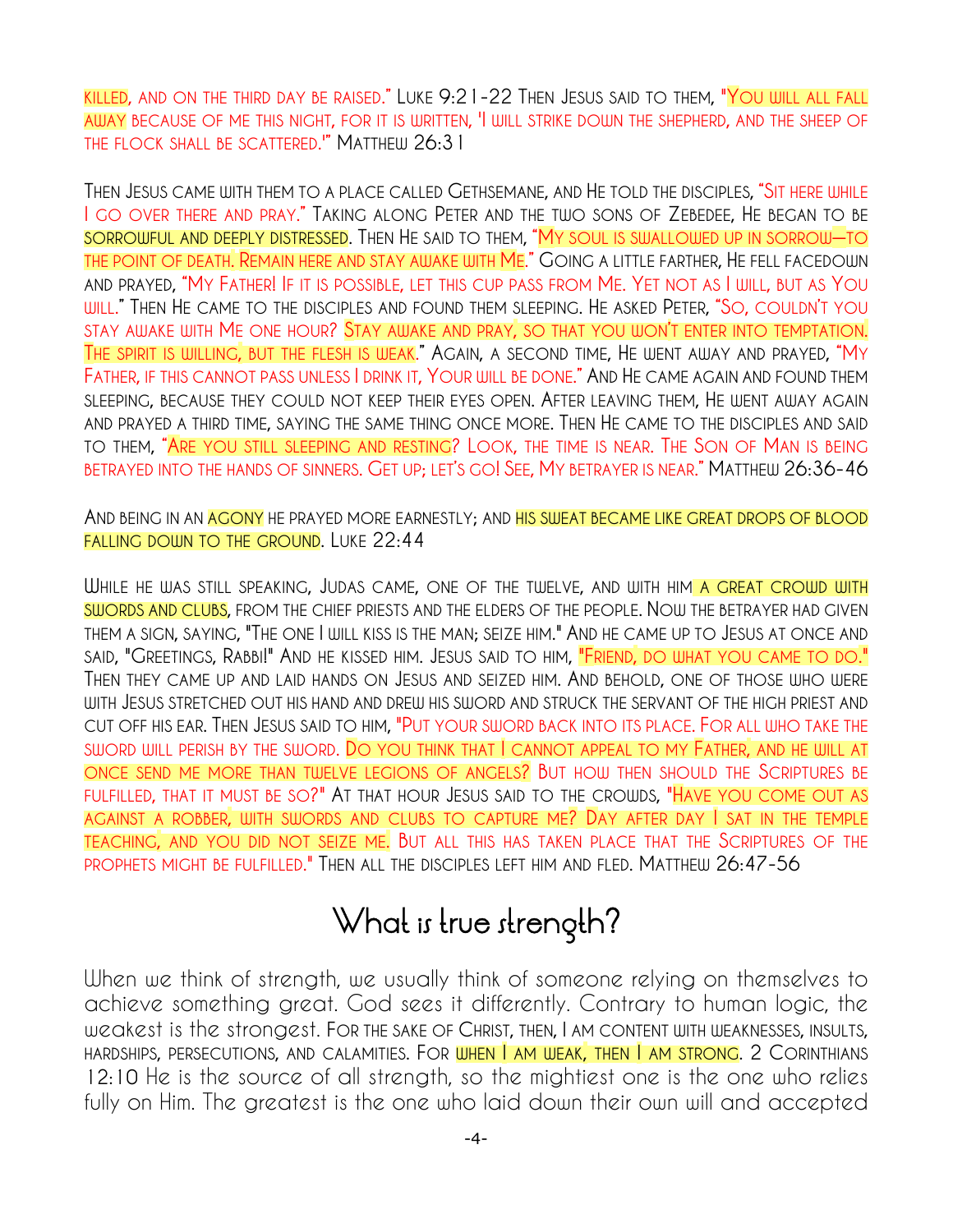**KILLED, AND ON THE THIRD DAY BE RAISED." LUKE 9:21-22 THEN JESUS SAID TO THEM, "YOU WILL ALL FALL AWAY BECAUSE OF ME THIS NIGHT, FOR IT IS WRITTEN, 'I WILL STRIKE DOWN THE SHEPHERD, AND THE SHEEP OF THE FLOCK SHALL BE SCATTERED.'" MATTHEW 26:31**

**THEN JESUS CAME WITH THEM TO A PLACE CALLED GETHSEMANE, AND HE TOLD THE DISCIPLES, "SIT HERE WHILE I GO OVER THERE AND PRAY." TAKING ALONG PETER AND THE TWO SONS OF ZEBEDEE, HE BEGAN TO BE** SORROWFUL AND DEEPLY DISTRESSED. THEN HE SAID TO THEM, "MY SOUL IS SWALLOWED UP IN SORROW-TO THE POINT OF DEATH. REMAIN HERE AND STAY AWAKE WITH ME." GOING A LITTLE FARTHER, HE FELL FACEDOWN AND PRAYED, "MY FATHER! IF IT IS POSSIBLE, LET THIS CUP PASS FROM ME. YET NOT AS I WILL, BUT AS YOU **WILL." THEN HE CAME TO THE DISCIPLES AND FOUND THEM SLEEPING. HE ASKED PETER, "SO, COULDN'T YOU** STAY AWAKE WITH ME ONE HOUR? STAY AWAKE AND PRAY, SO THAT YOU WON'T ENTER INTO TEMPTATION. THE SPIRIT IS WILLING, BUT THE FLESH IS WEAK." AGAIN, A SECOND TIME, HE WENT AWAY AND PRAYED, "MY **FATHER, IF THIS CANNOT PASS UNLESS I DRINK IT, YOUR WILL BE DONE." AND HE CAME AGAIN AND FOUND THEM SLEEPING, BECAUSE THEY COULD NOT KEEP THEIR EYES OPEN. AFTER LEAVING THEM, HE WENT AWAY AGAIN AND PRAYED A THIRD TIME, SAYING THE SAME THING ONCE MORE. THEN HE CAME TO THE DISCIPLES AND SAID** to them, "Are you still sleeping and resting? Look, the time is near. The Son of Man is being **BETRAYED INTO THE HANDS OF SINNERS. GET UP; LET'S GO! SEE, MY BETRAYER IS NEAR." MATTHEW 26:36-46**

**AND BEING IN AN AGONY HE PRAYED MORE EARNESTLY; AND HIS SWEAT BECAME LIKE GREAT DROPS OF BLOOD FALLING DOWN TO THE GROUND. LUKE 22:44**

**WHILE HE WAS STILL SPEAKING, JUDAS CAME, ONE OF THE TWELVE, AND WITH HIM A GREAT CROWD WITH SWORDS AND CLUBS, FROM THE CHIEF PRIESTS AND THE ELDERS OF THE PEOPLE. NOW THE BETRAYER HAD GIVEN THEM A SIGN, SAYING, "THE ONE I WILL KISS IS THE MAN; SEIZE HIM." AND HE CAME UP TO JESUS AT ONCE AND** SAID, "GREETINGS, RABBI!" AND HE KISSED HIM. JESUS SAID TO HIM, "FRIEND, DO WHAT YOU CAME TO DO." **THEN THEY CAME UP AND LAID HANDS ON JESUS AND SEIZED HIM. AND BEHOLD, ONE OF THOSE WHO WERE WITH JESUS STRETCHED OUT HIS HAND AND DREW HIS SWORD AND STRUCK THE SERVANT OF THE HIGH PRIEST AND CUT OFF HIS EAR. THEN JESUS SAID TO HIM, "PUT YOUR SWORD BACK INTO ITS PLACE. FOR ALL WHO TAKE THE SWORD WILL PERISH BY THE SWORD. DO YOU THINK THAT I CANNOT APPEAL TO MY FATHER, AND HE WILL AT ONCE SEND ME MORE THAN TWELVE LEGIONS OF ANGELS? BUT HOW THEN SHOULD THE SCRIPTURES BE FULFILLED, THAT IT MUST BE SO?" AT THAT HOUR JESUS SAID TO THE CROWDS, "HAVE YOU COME OUT AS AGAINST A ROBBER, WITH SWORDS AND CLUBS TO CAPTURE ME? DAY AFTER DAY I SAT IN THE TEMPLE TEACHING, AND YOU DID NOT SEIZE ME. BUT ALL THIS HAS TAKEN PLACE THAT THE SCRIPTURES OF THE PROPHETS MIGHT BE FULFILLED." THEN ALL THE DISCIPLES LEFT HIM AND FLED. MATTHEW 26:47-56**

#### What is true strength?

When we think of strength, we usually think of someone relying on themselves to achieve something great. God sees it differently. Contrary to human logic, the weakest is the strongest. **FOR THE SAKE OF CHRIST, THEN, I AM CONTENT WITH WEAKNESSES, INSULTS,** HARDSHIPS, PERSECUTIONS, AND CALAMITIES. FOR WHEN I AM WEAK, THEN I AM STRONG. 2 CORINTHIANS **12:10** He is the source of all strength, so the mightiest one is the one who relies fully on Him. The greatest is the one who laid down their own will and accepted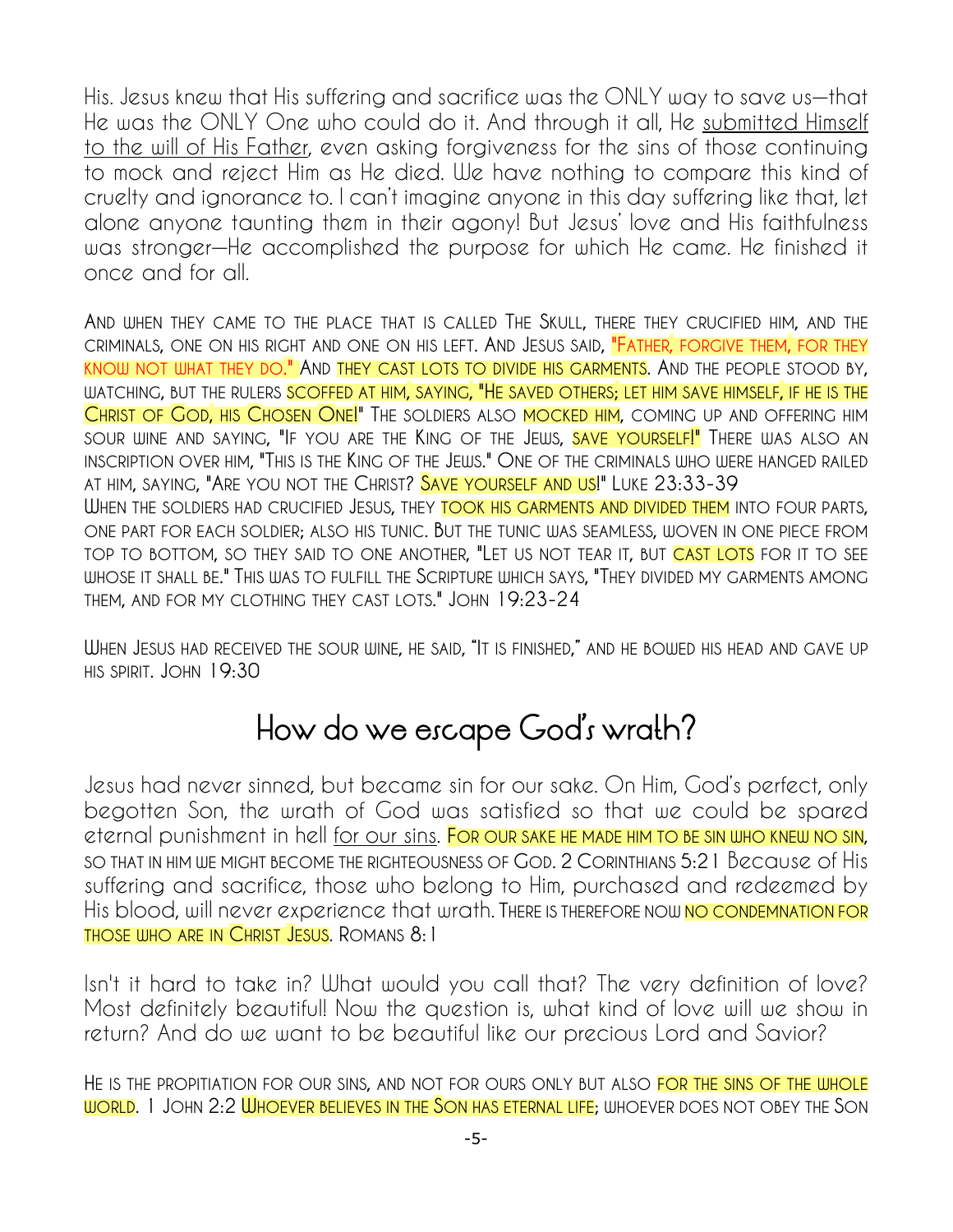His. Jesus knew that His suffering and sacrifice was the ONLY way to save us—that He was the ONLY One who could do it. And through it all, He submitted Himself to the will of His Father, even asking forgiveness for the sins of those continuing to mock and reject Him as He died. We have nothing to compare this kind of cruelty and ignorance to. I can't imagine anyone in this day suffering like that, let alone anyone taunting them in their agony! But Jesus' love and His faithfulness was stronger—He accomplished the purpose for which He came. He finished it once and for all.

**AND WHEN THEY CAME TO THE PLACE THAT IS CALLED THE SKULL, THERE THEY CRUCIFIED HIM, AND THE CRIMINALS, ONE ON HIS RIGHT AND ONE ON HIS LEFT. AND JESUS SAID, "FATHER, FORGIVE THEM, FOR THEY KNOW NOT WHAT THEY DO." AND THEY CAST LOTS TO DIVIDE HIS GARMENTS. AND THE PEOPLE STOOD BY,** WATCHING, BUT THE RULERS SCOFFED AT HIM, SAYING, "HE SAVED OTHERS; LET HIM SAVE HIMSELF, IF HE IS THE **CHRIST OF GOD, HIS CHOSEN ONE!" THE SOLDIERS ALSO MOCKED HIM, COMING UP AND OFFERING HIM SOUR WINE AND SAYING, "IF YOU ARE THE KING OF THE JEWS, SAVE YOURSELF!" THERE WAS ALSO AN INSCRIPTION OVER HIM, "THIS IS THE KING OF THE JEWS." ONE OF THE CRIMINALS WHO WERE HANGED RAILED AT HIM, SAYING, "ARE YOU NOT THE CHRIST? SAVE YOURSELF AND US!" LUKE 23:33-39 WHEN THE SOLDIERS HAD CRUCIFIED JESUS, THEY TOOK HIS GARMENTS AND DIVIDED THEM INTO FOUR PARTS, ONE PART FOR EACH SOLDIER; ALSO HIS TUNIC. BUT THE TUNIC WAS SEAMLESS, WOVEN IN ONE PIECE FROM TOP TO BOTTOM, SO THEY SAID TO ONE ANOTHER, "LET US NOT TEAR IT, BUT CAST LOTS FOR IT TO SEE WHOSE IT SHALL BE." THIS WAS TO FULFILL THE SCRIPTURE WHICH SAYS, "THEY DIVIDED MY GARMENTS AMONG THEM, AND FOR MY CLOTHING THEY CAST LOTS." JOHN 19:23-24**

**WHEN JESUS HAD RECEIVED THE SOUR WINE, HE SAID, "IT IS FINISHED," AND HE BOWED HIS HEAD AND GAVE UP HIS SPIRIT. JOHN 19:30**

#### How do we escape God's wrath?

Jesus had never sinned, but became sin for our sake. On Him, God's perfect, only begotten Son, the wrath of God was satisfied so that we could be spared eternal punishment in hell for our sins. **FOR OUR SAKE HE MADE HIM TO BE SIN WHO KNEW NO SIN, SO THAT IN HIM WE MIGHT BECOME THE RIGHTEOUSNESS OF GOD. 2 CORINTHIANS 5:21** Because of His suffering and sacrifice, those who belong to Him, purchased and redeemed by His blood, will never experience that wrath. **THERE IS THEREFORE NOW NO CONDEMNATION FOR THOSE WHO ARE IN CHRIST JESUS. ROMANS 8:1**

Isn't it hard to take in? What would you call that? The very definition of love? Most definitely beautiful! Now the question is, what kind of love will we show in return? And do we want to be beautiful like our precious Lord and Savior?

**HE IS THE PROPITIATION FOR OUR SINS, AND NOT FOR OURS ONLY BUT ALSO FOR THE SINS OF THE WHOLE** WORLD. 1 JOHN 2:2 WHOEVER BELIEVES IN THE SON HAS ETERNAL LIFE; WHOEVER DOES NOT OBEY THE SON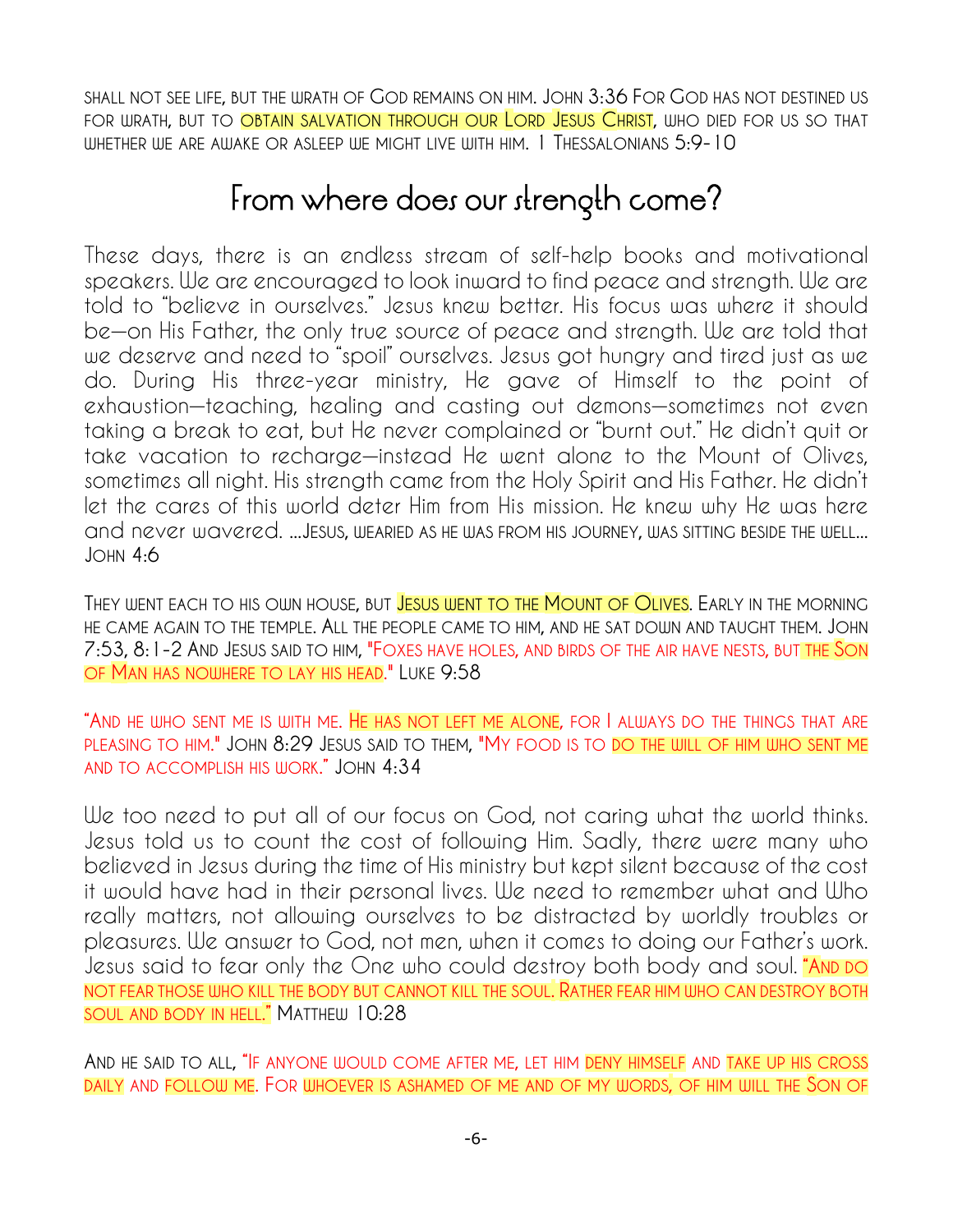**SHALL NOT SEE LIFE, BUT THE WRATH OF GOD REMAINS ON HIM. JOHN 3:36 FOR GOD HAS NOT DESTINED US FOR WRATH, BUT TO OBTAIN SALVATION THROUGH OUR LORD JESUS CHRIST, WHO DIED FOR US SO THAT WHETHER WE ARE AWAKE OR ASLEEP WE MIGHT LIVE WITH HIM. 1 THESSALONIANS 5:9-10**

#### From where does our strength come?

These days, there is an endless stream of self-help books and motivational speakers. We are encouraged to look inward to find peace and strength. We are told to "believe in ourselves." Jesus knew better. His focus was where it should be—on His Father, the only true source of peace and strength. We are told that we deserve and need to "spoil" ourselves. Jesus got hungry and tired just as we do. During His three-year ministry, He gave of Himself to the point of exhaustion—teaching, healing and casting out demons—sometimes not even taking a break to eat, but He never complained or "burnt out." He didn't quit or take vacation to recharge—instead He went alone to the Mount of Olives, sometimes all night. His strength came from the Holy Spirit and His Father. He didn't let the cares of this world deter Him from His mission. He knew why He was here and never wavered. **...JESUS, WEARIED AS HE WAS FROM HIS JOURNEY, WAS SITTING BESIDE THE WELL... JOHN 4:6**

**THEY WENT EACH TO HIS OWN HOUSE, BUT JESUS WENT TO THE MOUNT OF OLIVES. EARLY IN THE MORNING HE CAME AGAIN TO THE TEMPLE. ALL THE PEOPLE CAME TO HIM, AND HE SAT DOWN AND TAUGHT THEM. JOHN 7:53, 8:1-2 AND JESUS SAID TO HIM, "FOXES HAVE HOLES, AND BIRDS OF THE AIR HAVE NESTS, BUT THE SON OF MAN HAS NOWHERE TO LAY HIS HEAD." LUKE 9:58**

**"AND HE WHO SENT ME IS WITH ME. HE HAS NOT LEFT ME ALONE, FOR I ALWAYS DO THE THINGS THAT ARE PLEASING TO HIM." JOHN 8:29 JESUS SAID TO THEM, "MY FOOD IS TO DO THE WILL OF HIM WHO SENT ME AND TO ACCOMPLISH HIS WORK." JOHN 4:34**

We too need to put all of our focus on God, not caring what the world thinks. Jesus told us to count the cost of following Him. Sadly, there were many who believed in Jesus during the time of His ministry but kept silent because of the cost it would have had in their personal lives. We need to remember what and Who really matters, not allowing ourselves to be distracted by worldly troubles or pleasures. We answer to God, not men, when it comes to doing our Father's work. Jesus said to fear only the One who could destroy both body and soul. **"AND DO** NOT FEAR THOSE WHO KILL THE BODY BUT CANNOT KILL THE SOUL. RATHER FEAR HIM WHO CAN DESTROY BOTH **SOUL AND BODY IN HELL." MATTHEW 10:28**

**AND HE SAID TO ALL, "IF ANYONE WOULD COME AFTER ME, LET HIM DENY HIMSELF AND TAKE UP HIS CROSS DAILY AND FOLLOW ME. FOR WHOEVER IS ASHAMED OF ME AND OF MY WORDS, OF HIM WILL THE SON OF**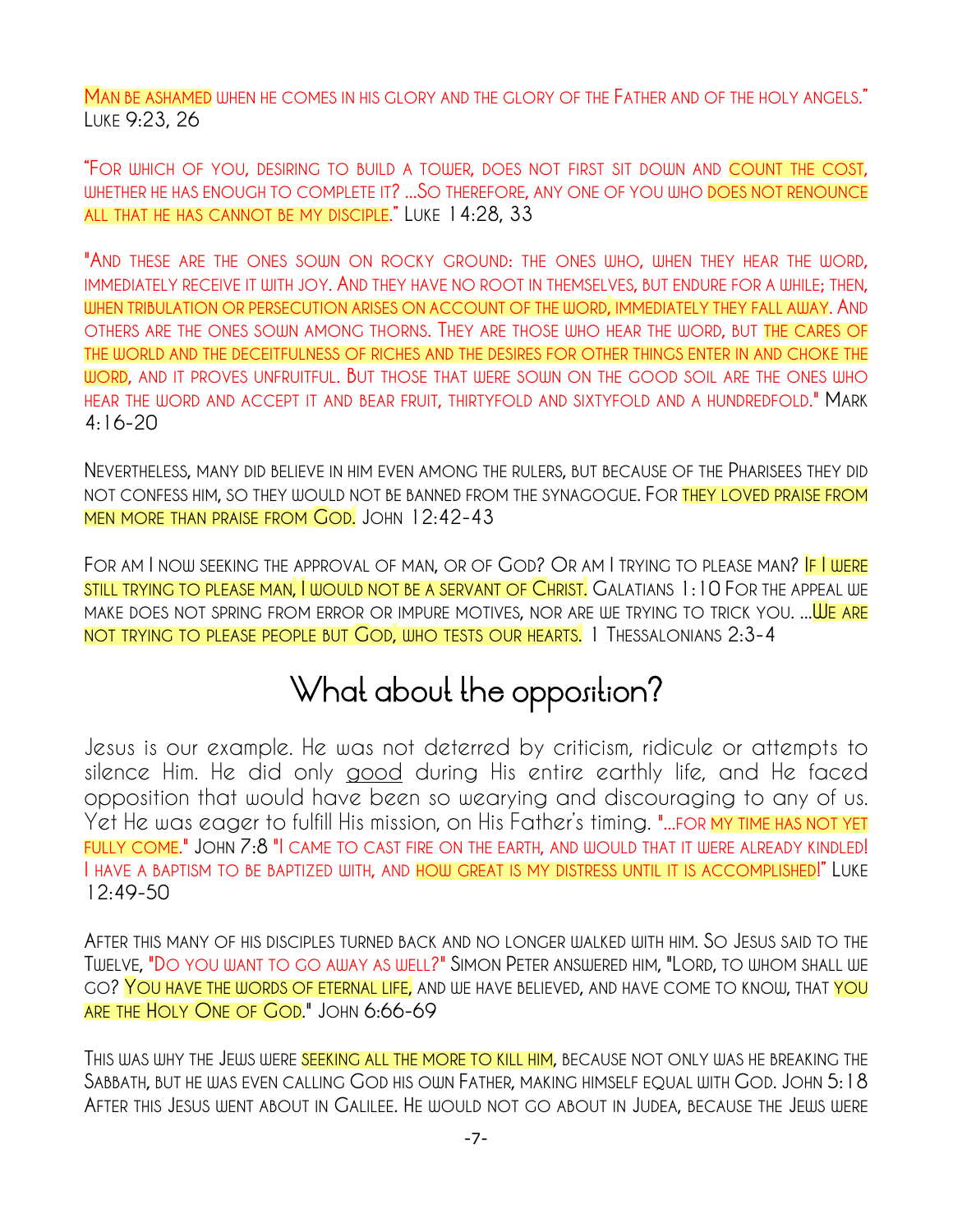**MAN BE ASHAMED WHEN HE COMES IN HIS GLORY AND THE GLORY OF THE FATHER AND OF THE HOLY ANGELS." LUKE 9:23, 26**

**"FOR WHICH OF YOU, DESIRING TO BUILD A TOWER, DOES NOT FIRST SIT DOWN AND COUNT THE COST, WHETHER HE HAS ENOUGH TO COMPLETE IT? ...SO THEREFORE, ANY ONE OF YOU WHO DOES NOT RENOUNCE ALL THAT HE HAS CANNOT BE MY DISCIPLE." LUKE 14:28, 33**

**"AND THESE ARE THE ONES SOWN ON ROCKY GROUND: THE ONES WHO, WHEN THEY HEAR THE WORD, IMMEDIATELY RECEIVE IT WITH JOY. AND THEY HAVE NO ROOT IN THEMSELVES, BUT ENDURE FOR A WHILE; THEN, WHEN TRIBULATION OR PERSECUTION ARISES ON ACCOUNT OF THE WORD, IMMEDIATELY THEY FALL AWAY. AND OTHERS ARE THE ONES SOWN AMONG THORNS. THEY ARE THOSE WHO HEAR THE WORD, BUT THE CARES OF THE WORLD AND THE DECEITFULNESS OF RICHES AND THE DESIRES FOR OTHER THINGS ENTER IN AND CHOKE THE WORD, AND IT PROVES UNFRUITFUL. BUT THOSE THAT WERE SOWN ON THE GOOD SOIL ARE THE ONES WHO HEAR THE WORD AND ACCEPT IT AND BEAR FRUIT, THIRTYFOLD AND SIXTYFOLD AND A HUNDREDFOLD." MARK 4:16-20**

**NEVERTHELESS, MANY DID BELIEVE IN HIM EVEN AMONG THE RULERS, BUT BECAUSE OF THE PHARISEES THEY DID NOT CONFESS HIM, SO THEY WOULD NOT BE BANNED FROM THE SYNAGOGUE. FOR THEY LOVED PRAISE FROM MEN MORE THAN PRAISE FROM GOD. JOHN 12:42-43**

**FOR AM I NOW SEEKING THE APPROVAL OF MAN, OR OF GOD? OR AM I TRYING TO PLEASE MAN? IF I WERE** STILL TRYING TO PLEASE MAN, I WOULD NOT BE A SERVANT OF CHRIST. GALATIANS 1:10 FOR THE APPEAL WE **MAKE DOES NOT SPRING FROM ERROR OR IMPURE MOTIVES, NOR ARE WE TRYING TO TRICK YOU. ...WE ARE NOT TRYING TO PLEASE PEOPLE BUT GOD, WHO TESTS OUR HEARTS. 1 THESSALONIANS 2:3-4**

### What about the opposition?

Jesus is our example. He was not deterred by criticism, ridicule or attempts to silence Him. He did only good during His entire earthly life, and He faced opposition that would have been so wearying and discouraging to any of us. Yet He was eager to fulfill His mission, on His Father's timing. **"...FOR MY TIME HAS NOT YET FULLY COME." JOHN 7:8 "I CAME TO CAST FIRE ON THE EARTH, AND WOULD THAT IT WERE ALREADY KINDLED! I HAVE A BAPTISM TO BE BAPTIZED WITH, AND HOW GREAT IS MY DISTRESS UNTIL IT IS ACCOMPLISHED!" LUKE 12:49-50**

**AFTER THIS MANY OF HIS DISCIPLES TURNED BACK AND NO LONGER WALKED WITH HIM. SO JESUS SAID TO THE TWELVE, "DO YOU WANT TO GO AWAY AS WELL?" SIMON PETER ANSWERED HIM, "LORD, TO WHOM SHALL WE GO? YOU HAVE THE WORDS OF ETERNAL LIFE, AND WE HAVE BELIEVED, AND HAVE COME TO KNOW, THAT YOU ARE THE HOLY ONE OF GOD." JOHN 6:66-69**

**THIS WAS WHY THE JEWS WERE SEEKING ALL THE MORE TO KILL HIM, BECAUSE NOT ONLY WAS HE BREAKING THE SABBATH, BUT HE WAS EVEN CALLING GOD HIS OWN FATHER, MAKING HIMSELF EQUAL WITH GOD. JOHN 5:18 AFTER THIS JESUS WENT ABOUT IN GALILEE. HE WOULD NOT GO ABOUT IN JUDEA, BECAUSE THE JEWS WERE**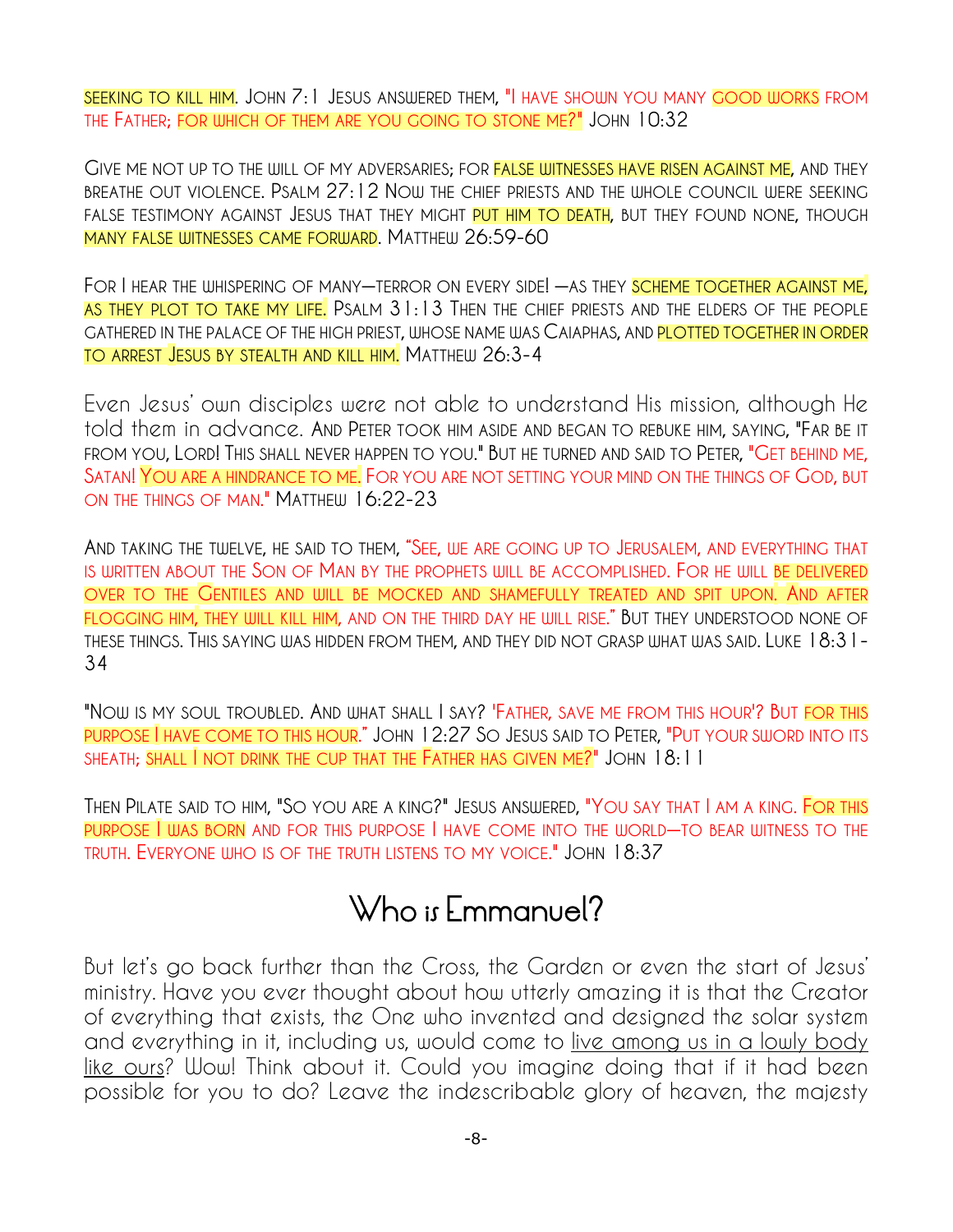**SEEKING TO KILL HIM. JOHN 7:1 JESUS ANSWERED THEM, "I HAVE SHOWN YOU MANY GOOD WORKS FROM THE FATHER; FOR WHICH OF THEM ARE YOU GOING TO STONE ME?" JOHN 10:32**

**GIVE ME NOT UP TO THE WILL OF MY ADVERSARIES; FOR FALSE WITNESSES HAVE RISEN AGAINST ME, AND THEY BREATHE OUT VIOLENCE. PSALM 27:12 NOW THE CHIEF PRIESTS AND THE WHOLE COUNCIL WERE SEEKING FALSE TESTIMONY AGAINST JESUS THAT THEY MIGHT PUT HIM TO DEATH, BUT THEY FOUND NONE, THOUGH MANY FALSE WITNESSES CAME FORWARD. MATTHEW 26:59-60**

**FOR I HEAR THE WHISPERING OF MANY—TERROR ON EVERY SIDE! —AS THEY SCHEME TOGETHER AGAINST ME, AS THEY PLOT TO TAKE MY LIFE. PSALM 31:13 THEN THE CHIEF PRIESTS AND THE ELDERS OF THE PEOPLE GATHERED IN THE PALACE OF THE HIGH PRIEST, WHOSE NAME WAS CAIAPHAS, AND PLOTTED TOGETHER IN ORDER TO ARREST JESUS BY STEALTH AND KILL HIM. MATTHEW 26:3-4**

Even Jesus' own disciples were not able to understand His mission, although He told them in advance. **AND PETER TOOK HIM ASIDE AND BEGAN TO REBUKE HIM, SAYING, "FAR BE IT FROM YOU, LORD! THIS SHALL NEVER HAPPEN TO YOU." BUT HE TURNED AND SAID TO PETER, "GET BEHIND ME, SATAN! YOU ARE A HINDRANCE TO ME. FOR YOU ARE NOT SETTING YOUR MIND ON THE THINGS OF GOD, BUT ON THE THINGS OF MAN." MATTHEW 16:22-23**

**AND TAKING THE TWELVE, HE SAID TO THEM, "SEE, WE ARE GOING UP TO JERUSALEM, AND EVERYTHING THAT IS WRITTEN ABOUT THE SON OF MAN BY THE PROPHETS WILL BE ACCOMPLISHED. FOR HE WILL BE DELIVERED OVER TO THE GENTILES AND WILL BE MOCKED AND SHAMEFULLY TREATED AND SPIT UPON. AND AFTER FLOGGING HIM, THEY WILL KILL HIM, AND ON THE THIRD DAY HE WILL RISE." BUT THEY UNDERSTOOD NONE OF THESE THINGS. THIS SAYING WAS HIDDEN FROM THEM, AND THEY DID NOT GRASP WHAT WAS SAID. LUKE 18:31- 34**

**"NOW IS MY SOUL TROUBLED. AND WHAT SHALL I SAY? 'FATHER, SAVE ME FROM THIS HOUR'? BUT FOR THIS** PURPOSE I HAVE COME TO THIS HOUR." JOHN 12:27 SO JESUS SAID TO PETER, "PUT YOUR SWORD INTO ITS **SHEATH; SHALL I NOT DRINK THE CUP THAT THE FATHER HAS GIVEN ME?" JOHN 18:11**

Then Pilate said to him, "So you are a king?" Jesus answered, "You say that I am a king. For this **PURPOSE I WAS BORN AND FOR THIS PURPOSE I HAVE COME INTO THE WORLD—TO BEAR WITNESS TO THE TRUTH. EVERYONE WHO IS OF THE TRUTH LISTENS TO MY VOICE." JOHN 18:37**

#### Who is Emmanuel?

But let's go back further than the Cross, the Garden or even the start of Jesus' ministry. Have you ever thought about how utterly amazing it is that the Creator of everything that exists, the One who invented and designed the solar system and everything in it, including us, would come to live among us in a lowly body like ours? Wow! Think about it. Could you imagine doing that if it had been possible for you to do? Leave the indescribable glory of heaven, the majesty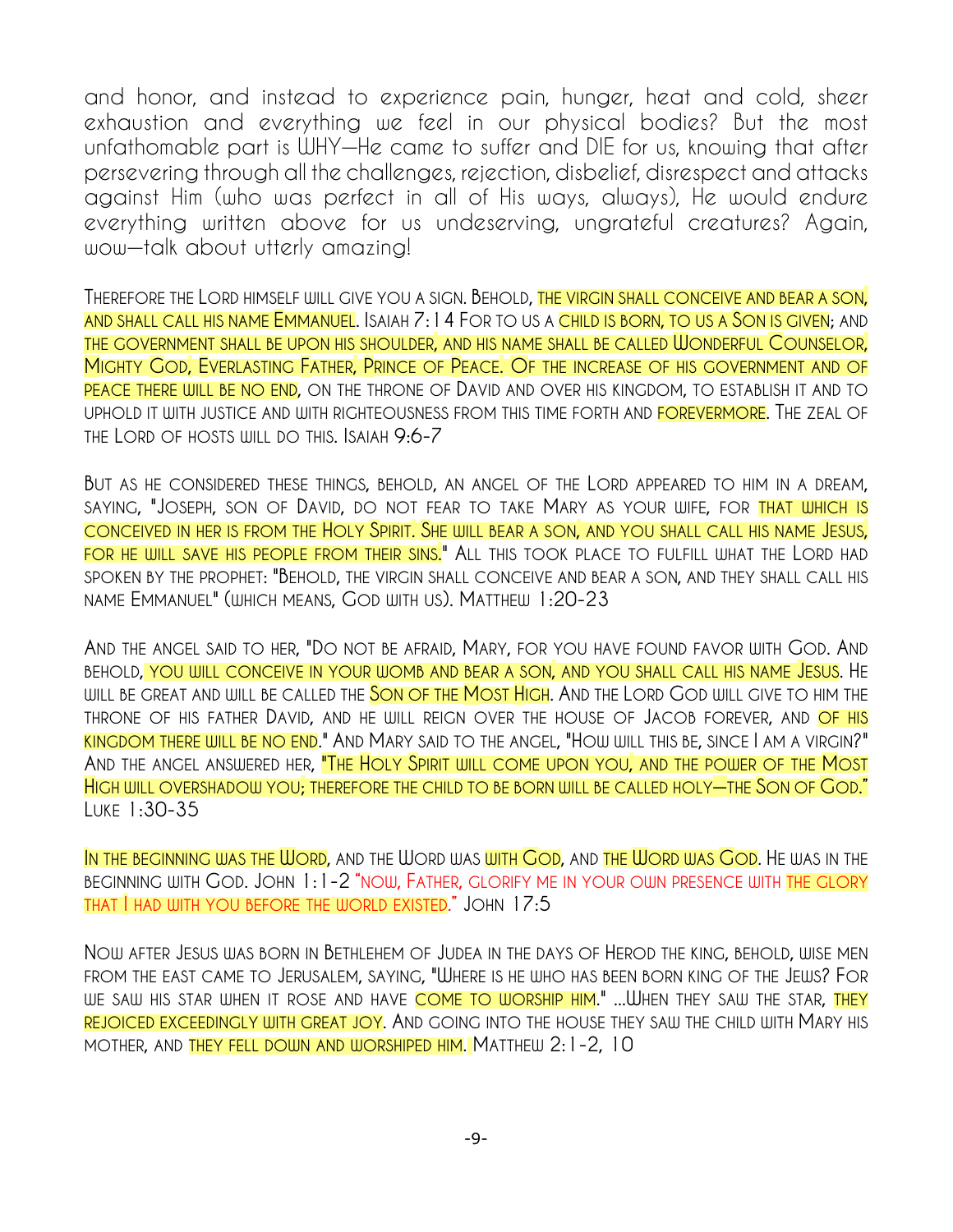and honor, and instead to experience pain, hunger, heat and cold, sheer exhaustion and everything we feel in our physical bodies? But the most unfathomable part is WHY—He came to suffer and DIE for us, knowing that after persevering through all the challenges, rejection, disbelief, disrespect and attacks against Him (who was perfect in all of His ways, always), He would endure everything written above for us undeserving, ungrateful creatures? Again, wow—talk about utterly amazing!

**THEREFORE THE LORD HIMSELF WILL GIVE YOU A SIGN. BEHOLD, THE VIRGIN SHALL CONCEIVE AND BEAR A SON,** and shall call his name Emmanuel. Isaiah 7:14 For to us a child is born. To us a Son is given: and THE GOVERNMENT SHALL BE UPON HIS SHOULDER, AND HIS NAME SHALL BE CALLED WONDERFUL COUNSELOR. **MIGHTY GOD, EVERLASTING FATHER, PRINCE OF PEACE. OF THE INCREASE OF HIS GOVERNMENT AND OF PEACE THERE WILL BE NO END, ON THE THRONE OF DAVID AND OVER HIS KINGDOM, TO ESTABLISH IT AND TO UPHOLD IT WITH JUSTICE AND WITH RIGHTEOUSNESS FROM THIS TIME FORTH AND FOREVERMORE. THE ZEAL OF THE LORD OF HOSTS WILL DO THIS. ISAIAH 9:6-7**

**BUT AS HE CONSIDERED THESE THINGS, BEHOLD, AN ANGEL OF THE LORD APPEARED TO HIM IN A DREAM, SAYING, "JOSEPH, SON OF DAVID, DO NOT FEAR TO TAKE MARY AS YOUR WIFE, FOR THAT WHICH IS** CONCEIVED IN HER IS FROM THE HOLY SPIRIT. SHE WILL BEAR A SON, AND YOU SHALL CALL HIS NAME JESUS, **FOR HE WILL SAVE HIS PEOPLE FROM THEIR SINS." ALL THIS TOOK PLACE TO FULFILL WHAT THE LORD HAD SPOKEN BY THE PROPHET: "BEHOLD, THE VIRGIN SHALL CONCEIVE AND BEAR A SON, AND THEY SHALL CALL HIS NAME EMMANUEL" (WHICH MEANS, GOD WITH US). MATTHEW 1:20-23**

**AND THE ANGEL SAID TO HER, "DO NOT BE AFRAID, MARY, FOR YOU HAVE FOUND FAVOR WITH GOD. AND** BEHOLD, YOU WILL CONCEIVE IN YOUR WOMB AND BEAR A SON, AND YOU SHALL CALL HIS NAME JESUS. HE **WILL BE GREAT AND WILL BE CALLED THE SON OF THE MOST HIGH. AND THE LORD GOD WILL GIVE TO HIM THE THRONE OF HIS FATHER DAVID, AND HE WILL REIGN OVER THE HOUSE OF JACOB FOREVER, AND OF HIS** KINGDOM THERE WILL BE NO END." AND MARY SAID TO THE ANGEL, "HOW WILL THIS BE, SINCE I AM A VIRGIN?" **AND THE ANGEL ANSWERED HER, "THE HOLY SPIRIT WILL COME UPON YOU, AND THE POWER OF THE MOST** HIGH WILL OVERSHADOW YOU; THEREFORE THE CHILD TO BE BORN WILL BE CALLED HOLY—THE SON OF GOD." **LUKE 1:30-35**

IN THE BEGINNING WAS THE WORD, AND THE WORD WAS WITH GOD, AND THE WORD WAS GOD. HE WAS IN THE **BEGINNING WITH GOD. JOHN 1:1-2 "NOW, FATHER, GLORIFY ME IN YOUR OWN PRESENCE WITH THE GLORY THAT I HAD WITH YOU BEFORE THE WORLD EXISTED." JOHN 17:5**

**NOW AFTER JESUS WAS BORN IN BETHLEHEM OF JUDEA IN THE DAYS OF HEROD THE KING, BEHOLD, WISE MEN FROM THE EAST CAME TO JERUSALEM, SAYING, "WHERE IS HE WHO HAS BEEN BORN KING OF THE JEWS? FOR WE SAW HIS STAR WHEN IT ROSE AND HAVE COME TO WORSHIP HIM." ...WHEN THEY SAW THE STAR, THEY REJOICED EXCEEDINGLY WITH GREAT JOY. AND GOING INTO THE HOUSE THEY SAW THE CHILD WITH MARY HIS MOTHER, AND THEY FELL DOWN AND WORSHIPED HIM. MATTHEW 2:1-2, 10**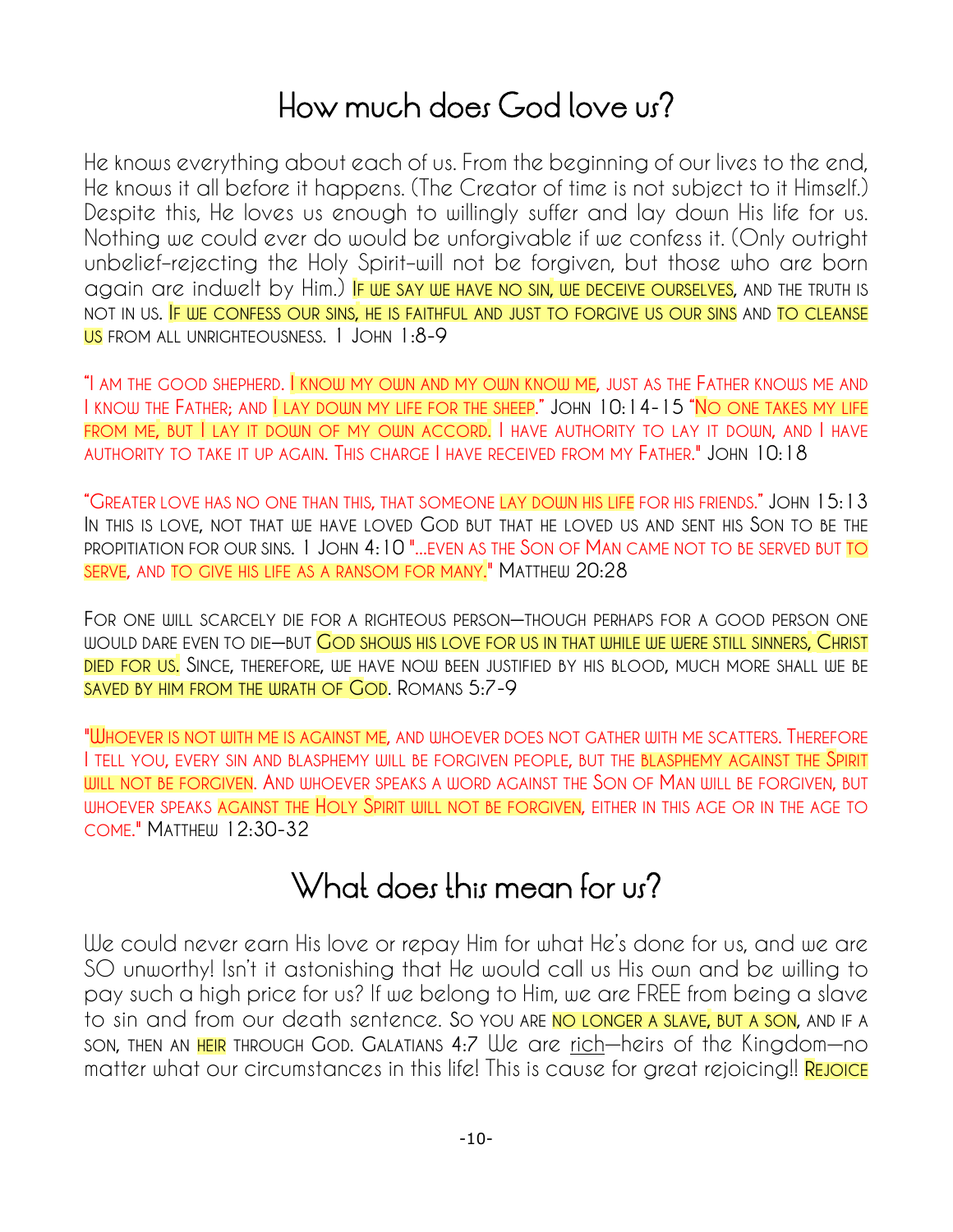#### How much does God love us?

He knows everything about each of us. From the beginning of our lives to the end, He knows it all before it happens. (The Creator of time is not subject to it Himself.) Despite this, He loves us enough to willingly suffer and lay down His life for us. Nothing we could ever do would be unforgivable if we confess it. (Only outright unbelief–rejecting the Holy Spirit–will not be forgiven, but those who are born again are indwelt by Him.) **IF WE SAY WE HAVE NO SIN, WE DECEIVE OURSELVES, AND THE TRUTH IS NOT IN US. IF WE CONFESS OUR SINS, HE IS FAITHFUL AND JUST TO FORGIVE US OUR SINS AND TO CLEANSE US FROM ALL UNRIGHTEOUSNESS. 1 JOHN 1:8-9**

**"I AM THE GOOD SHEPHERD. I KNOW MY OWN AND MY OWN KNOW ME, JUST AS THE FATHER KNOWS ME AND I KNOW THE FATHER; AND I LAY DOWN MY LIFE FOR THE SHEEP." JOHN 10:14-15 "NO ONE TAKES MY LIFE FROM ME, BUT I LAY IT DOWN OF MY OWN ACCORD. I HAVE AUTHORITY TO LAY IT DOWN, AND I HAVE AUTHORITY TO TAKE IT UP AGAIN. THIS CHARGE I HAVE RECEIVED FROM MY FATHER." JOHN 10:18**

**"GREATER LOVE HAS NO ONE THAN THIS, THAT SOMEONE LAY DOWN HIS LIFE FOR HIS FRIENDS." JOHN 15:13 IN THIS IS LOVE, NOT THAT WE HAVE LOVED GOD BUT THAT HE LOVED US AND SENT HIS SON TO BE THE PROPITIATION FOR OUR SINS. 1 JOHN 4:10 "...EVEN AS THE SON OF MAN CAME NOT TO BE SERVED BUT TO SERVE, AND TO GIVE HIS LIFE AS A RANSOM FOR MANY." MATTHEW 20:28**

**FOR ONE WILL SCARCELY DIE FOR A RIGHTEOUS PERSON—THOUGH PERHAPS FOR A GOOD PERSON ONE** WOULD DARE EVEN TO DIE—BUT GOD SHOWS HIS LOVE FOR US IN THAT WHILE WE WERE STILL SINNERS, CHRIST **DIED FOR US. SINCE, THEREFORE, WE HAVE NOW BEEN JUSTIFIED BY HIS BLOOD, MUCH MORE SHALL WE BE SAVED BY HIM FROM THE WRATH OF GOD. ROMANS 5:7-9**

**"WHOEVER IS NOT WITH ME IS AGAINST ME, AND WHOEVER DOES NOT GATHER WITH ME SCATTERS. THEREFORE I TELL YOU, EVERY SIN AND BLASPHEMY WILL BE FORGIVEN PEOPLE, BUT THE BLASPHEMY AGAINST THE SPIRIT WILL NOT BE FORGIVEN. AND WHOEVER SPEAKS A WORD AGAINST THE SON OF MAN WILL BE FORGIVEN, BUT WHOEVER SPEAKS AGAINST THE HOLY SPIRIT WILL NOT BE FORGIVEN, EITHER IN THIS AGE OR IN THE AGE TO COME." MATTHEW 12:30-32**

#### What does this mean for us?

We could never earn His love or repay Him for what He's done for us, and we are SO unworthy! Isn't it astonishing that He would call us His own and be willing to pay such a high price for us? If we belong to Him, we are FREE from being a slave to sin and from our death sentence. **SO YOU ARE NO LONGER A SLAVE, BUT A SON, AND IF A SON, THEN AN HEIR THROUGH GOD. GALATIANS 4:7** We are rich—heirs of the Kingdom—no matter what our circumstances in this life! This is cause for great rejoicing!! **REJOICE**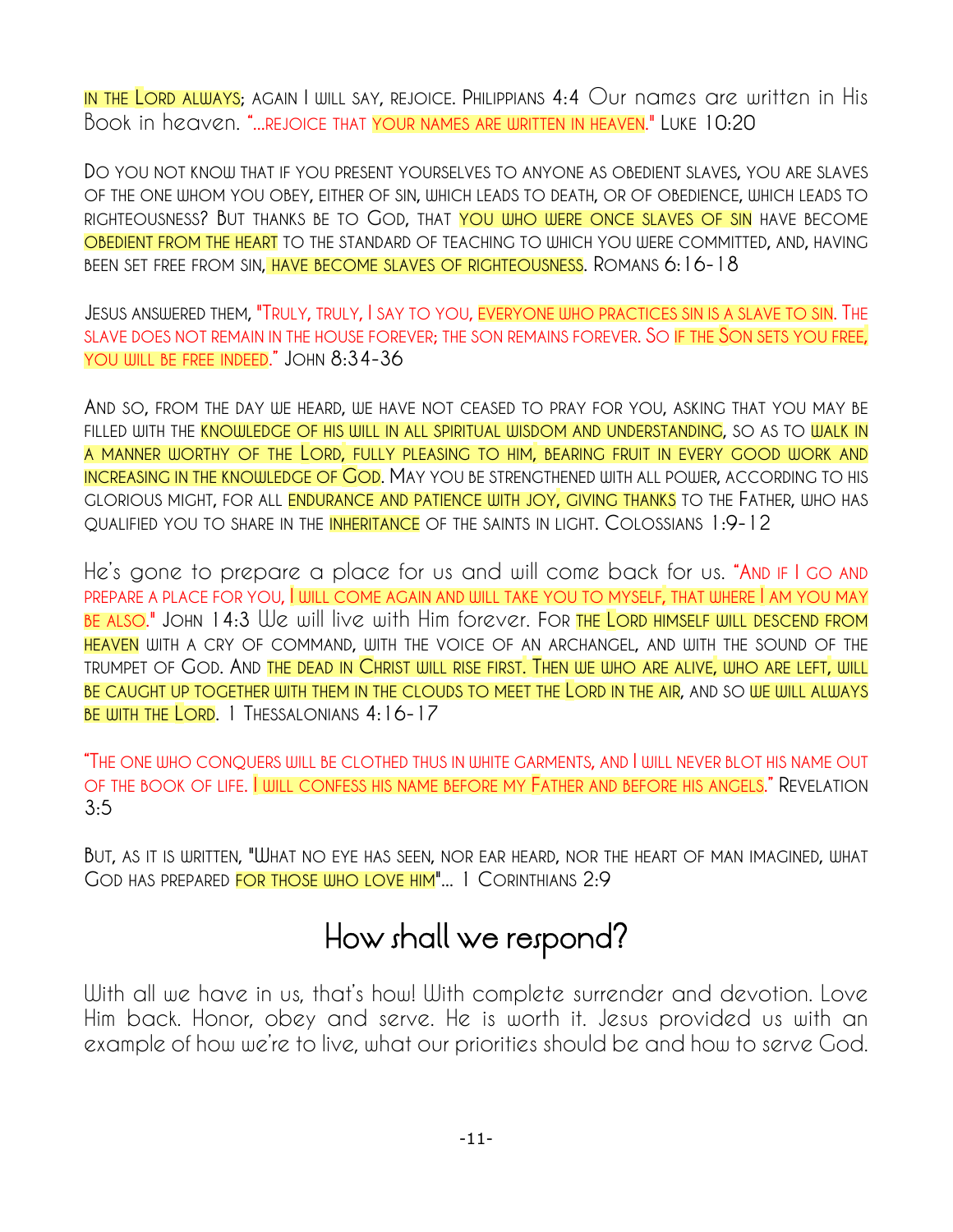**IN THE LORD ALWAYS; AGAIN I WILL SAY, REJOICE. PHILIPPIANS 4:4** Our names are written in His Book in heaven. **"...REJOICE THAT YOUR NAMES ARE WRITTEN IN HEAVEN." LUKE 10:20**

**DO YOU NOT KNOW THAT IF YOU PRESENT YOURSELVES TO ANYONE AS OBEDIENT SLAVES, YOU ARE SLAVES OF THE ONE WHOM YOU OBEY, EITHER OF SIN, WHICH LEADS TO DEATH, OR OF OBEDIENCE, WHICH LEADS TO RIGHTEOUSNESS? BUT THANKS BE TO GOD, THAT YOU WHO WERE ONCE SLAVES OF SIN HAVE BECOME OBEDIENT FROM THE HEART TO THE STANDARD OF TEACHING TO WHICH YOU WERE COMMITTED, AND, HAVING BEEN SET FREE FROM SIN, HAVE BECOME SLAVES OF RIGHTEOUSNESS. ROMANS 6:16-18**

JESUS ANSWERED THEM, "TRULY, TRULY, I SAY TO YOU, EVERYONE WHO PRACTICES SIN IS A SLAVE TO SIN. THE **SLAVE DOES NOT REMAIN IN THE HOUSE FOREVER; THE SON REMAINS FOREVER. SO IF THE SON SETS YOU FREE, YOU WILL BE FREE INDEED." JOHN 8:34-36**

**AND SO, FROM THE DAY WE HEARD, WE HAVE NOT CEASED TO PRAY FOR YOU, ASKING THAT YOU MAY BE FILLED WITH THE KNOWLEDGE OF HIS WILL IN ALL SPIRITUAL WISDOM AND UNDERSTANDING, SO AS TO WALK IN A MANNER WORTHY OF THE LORD, FULLY PLEASING TO HIM, BEARING FRUIT IN EVERY GOOD WORK AND INCREASING IN THE KNOWLEDGE OF GOD. MAY YOU BE STRENGTHENED WITH ALL POWER, ACCORDING TO HIS GLORIOUS MIGHT, FOR ALL ENDURANCE AND PATIENCE WITH JOY, GIVING THANKS TO THE FATHER, WHO HAS QUALIFIED YOU TO SHARE IN THE INHERITANCE OF THE SAINTS IN LIGHT. COLOSSIANS 1:9-12**

He's gone to prepare a place for us and will come back for us. "AND IF I GO AND PREPARE A PLACE FOR YOU, I WILL COME AGAIN AND WILL TAKE YOU TO MYSELF, THAT WHERE I AM YOU MAY **BE ALSO." JOHN 14:3** We will live with Him forever. **FOR THE LORD HIMSELF WILL DESCEND FROM HEAVEN WITH A CRY OF COMMAND, WITH THE VOICE OF AN ARCHANGEL, AND WITH THE SOUND OF THE** TRUMPET OF GOD. AND THE DEAD IN CHRIST WILL RISE FIRST. THEN WE WHO ARE ALIVE, WHO ARE LEFT, WILL BE CAUGHT UP TOGETHER WITH THEM IN THE CLOUDS TO MEET THE LORD IN THE AIR, AND SO WE WILL ALWAYS **BE WITH THE LORD. 1 THESSALONIANS 4:16-17**

**"THE ONE WHO CONQUERS WILL BE CLOTHED THUS IN WHITE GARMENTS, AND I WILL NEVER BLOT HIS NAME OUT OF THE BOOK OF LIFE. I WILL CONFESS HIS NAME BEFORE MY FATHER AND BEFORE HIS ANGELS." REVELATION 3:5**

**BUT, AS IT IS WRITTEN, "WHAT NO EYE HAS SEEN, NOR EAR HEARD, NOR THE HEART OF MAN IMAGINED, WHAT GOD HAS PREPARED FOR THOSE WHO LOVE HIM"... 1 CORINTHIANS 2:9**

#### How shall we respond?

With all we have in us, that's how! With complete surrender and devotion. Love Him back. Honor, obey and serve. He is worth it. Jesus provided us with an example of how we're to live, what our priorities should be and how to serve God.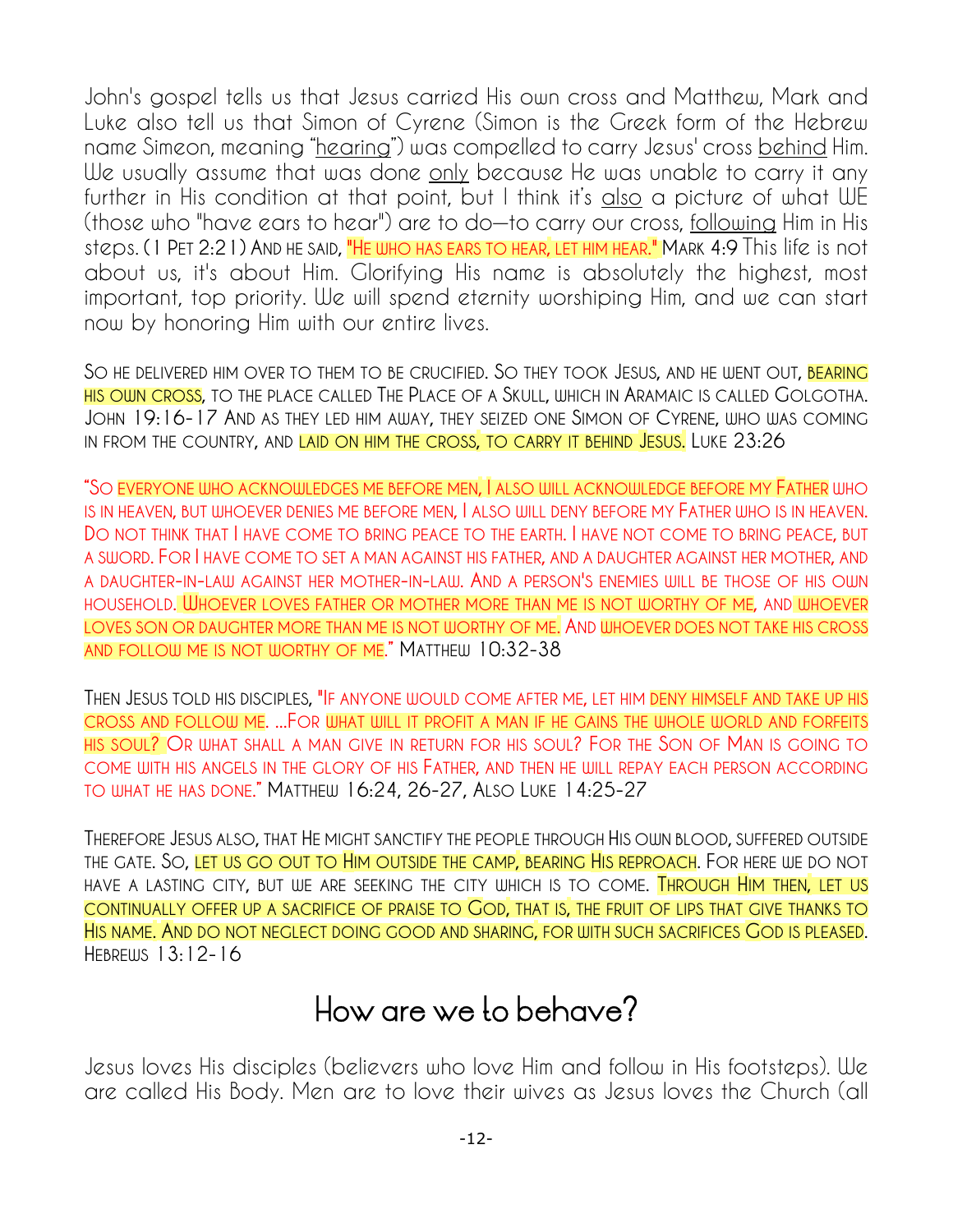John's gospel tells us that Jesus carried His own cross and Matthew, Mark and Luke also tell us that Simon of Cyrene (Simon is the Greek form of the Hebrew name Simeon, meaning "hearing") was compelled to carry Jesus' cross behind Him. We usually assume that was done only because He was unable to carry it any further in His condition at that point, but I think it's also a picture of what WE (those who "have ears to hear") are to do—to carry our cross, following Him in His steps. (1 PET 2:21) AND HE SAID, "HE WHO HAS EARS TO HEAR, LET HIM HEAR." MARK 4:9 This life is not about us, it's about Him. Glorifying His name is absolutely the highest, most important, top priority. We will spend eternity worshiping Him, and we can start now by honoring Him with our entire lives.

**SO HE DELIVERED HIM OVER TO THEM TO BE CRUCIFIED. SO THEY TOOK JESUS, AND HE WENT OUT, BEARING HIS OWN CROSS, TO THE PLACE CALLED THE PLACE OF A SKULL, WHICH IN ARAMAIC IS CALLED GOLGOTHA. JOHN 19:16-17 AND AS THEY LED HIM AWAY, THEY SEIZED ONE SIMON OF CYRENE, WHO WAS COMING IN FROM THE COUNTRY, AND LAID ON HIM THE CROSS, TO CARRY IT BEHIND JESUS. LUKE 23:26**

**"SO EVERYONE WHO ACKNOWLEDGES ME BEFORE MEN, I ALSO WILL ACKNOWLEDGE BEFORE MY FATHER WHO IS IN HEAVEN, BUT WHOEVER DENIES ME BEFORE MEN, I ALSO WILL DENY BEFORE MY FATHER WHO IS IN HEAVEN. DO NOT THINK THAT I HAVE COME TO BRING PEACE TO THE EARTH. I HAVE NOT COME TO BRING PEACE, BUT A SWORD. FOR I HAVE COME TO SET A MAN AGAINST HIS FATHER, AND A DAUGHTER AGAINST HER MOTHER, AND A DAUGHTER-IN-LAW AGAINST HER MOTHER-IN-LAW. AND A PERSON'S ENEMIES WILL BE THOSE OF HIS OWN HOUSEHOLD. WHOEVER LOVES FATHER OR MOTHER MORE THAN ME IS NOT WORTHY OF ME, AND WHOEVER** LOVES SON OR DAUGHTER MORE THAN ME IS NOT WORTHY OF ME. AND WHOEVER DOES NOT TAKE HIS CROSS **AND FOLLOW ME IS NOT WORTHY OF ME." MATTHEW 10:32-38**

**THEN JESUS TOLD HIS DISCIPLES, "IF ANYONE WOULD COME AFTER ME, LET HIM DENY HIMSELF AND TAKE UP HIS** CROSS AND FOLLOW ME. ... FOR WHAT WILL IT PROFIT A MAN IF HE GAINS THE WHOLE WORLD AND FORFEITS **HIS SOUL? OR WHAT SHALL A MAN GIVE IN RETURN FOR HIS SOUL? FOR THE SON OF MAN IS GOING TO COME WITH HIS ANGELS IN THE GLORY OF HIS FATHER, AND THEN HE WILL REPAY EACH PERSON ACCORDING TO WHAT HE HAS DONE." MATTHEW 16:24, 26-27, ALSO LUKE 14:25-27**

**THEREFORE JESUS ALSO, THAT HE MIGHT SANCTIFY THE PEOPLE THROUGH HIS OWN BLOOD, SUFFERED OUTSIDE** The Gate. So, Let us go out to Him outside the camp, bearing His reproach. For here we do not **HAVE A LASTING CITY, BUT WE ARE SEEKING THE CITY WHICH IS TO COME. THROUGH HIM THEN, LET US** CONTINUALLY OFFER UP A SACRIFICE OF PRAISE TO GOD, THAT IS, THE FRUIT OF LIPS THAT GIVE THANKS TO HIS NAME. AND DO NOT NEGLECT DOING GOOD AND SHARING, FOR WITH SUCH SACRIFICES GOD IS PLEASED. **HEBREWS 13:12-16**

#### How are we to behave?

Jesus loves His disciples (believers who love Him and follow in His footsteps). We are called His Body. Men are to love their wives as Jesus loves the Church (all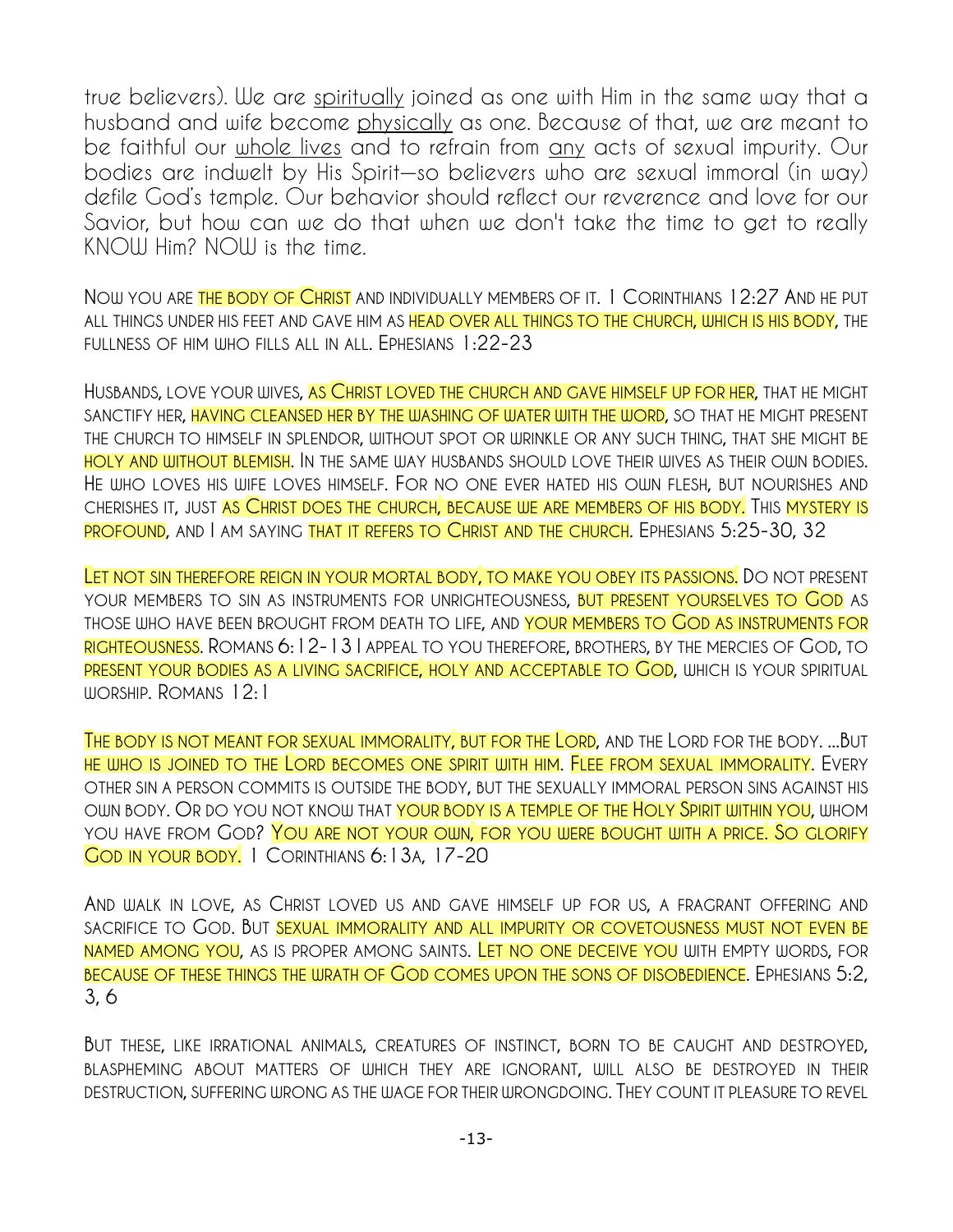true believers). We are spiritually joined as one with Him in the same way that a husband and wife become physically as one. Because of that, we are meant to be faithful our whole lives and to refrain from any acts of sexual impurity. Our bodies are indwelt by His Spirit—so believers who are sexual immoral (in way) defile God's temple. Our behavior should reflect our reverence and love for our Savior, but how can we do that when we don't take the time to get to really KNOW Him? NOW is the time.

**NOW YOU ARE THE BODY OF CHRIST AND INDIVIDUALLY MEMBERS OF IT. 1 CORINTHIANS 12:27 AND HE PUT ALL THINGS UNDER HIS FEET AND GAVE HIM AS HEAD OVER ALL THINGS TO THE CHURCH, WHICH IS HIS BODY, THE FULLNESS OF HIM WHO FILLS ALL IN ALL. EPHESIANS 1:22-23**

Husbands, love your wives, AS Christ loved the church and gave himself up for her, that he might **SANCTIFY HER, HAVING CLEANSED HER BY THE WASHING OF WATER WITH THE WORD, SO THAT HE MIGHT PRESENT THE CHURCH TO HIMSELF IN SPLENDOR, WITHOUT SPOT OR WRINKLE OR ANY SUCH THING, THAT SHE MIGHT BE HOLY AND WITHOUT BLEMISH. IN THE SAME WAY HUSBANDS SHOULD LOVE THEIR WIVES AS THEIR OWN BODIES. HE WHO LOVES HIS WIFE LOVES HIMSELF. FOR NO ONE EVER HATED HIS OWN FLESH, BUT NOURISHES AND** CHERISHES IT, JUST AS CHRIST DOES THE CHURCH, BECAUSE WE ARE MEMBERS OF HIS BODY. THIS MYSTERY IS **PROFOUND, AND I AM SAYING THAT IT REFERS TO CHRIST AND THE CHURCH. EPHESIANS 5:25-30, 32**

LET NOT SIN THEREFORE REIGN IN YOUR MORTAL BODY, TO MAKE YOU OBEY ITS PASSIONS. DO NOT PRESENT **YOUR MEMBERS TO SIN AS INSTRUMENTS FOR UNRIGHTEOUSNESS, BUT PRESENT YOURSELVES TO GOD AS THOSE WHO HAVE BEEN BROUGHT FROM DEATH TO LIFE, AND YOUR MEMBERS TO GOD AS INSTRUMENTS FOR RIGHTEOUSNESS. ROMANS 6:12-13 I APPEAL TO YOU THEREFORE, BROTHERS, BY THE MERCIES OF GOD, TO PRESENT YOUR BODIES AS A LIVING SACRIFICE, HOLY AND ACCEPTABLE TO GOD, WHICH IS YOUR SPIRITUAL WORSHIP. ROMANS 12:1**

The body is not meant for sexual immorality, but for the Lord, and the Lord for the body. ...But HE WHO IS JOINED TO THE LORD BECOMES ONE SPIRIT WITH HIM. FLEE FROM SEXUAL IMMORALITY. EVERY **OTHER SIN A PERSON COMMITS IS OUTSIDE THE BODY, BUT THE SEXUALLY IMMORAL PERSON SINS AGAINST HIS OWN BODY. OR DO YOU NOT KNOW THAT YOUR BODY IS A TEMPLE OF THE HOLY SPIRIT WITHIN YOU, WHOM** YOU HAVE FROM GOD? YOU ARE NOT YOUR OWN, FOR YOU WERE BOUGHT WITH A PRICE. SO GLORIFY **GOD IN YOUR BODY. 1 CORINTHIANS 6:13A, 17-20**

**AND WALK IN LOVE, AS CHRIST LOVED US AND GAVE HIMSELF UP FOR US, A FRAGRANT OFFERING AND SACRIFICE TO GOD. BUT SEXUAL IMMORALITY AND ALL IMPURITY OR COVETOUSNESS MUST NOT EVEN BE NAMED AMONG YOU, AS IS PROPER AMONG SAINTS. LET NO ONE DECEIVE YOU WITH EMPTY WORDS, FOR** BECAUSE OF THESE THINGS THE WRATH OF GOD COMES UPON THE SONS OF DISOBEDIENCE. EPHESIANS 5:2, **3, 6**

**BUT THESE, LIKE IRRATIONAL ANIMALS, CREATURES OF INSTINCT, BORN TO BE CAUGHT AND DESTROYED, BLASPHEMING ABOUT MATTERS OF WHICH THEY ARE IGNORANT, WILL ALSO BE DESTROYED IN THEIR DESTRUCTION, SUFFERING WRONG AS THE WAGE FOR THEIR WRONGDOING. THEY COUNT IT PLEASURE TO REVEL**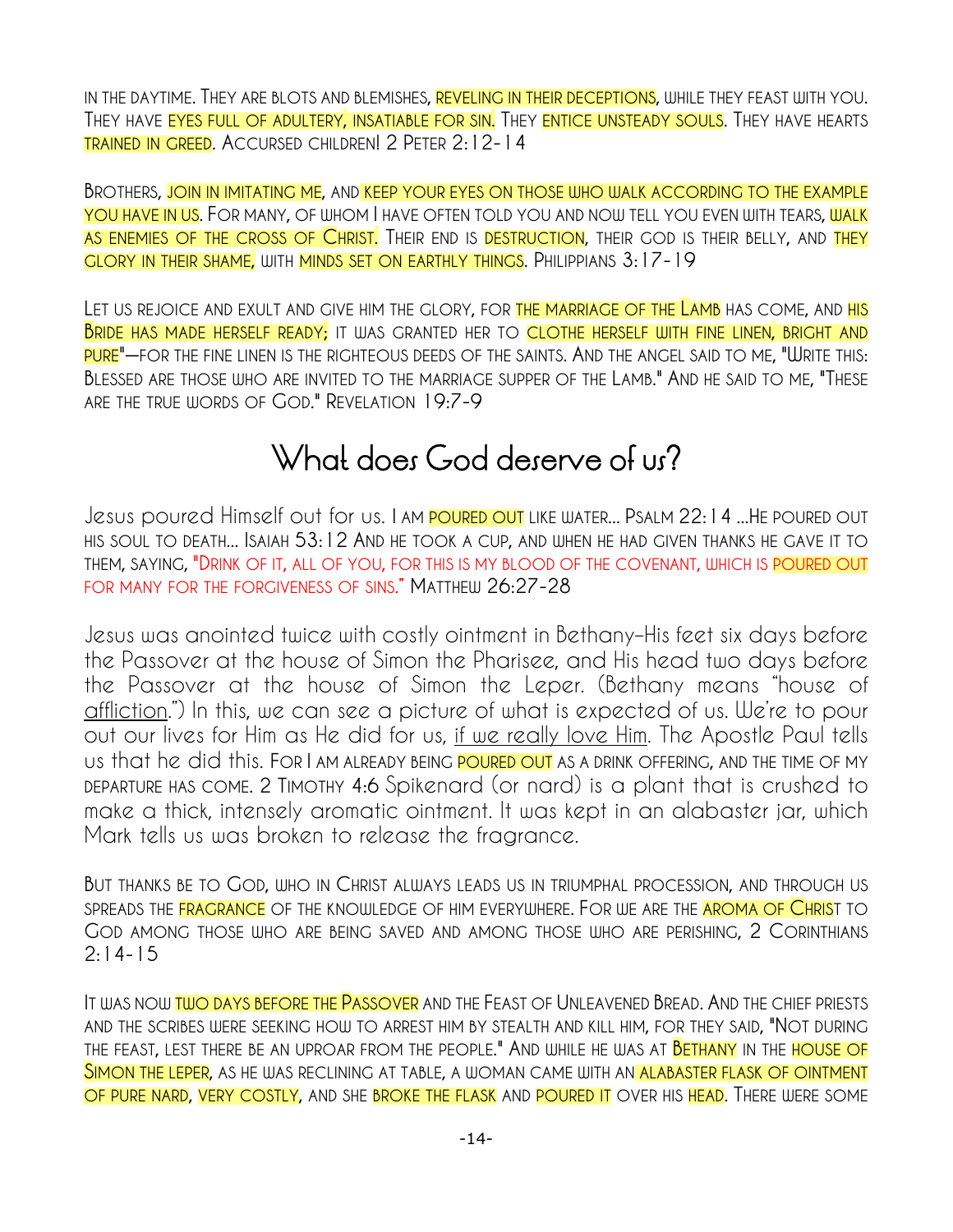**IN THE DAYTIME. THEY ARE BLOTS AND BLEMISHES, REVELING IN THEIR DECEPTIONS, WHILE THEY FEAST WITH YOU. THEY HAVE EYES FULL OF ADULTERY, INSATIABLE FOR SIN. THEY ENTICE UNSTEADY SOULS. THEY HAVE HEARTS TRAINED IN GREED. ACCURSED CHILDREN! 2 PETER 2:12-14**

BROTHERS, JOIN IN IMITATING ME, AND KEEP YOUR EYES ON THOSE WHO WALK ACCORDING TO THE EXAMPLE **YOU HAVE IN US. FOR MANY, OF WHOM I HAVE OFTEN TOLD YOU AND NOW TELL YOU EVEN WITH TEARS, WALK AS ENEMIES OF THE CROSS OF CHRIST. THEIR END IS DESTRUCTION, THEIR GOD IS THEIR BELLY, AND THEY GLORY IN THEIR SHAME, WITH MINDS SET ON EARTHLY THINGS. PHILIPPIANS 3:17-19**

**LET US REJOICE AND EXULT AND GIVE HIM THE GLORY, FOR THE MARRIAGE OF THE LAMB HAS COME, AND HIS BRIDE HAS MADE HERSELF READY; IT WAS GRANTED HER TO CLOTHE HERSELF WITH FINE LINEN, BRIGHT AND PURE"—FOR THE FINE LINEN IS THE RIGHTEOUS DEEDS OF THE SAINTS. AND THE ANGEL SAID TO ME, "WRITE THIS: BLESSED ARE THOSE WHO ARE INVITED TO THE MARRIAGE SUPPER OF THE LAMB." AND HE SAID TO ME, "THESE ARE THE TRUE WORDS OF GOD." REVELATION 19:7-9**

### What does God deserve of us?

Jesus poured Himself out for us. **I AM POURED OUT LIKE WATER... PSALM 22:14 ...HE POURED OUT HIS SOUL TO DEATH... ISAIAH 53:12 AND HE TOOK A CUP, AND WHEN HE HAD GIVEN THANKS HE GAVE IT TO THEM, SAYING, "DRINK OF IT, ALL OF YOU, FOR THIS IS MY BLOOD OF THE COVENANT, WHICH IS POURED OUT FOR MANY FOR THE FORGIVENESS OF SINS." MATTHEW 26:27-28**

Jesus was anointed twice with costly ointment in Bethany–His feet six days before the Passover at the house of Simon the Pharisee, and His head two days before the Passover at the house of Simon the Leper. (Bethany means "house of affliction.") In this, we can see a picture of what is expected of us. We're to pour out our lives for Him as He did for us, if we really love Him. The Apostle Paul tells us that he did this. **FOR I AM ALREADY BEING POURED OUT AS A DRINK OFFERING, AND THE TIME OF MY DEPARTURE HAS COME. 2 TIMOTHY 4:6** Spikenard (or nard) is a plant that is crushed to make a thick, intensely aromatic ointment. It was kept in an alabaster jar, which Mark tells us was broken to release the fragrance.

**BUT THANKS BE TO GOD, WHO IN CHRIST ALWAYS LEADS US IN TRIUMPHAL PROCESSION, AND THROUGH US SPREADS THE FRAGRANCE OF THE KNOWLEDGE OF HIM EVERYWHERE. FOR WE ARE THE AROMA OF CHRIST TO GOD AMONG THOSE WHO ARE BEING SAVED AND AMONG THOSE WHO ARE PERISHING, 2 CORINTHIANS 2:14-15**

**IT WAS NOW TWO DAYS BEFORE THE PASSOVER AND THE FEAST OF UNLEAVENED BREAD. AND THE CHIEF PRIESTS AND THE SCRIBES WERE SEEKING HOW TO ARREST HIM BY STEALTH AND KILL HIM, FOR THEY SAID, "NOT DURING THE FEAST, LEST THERE BE AN UPROAR FROM THE PEOPLE." AND WHILE HE WAS AT BETHANY IN THE HOUSE OF SIMON THE LEPER, AS HE WAS RECLINING AT TABLE, A WOMAN CAME WITH AN ALABASTER FLASK OF OINTMENT OF PURE NARD, VERY COSTLY, AND SHE BROKE THE FLASK AND POURED IT OVER HIS HEAD. THERE WERE SOME**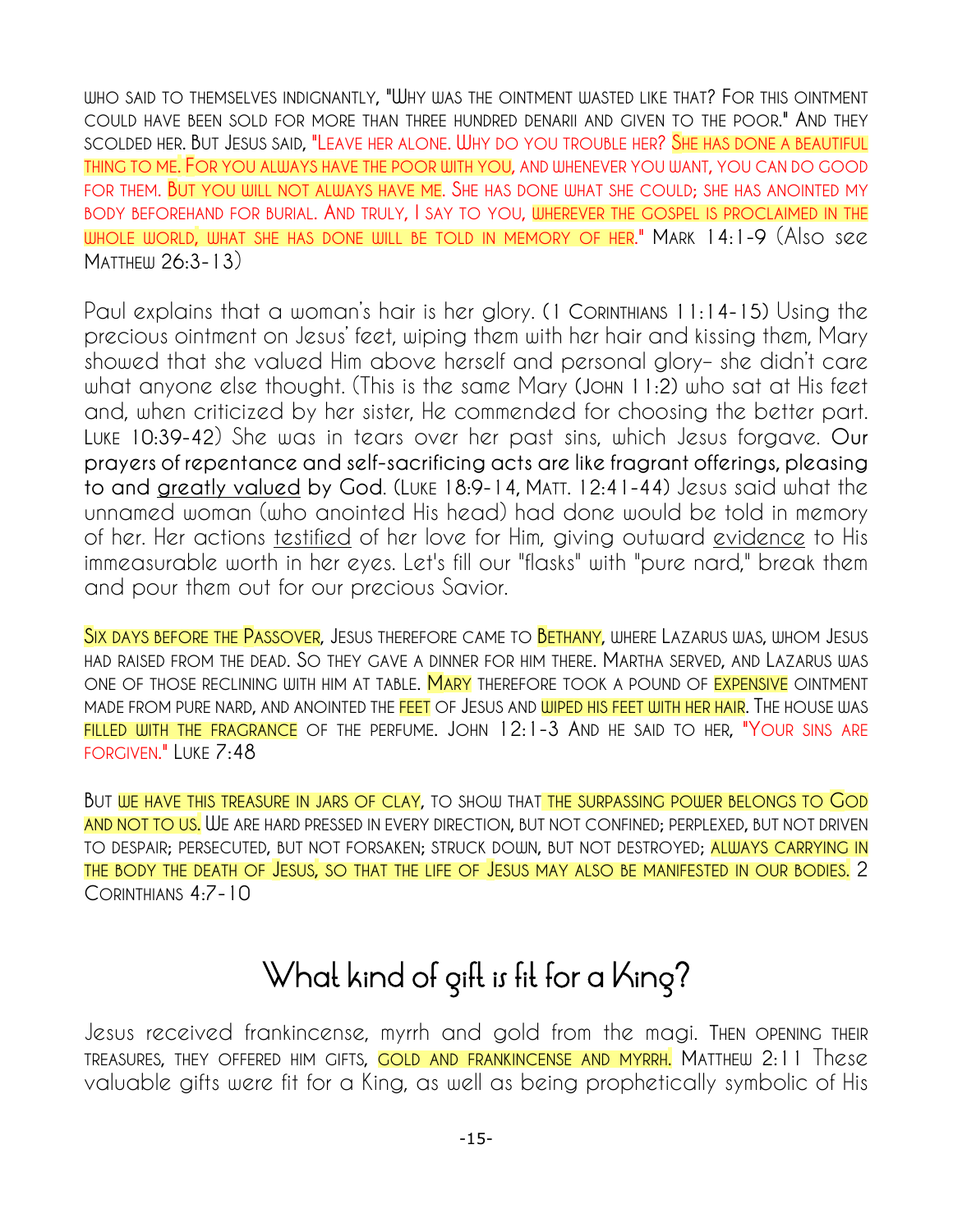**WHO SAID TO THEMSELVES INDIGNANTLY, "WHY WAS THE OINTMENT WASTED LIKE THAT? FOR THIS OINTMENT COULD HAVE BEEN SOLD FOR MORE THAN THREE HUNDRED DENARII AND GIVEN TO THE POOR." AND THEY** scolded her. But Jesus said, "Leave her alone. Why do you trouble her? She has done a beautiful **THING TO ME. FOR YOU ALWAYS HAVE THE POOR WITH YOU, AND WHENEVER YOU WANT, YOU CAN DO GOOD FOR THEM. BUT YOU WILL NOT ALWAYS HAVE ME. SHE HAS DONE WHAT SHE COULD; SHE HAS ANOINTED MY BODY BEFOREHAND FOR BURIAL. AND TRULY, I SAY TO YOU, WHEREVER THE GOSPEL IS PROCLAIMED IN THE WHOLE WORLD, WHAT SHE HAS DONE WILL BE TOLD IN MEMORY OF HER." MARK 14:1-9** (Also see **MATTHEW 26:3-13**)

Paul explains that a woman's hair is her glory. **(1 CORINTHIANS 11:14-15)** Using the precious ointment on Jesus' feet, wiping them with her hair and kissing them, Mary showed that she valued Him above herself and personal glory– she didn't care what anyone else thought. (This is the same Mary **(JOHN 11:2)** who sat at His feet and, when criticized by her sister, He commended for choosing the better part. **LUKE 10:39-42**) She was in tears over her past sins, which Jesus forgave. **Our prayers of repentance and self-sacrificing acts are like fragrant offerings, pleasing to and greatly valued by God**. **(LUKE 18:9-14, MATT. 12:41-44)** Jesus said what the unnamed woman (who anointed His head) had done would be told in memory of her. Her actions testified of her love for Him, giving outward evidence to His immeasurable worth in her eyes. Let's fill our "flasks" with "pure nard," break them and pour them out for our precious Savior.

SIX days before the Passover, Jesus therefore came to Bethany, where Lazarus was, whom Jesus **HAD RAISED FROM THE DEAD. SO THEY GAVE A DINNER FOR HIM THERE. MARTHA SERVED, AND LAZARUS WAS ONE OF THOSE RECLINING WITH HIM AT TABLE. MARY THEREFORE TOOK A POUND OF EXPENSIVE OINTMENT MADE FROM PURE NARD, AND ANOINTED THE FEET OF JESUS AND WIPED HIS FEET WITH HER HAIR. THE HOUSE WAS FILLED WITH THE FRAGRANCE OF THE PERFUME. JOHN 12:1-3 AND HE SAID TO HER, "YOUR SINS ARE FORGIVEN." LUKE 7:48**

**BUT WE HAVE THIS TREASURE IN JARS OF CLAY, TO SHOW THAT THE SURPASSING POWER BELONGS TO GOD AND NOT TO US. WE ARE HARD PRESSED IN EVERY DIRECTION, BUT NOT CONFINED; PERPLEXED, BUT NOT DRIVEN TO DESPAIR; PERSECUTED, BUT NOT FORSAKEN; STRUCK DOWN, BUT NOT DESTROYED; ALWAYS CARRYING IN** THE BODY THE DEATH OF JESUS, SO THAT THE LIFE OF JESUS MAY ALSO BE MANIFESTED IN OUR BODIES. 2 **CORINTHIANS 4:7-10**

# What kind of gift is fit for a King?

Jesus received frankincense, myrrh and gold from the magi. **THEN OPENING THEIR TREASURES, THEY OFFERED HIM GIFTS, GOLD AND FRANKINCENSE AND MYRRH. MATTHEW 2:11** These valuable gifts were fit for a King, as well as being prophetically symbolic of His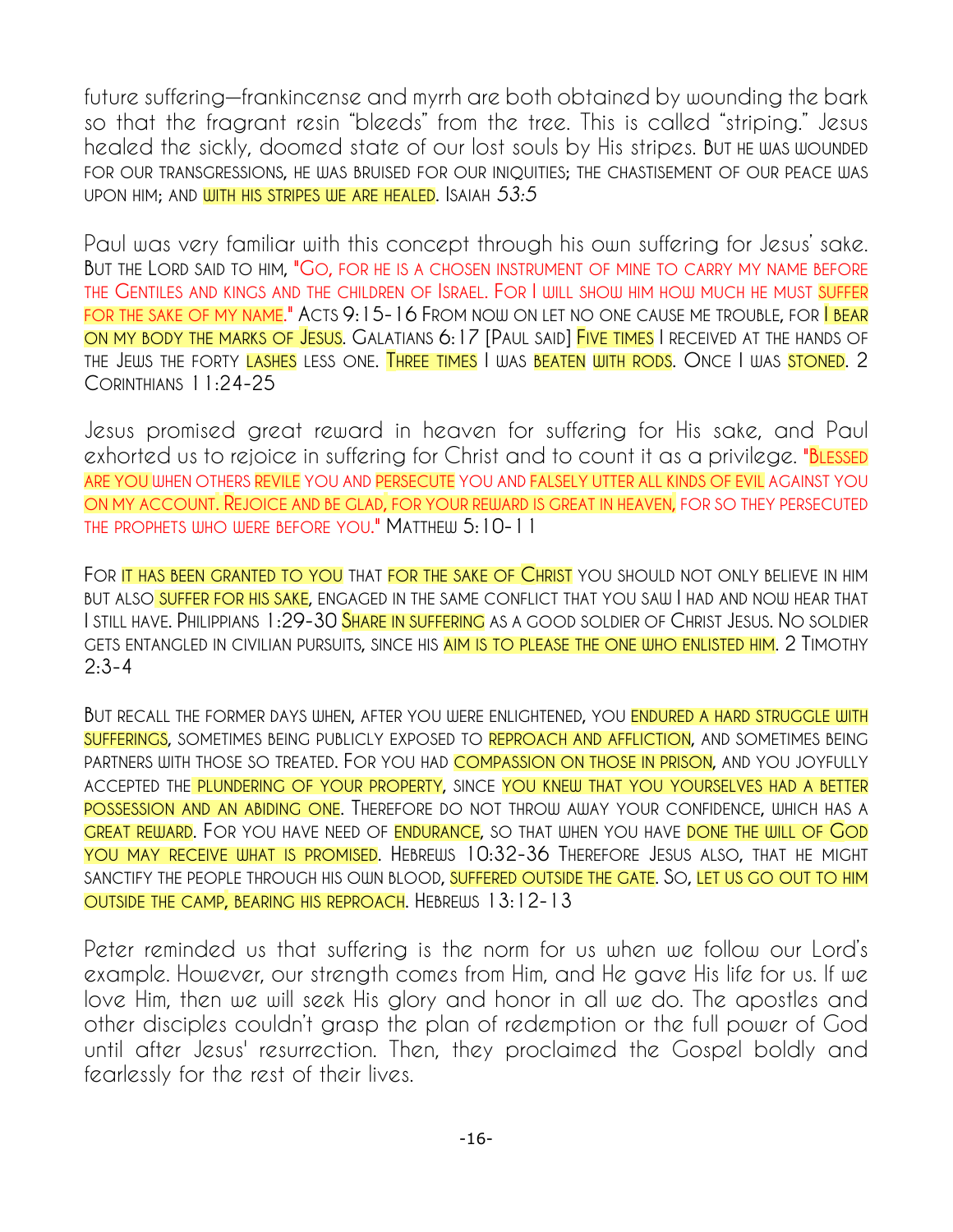future suffering—frankincense and myrrh are both obtained by wounding the bark so that the fragrant resin "bleeds" from the tree. This is called "striping." Jesus healed the sickly, doomed state of our lost souls by His stripes. **BUT HE WAS WOUNDED FOR OUR TRANSGRESSIONS, HE WAS BRUISED FOR OUR INIQUITIES; THE CHASTISEMENT OF OUR PEACE WAS UPON HIM; AND WITH HIS STRIPES WE ARE HEALED. ISAIAH** *53:5*

Paul was very familiar with this concept through his own suffering for Jesus' sake. **BUT THE LORD SAID TO HIM, "GO, FOR HE IS A CHOSEN INSTRUMENT OF MINE TO CARRY MY NAME BEFORE THE GENTILES AND KINGS AND THE CHILDREN OF ISRAEL. FOR I WILL SHOW HIM HOW MUCH HE MUST SUFFER FOR THE SAKE OF MY NAME." ACTS 9:15-16 FROM NOW ON LET NO ONE CAUSE ME TROUBLE, FOR I BEAR** ON MY BODY THE MARKS OF JESUS. GALATIANS 6:17 [PAUL SAID] FIVE TIMES I RECEIVED AT THE HANDS OF **THE JEWS THE FORTY LASHES LESS ONE. THREE TIMES I WAS BEATEN WITH RODS. ONCE I WAS STONED. 2 CORINTHIANS 11:24-25**

Jesus promised great reward in heaven for suffering for His sake, and Paul exhorted us to rejoice in suffering for Christ and to count it as a privilege. **"BLESSED ARE YOU WHEN OTHERS REVILE YOU AND PERSECUTE YOU AND FALSELY UTTER ALL KINDS OF EVIL AGAINST YOU** ON MY ACCOUNT. REJOICE AND BE GLAD, FOR YOUR REWARD IS GREAT IN HEAVEN, FOR SO THEY PERSECUTED **THE PROPHETS WHO WERE BEFORE YOU." MATTHEW 5:10-11**

**FOR IT HAS BEEN GRANTED TO YOU THAT FOR THE SAKE OF CHRIST YOU SHOULD NOT ONLY BELIEVE IN HIM BUT ALSO SUFFER FOR HIS SAKE, ENGAGED IN THE SAME CONFLICT THAT YOU SAW I HAD AND NOW HEAR THAT I STILL HAVE. PHILIPPIANS 1:29-30 SHARE IN SUFFERING AS A GOOD SOLDIER OF CHRIST JESUS. NO SOLDIER GETS ENTANGLED IN CIVILIAN PURSUITS, SINCE HIS AIM IS TO PLEASE THE ONE WHO ENLISTED HIM. 2 TIMOTHY 2:3-4**

**BUT RECALL THE FORMER DAYS WHEN, AFTER YOU WERE ENLIGHTENED, YOU ENDURED A HARD STRUGGLE WITH SUFFERINGS, SOMETIMES BEING PUBLICLY EXPOSED TO REPROACH AND AFFLICTION, AND SOMETIMES BEING PARTNERS WITH THOSE SO TREATED. FOR YOU HAD COMPASSION ON THOSE IN PRISON, AND YOU JOYFULLY ACCEPTED THE PLUNDERING OF YOUR PROPERTY, SINCE YOU KNEW THAT YOU YOURSELVES HAD A BETTER POSSESSION AND AN ABIDING ONE. THEREFORE DO NOT THROW AWAY YOUR CONFIDENCE, WHICH HAS A GREAT REWARD. FOR YOU HAVE NEED OF ENDURANCE, SO THAT WHEN YOU HAVE DONE THE WILL OF GOD YOU MAY RECEIVE WHAT IS PROMISED. HEBREWS 10:32-36 THEREFORE JESUS ALSO, THAT HE MIGHT SANCTIFY THE PEOPLE THROUGH HIS OWN BLOOD, SUFFERED OUTSIDE THE GATE. SO, LET US GO OUT TO HIM OUTSIDE THE CAMP, BEARING HIS REPROACH. HEBREWS 13:12-13**

Peter reminded us that suffering is the norm for us when we follow our Lord's example. However, our strength comes from Him, and He gave His life for us. If we love Him, then we will seek His glory and honor in all we do. The apostles and other disciples couldn't grasp the plan of redemption or the full power of God until after Jesus' resurrection. Then, they proclaimed the Gospel boldly and fearlessly for the rest of their lives.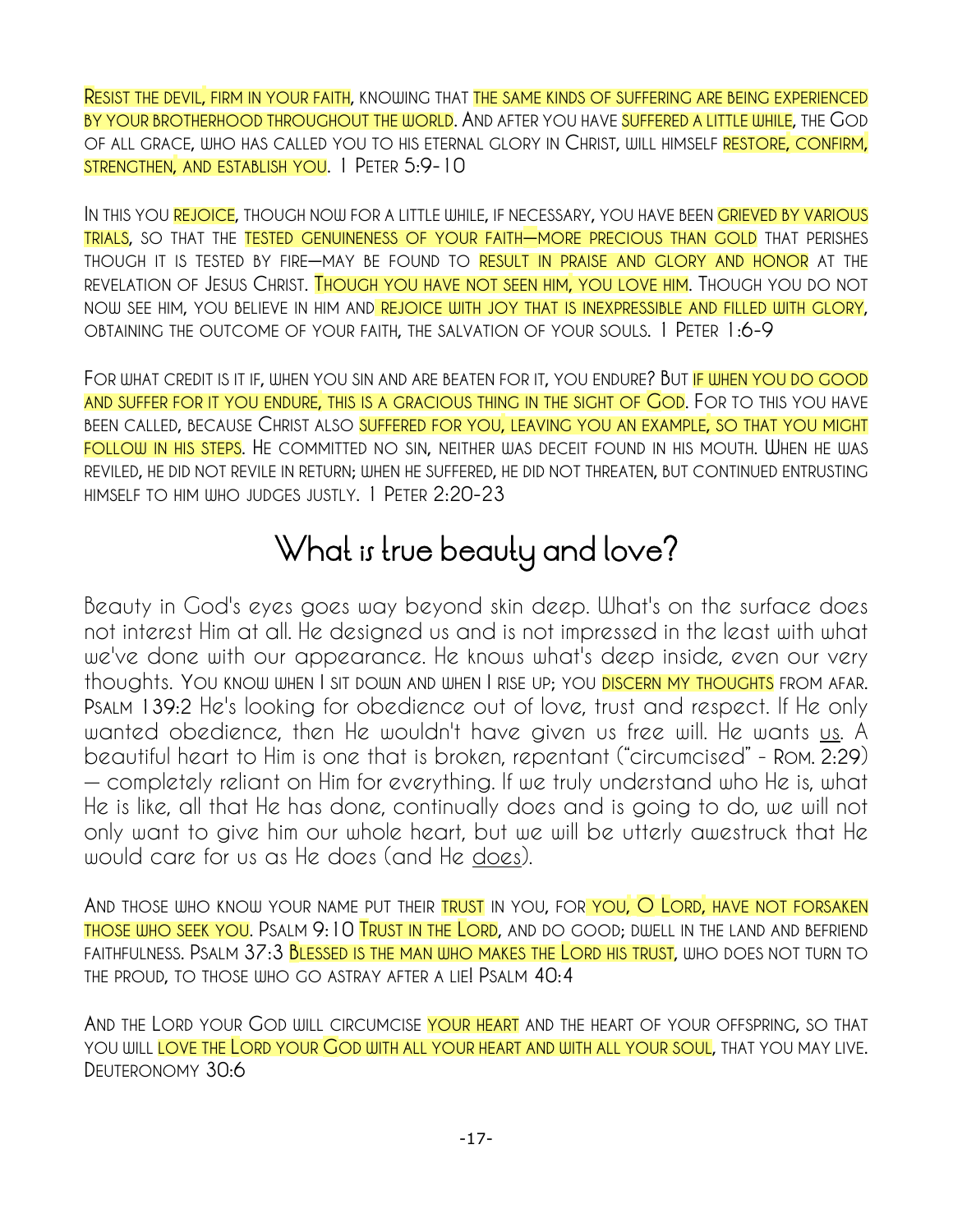**RESIST THE DEVIL, FIRM IN YOUR FAITH, KNOWING THAT THE SAME KINDS OF SUFFERING ARE BEING EXPERIENCED BY YOUR BROTHERHOOD THROUGHOUT THE WORLD. AND AFTER YOU HAVE SUFFERED A LITTLE WHILE, THE GOD OF ALL GRACE, WHO HAS CALLED YOU TO HIS ETERNAL GLORY IN CHRIST, WILL HIMSELF RESTORE, CONFIRM, STRENGTHEN, AND ESTABLISH YOU. 1 PETER 5:9-10**

**IN THIS YOU REJOICE, THOUGH NOW FOR A LITTLE WHILE, IF NECESSARY, YOU HAVE BEEN GRIEVED BY VARIOUS TRIALS, SO THAT THE TESTED GENUINENESS OF YOUR FAITH—MORE PRECIOUS THAN GOLD THAT PERISHES THOUGH IT IS TESTED BY FIRE—MAY BE FOUND TO RESULT IN PRAISE AND GLORY AND HONOR AT THE REVELATION OF JESUS CHRIST. THOUGH YOU HAVE NOT SEEN HIM, YOU LOVE HIM. THOUGH YOU DO NOT NOW SEE HIM, YOU BELIEVE IN HIM AND REJOICE WITH JOY THAT IS INEXPRESSIBLE AND FILLED WITH GLORY, OBTAINING THE OUTCOME OF YOUR FAITH, THE SALVATION OF YOUR SOULS. 1 PETER 1:6-9**

**FOR WHAT CREDIT IS IT IF, WHEN YOU SIN AND ARE BEATEN FOR IT, YOU ENDURE? BUT IF WHEN YOU DO GOOD** AND SUFFER FOR IT YOU ENDURE, THIS IS A GRACIOUS THING IN THE SIGHT OF GOD. FOR TO THIS YOU HAVE **BEEN CALLED, BECAUSE CHRIST ALSO SUFFERED FOR YOU, LEAVING YOU AN EXAMPLE, SO THAT YOU MIGHT FOLLOW IN HIS STEPS. HE COMMITTED NO SIN, NEITHER WAS DECEIT FOUND IN HIS MOUTH. WHEN HE WAS REVILED, HE DID NOT REVILE IN RETURN; WHEN HE SUFFERED, HE DID NOT THREATEN, BUT CONTINUED ENTRUSTING HIMSELF TO HIM WHO JUDGES JUSTLY. 1 PETER 2:20-23**

### What is true beauty and love?

Beauty in God's eyes goes way beyond skin deep. What's on the surface does not interest Him at all. He designed us and is not impressed in the least with what we've done with our appearance. He knows what's deep inside, even our very thoughts. **YOU KNOW WHEN I SIT DOWN AND WHEN I RISE UP; YOU DISCERN MY THOUGHTS FROM AFAR. PSALM 139:2** He's looking for obedience out of love, trust and respect. If He only wanted obedience, then He wouldn't have given us free will. He wants us. A beautiful heart to Him is one that is broken, repentant ("circumcised" - **ROM. 2:29**) — completely reliant on Him for everything. If we truly understand who He is, what He is like, all that He has done, continually does and is going to do, we will not only want to give him our whole heart, but we will be utterly awestruck that He would care for us as He does (and He does).

**AND THOSE WHO KNOW YOUR NAME PUT THEIR TRUST IN YOU, FOR YOU, O LORD, HAVE NOT FORSAKEN THOSE WHO SEEK YOU.** PSALM 9:10 TRUST IN THE LORD, AND DO GOOD; DWELL IN THE LAND AND BEFRIEND Faithfulness. Psalm 37:3 Blessed is the man who makes the Lord his trust, who does not turn to **THE PROUD, TO THOSE WHO GO ASTRAY AFTER A LIE! PSALM 40:4**

**AND THE LORD YOUR GOD WILL CIRCUMCISE YOUR HEART AND THE HEART OF YOUR OFFSPRING, SO THAT** YOU WILL LOVE THE LORD YOUR GOD WITH ALL YOUR HEART AND WITH ALL YOUR SOUL, THAT YOU MAY LIVE. **DEUTERONOMY 30:6**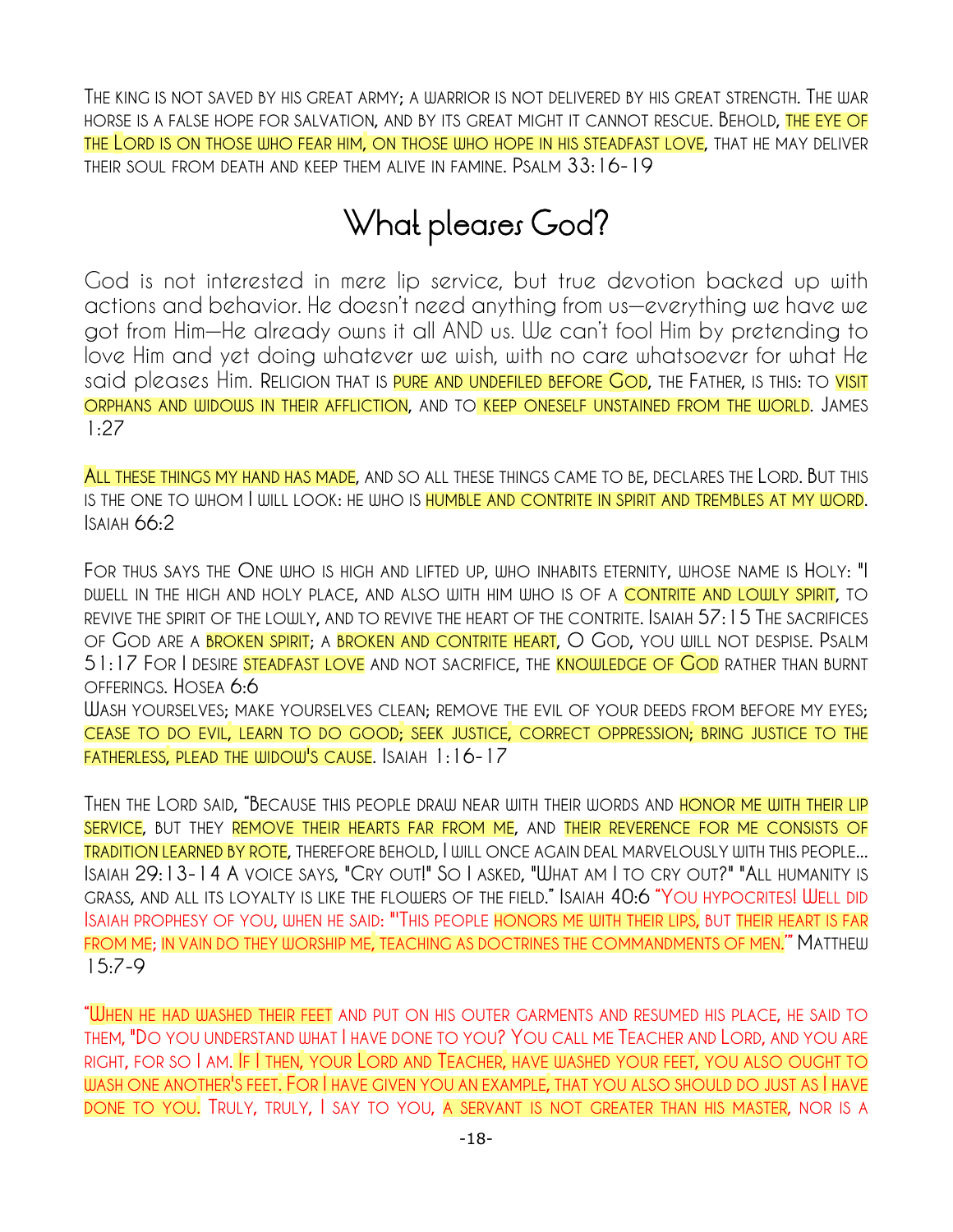**THE KING IS NOT SAVED BY HIS GREAT ARMY; A WARRIOR IS NOT DELIVERED BY HIS GREAT STRENGTH. THE WAR HORSE IS A FALSE HOPE FOR SALVATION, AND BY ITS GREAT MIGHT IT CANNOT RESCUE. BEHOLD, THE EYE OF** THE LORD IS ON THOSE WHO FEAR HIM, ON THOSE WHO HOPE IN HIS STEADFAST LOVE, THAT HE MAY DELIVER **THEIR SOUL FROM DEATH AND KEEP THEM ALIVE IN FAMINE. PSALM 33:16-19**

# What pleases God?

God is not interested in mere lip service, but true devotion backed up with actions and behavior. He doesn't need anything from us—everything we have we got from Him—He already owns it all AND us. We can't fool Him by pretending to love Him and yet doing whatever we wish, with no care whatsoever for what He said pleases Him. **RELIGION THAT IS PURE AND UNDEFILED BEFORE GOD, THE FATHER, IS THIS: TO VISIT ORPHANS AND WIDOWS IN THEIR AFFLICTION, AND TO KEEP ONESELF UNSTAINED FROM THE WORLD. JAMES 1:27**

**ALL THESE THINGS MY HAND HAS MADE, AND SO ALL THESE THINGS CAME TO BE, DECLARES THE LORD. BUT THIS IS THE ONE TO WHOM I WILL LOOK: HE WHO IS HUMBLE AND CONTRITE IN SPIRIT AND TREMBLES AT MY WORD. ISAIAH 66:2**

**FOR THUS SAYS THE ONE WHO IS HIGH AND LIFTED UP, WHO INHABITS ETERNITY, WHOSE NAME IS HOLY: "I DWELL IN THE HIGH AND HOLY PLACE, AND ALSO WITH HIM WHO IS OF A CONTRITE AND LOWLY SPIRIT, TO REVIVE THE SPIRIT OF THE LOWLY, AND TO REVIVE THE HEART OF THE CONTRITE. ISAIAH 57:15 THE SACRIFICES OF GOD ARE A BROKEN SPIRIT; A BROKEN AND CONTRITE HEART, O GOD, YOU WILL NOT DESPISE. PSALM 51:17 FOR I DESIRE STEADFAST LOVE AND NOT SACRIFICE, THE KNOWLEDGE OF GOD RATHER THAN BURNT OFFERINGS. HOSEA 6:6**

**WASH YOURSELVES; MAKE YOURSELVES CLEAN; REMOVE THE EVIL OF YOUR DEEDS FROM BEFORE MY EYES; CEASE TO DO EVIL, LEARN TO DO GOOD; SEEK JUSTICE, CORRECT OPPRESSION; BRING JUSTICE TO THE FATHERLESS, PLEAD THE WIDOW'S CAUSE. ISAIAH 1:16-17**

**THEN THE LORD SAID, "BECAUSE THIS PEOPLE DRAW NEAR WITH THEIR WORDS AND HONOR ME WITH THEIR LIP SERVICE, BUT THEY REMOVE THEIR HEARTS FAR FROM ME, AND THEIR REVERENCE FOR ME CONSISTS OF TRADITION LEARNED BY ROTE, THEREFORE BEHOLD, I WILL ONCE AGAIN DEAL MARVELOUSLY WITH THIS PEOPLE...** ISAIAH 29:13-14 A VOICE SAYS, "CRY OUT!" SO I ASKED, "WHAT AM I TO CRY OUT?" "ALL HUMANITY IS **GRASS, AND ALL ITS LOYALTY IS LIKE THE FLOWERS OF THE FIELD." ISAIAH 40:6 "YOU HYPOCRITES! WELL DID ISAIAH PROPHESY OF YOU, WHEN HE SAID: "'THIS PEOPLE HONORS ME WITH THEIR LIPS, BUT THEIR HEART IS FAR** FROM ME; IN VAIN DO THEY WORSHIP ME, TEACHING AS DOCTRINES THE COMMANDMENTS OF MEN." MATTHEW **15:7-9**

**"WHEN HE HAD WASHED THEIR FEET AND PUT ON HIS OUTER GARMENTS AND RESUMED HIS PLACE, HE SAID TO THEM, "DO YOU UNDERSTAND WHAT I HAVE DONE TO YOU? YOU CALL ME TEACHER AND LORD, AND YOU ARE** RIGHT, FOR SO I AM. IF I THEN, YOUR LORD AND TEACHER, HAVE WASHED YOUR FEET, YOU ALSO OUGHT TO WASH ONE ANOTHER'S FEET. FOR I HAVE GIVEN YOU AN EXAMPLE, THAT YOU ALSO SHOULD DO JUST AS I HAVE **DONE TO YOU. TRULY, TRULY, I SAY TO YOU, A SERVANT IS NOT GREATER THAN HIS MASTER, NOR IS A**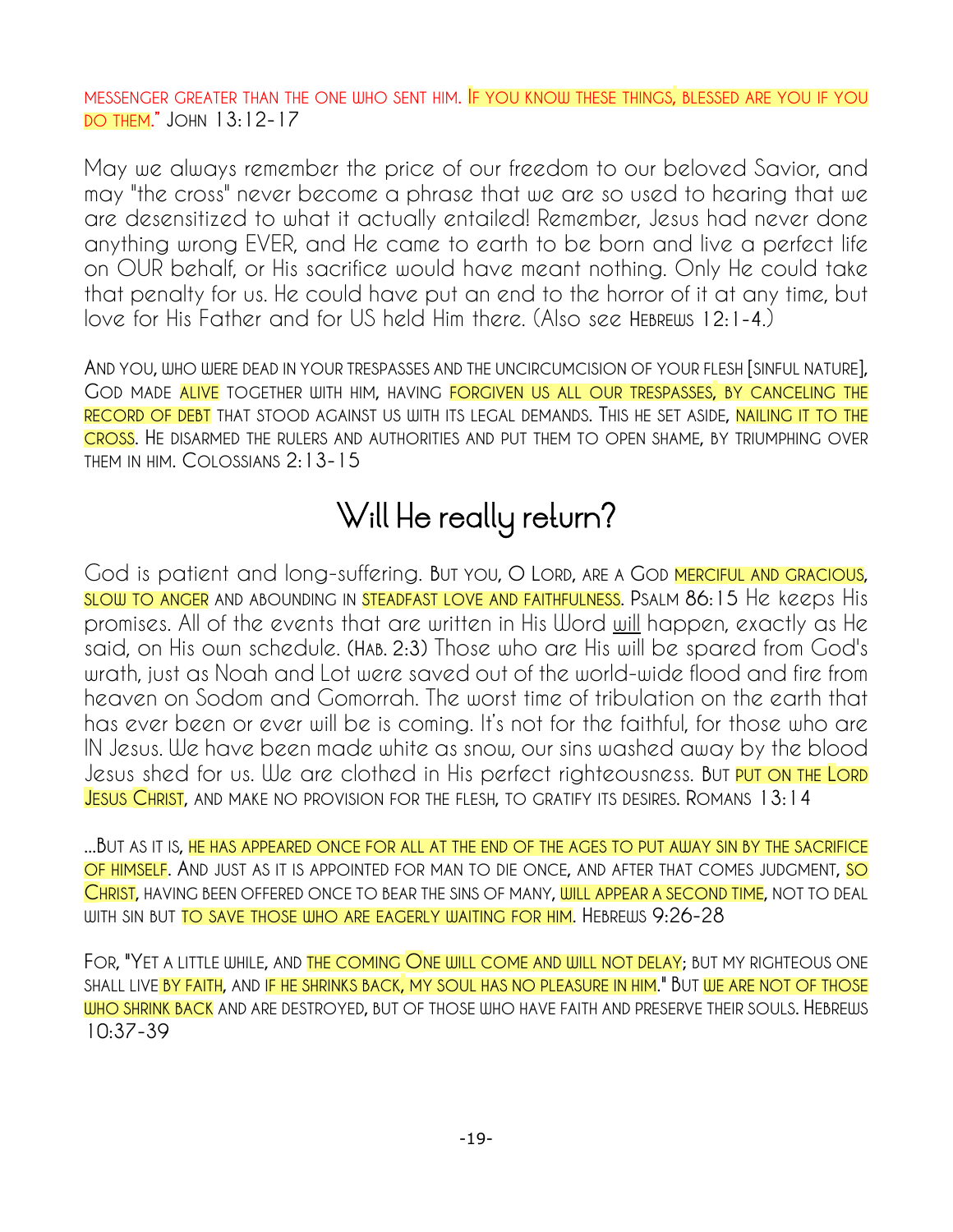**MESSENGER GREATER THAN THE ONE WHO SENT HIM. IF YOU KNOW THESE THINGS, BLESSED ARE YOU IF YOU DO THEM." JOHN 13:12-17**

May we always remember the price of our freedom to our beloved Savior, and may "the cross" never become a phrase that we are so used to hearing that we are desensitized to what it actually entailed! Remember, Jesus had never done anything wrong EVER, and He came to earth to be born and live a perfect life on OUR behalf, or His sacrifice would have meant nothing. Only He could take that penalty for us. He could have put an end to the horror of it at any time, but love for His Father and for US held Him there. (Also see **HEBREWS 12:1-4**.)

**AND YOU, WHO WERE DEAD IN YOUR TRESPASSES AND THE UNCIRCUMCISION OF YOUR FLESH [SINFUL NATURE], GOD MADE ALIVE TOGETHER WITH HIM, HAVING FORGIVEN US ALL OUR TRESPASSES, BY CANCELING THE RECORD OF DEBT THAT STOOD AGAINST US WITH ITS LEGAL DEMANDS. THIS HE SET ASIDE, NAILING IT TO THE CROSS. HE DISARMED THE RULERS AND AUTHORITIES AND PUT THEM TO OPEN SHAME, BY TRIUMPHING OVER THEM IN HIM. COLOSSIANS 2:13-15**

#### Will He really return?

God is patient and long-suffering. **BUT YOU, O LORD, ARE A GOD MERCIFUL AND GRACIOUS, SLOW TO ANGER AND ABOUNDING IN STEADFAST LOVE AND FAITHFULNESS. PSALM 86:15** He keeps His promises. All of the events that are written in His Word will happen, exactly as He said, on His own schedule. **(HAB. 2:3)** Those who are His will be spared from God's wrath, just as Noah and Lot were saved out of the world-wide flood and fire from heaven on Sodom and Gomorrah. The worst time of tribulation on the earth that has ever been or ever will be is coming. It's not for the faithful, for those who are IN Jesus. We have been made white as snow, our sins washed away by the blood Jesus shed for us. We are clothed in His perfect righteousness. **BUT PUT ON THE LORD JESUS CHRIST, AND MAKE NO PROVISION FOR THE FLESH, TO GRATIFY ITS DESIRES. ROMANS 13:14**

...BUT AS IT IS, HE HAS APPEARED ONCE FOR ALL AT THE END OF THE AGES TO PUT AWAY SIN BY THE SACRIFICE **OF HIMSELF. AND JUST AS IT IS APPOINTED FOR MAN TO DIE ONCE, AND AFTER THAT COMES JUDGMENT, SO CHRIST, HAVING BEEN OFFERED ONCE TO BEAR THE SINS OF MANY, WILL APPEAR A SECOND TIME, NOT TO DEAL WITH SIN BUT TO SAVE THOSE WHO ARE EAGERLY WAITING FOR HIM. HEBREWS 9:26-28**

**FOR, "YET A LITTLE WHILE, AND THE COMING ONE WILL COME AND WILL NOT DELAY; BUT MY RIGHTEOUS ONE** SHALL LIVE BY FAITH, AND IF HE SHRINKS BACK, MY SOUL HAS NO PLEASURE IN HIM." BUT WE ARE NOT OF THOSE **WHO SHRINK BACK AND ARE DESTROYED, BUT OF THOSE WHO HAVE FAITH AND PRESERVE THEIR SOULS. HEBREWS 10:37-39**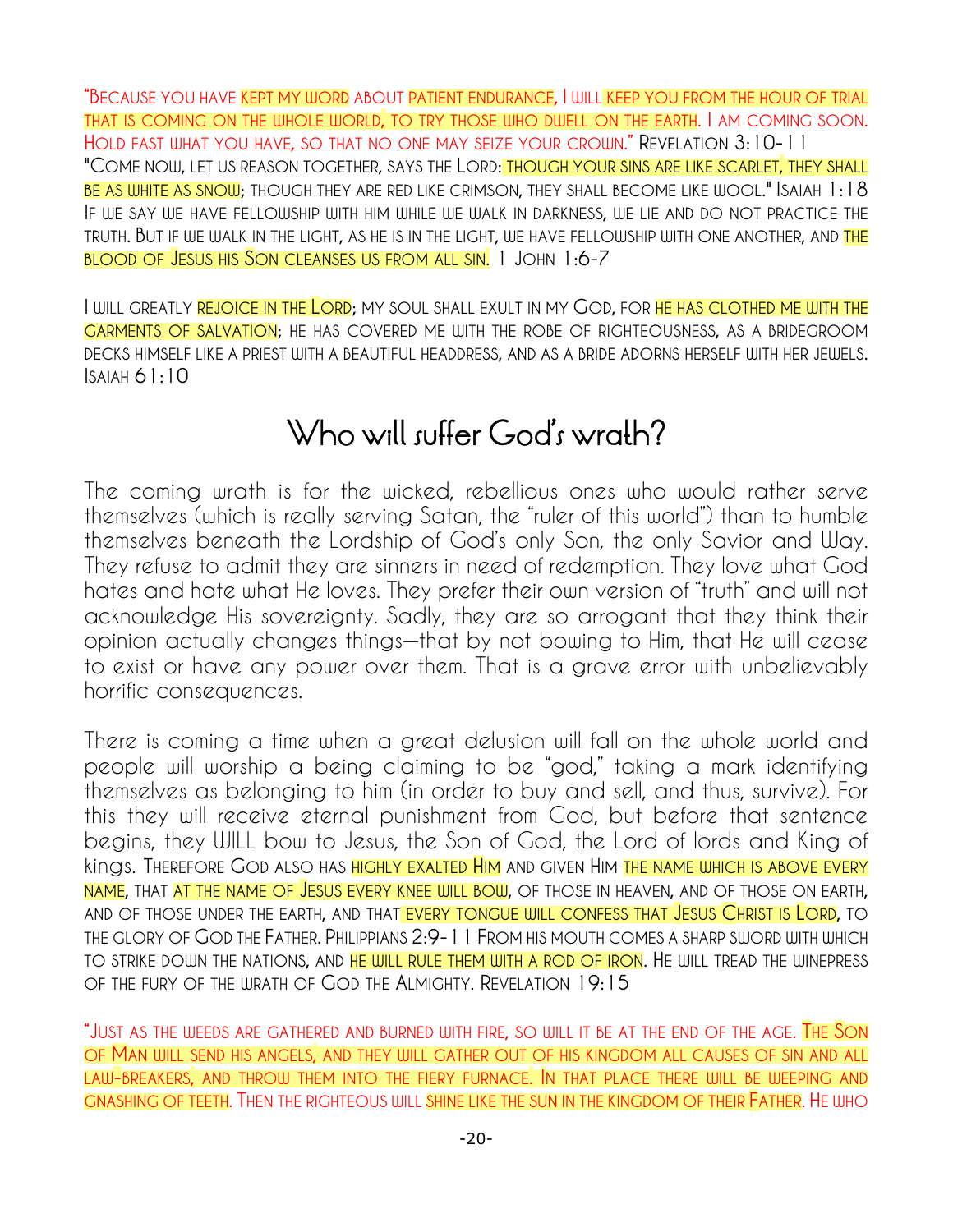**"BECAUSE YOU HAVE KEPT MY WORD ABOUT PATIENT ENDURANCE, I WILL KEEP YOU FROM THE HOUR OF TRIAL THAT IS COMING ON THE WHOLE WORLD, TO TRY THOSE WHO DWELL ON THE EARTH. I AM COMING SOON. HOLD FAST WHAT YOU HAVE, SO THAT NO ONE MAY SEIZE YOUR CROWN." REVELATION 3:10-11 "COME NOW, LET US REASON TOGETHER, SAYS THE LORD: THOUGH YOUR SINS ARE LIKE SCARLET, THEY SHALL BE AS WHITE AS SNOW; THOUGH THEY ARE RED LIKE CRIMSON, THEY SHALL BECOME LIKE WOOL." ISAIAH 1:18 IF WE SAY WE HAVE FELLOWSHIP WITH HIM WHILE WE WALK IN DARKNESS, WE LIE AND DO NOT PRACTICE THE TRUTH. BUT IF WE WALK IN THE LIGHT, AS HE IS IN THE LIGHT, WE HAVE FELLOWSHIP WITH ONE ANOTHER, AND THE BLOOD OF JESUS HIS SON CLEANSES US FROM ALL SIN. 1 JOHN 1:6-7**

**I WILL GREATLY REJOICE IN THE LORD; MY SOUL SHALL EXULT IN MY GOD, FOR HE HAS CLOTHED ME WITH THE GARMENTS OF SALVATION; HE HAS COVERED ME WITH THE ROBE OF RIGHTEOUSNESS, AS A BRIDEGROOM DECKS HIMSELF LIKE A PRIEST WITH A BEAUTIFUL HEADDRESS, AND AS A BRIDE ADORNS HERSELF WITH HER JEWELS. ISAIAH 61:10**

### Who will suffer God's wrath?

The coming wrath is for the wicked, rebellious ones who would rather serve themselves (which is really serving Satan, the "ruler of this world") than to humble themselves beneath the Lordship of God's only Son, the only Savior and Way. They refuse to admit they are sinners in need of redemption. They love what God hates and hate what He loves. They prefer their own version of "truth" and will not acknowledge His sovereignty. Sadly, they are so arrogant that they think their opinion actually changes things—that by not bowing to Him, that He will cease to exist or have any power over them. That is a grave error with unbelievably horrific consequences.

There is coming a time when a great delusion will fall on the whole world and people will worship a being claiming to be "god," taking a mark identifying themselves as belonging to him (in order to buy and sell, and thus, survive). For this they will receive eternal punishment from God, but before that sentence begins, they WILL bow to Jesus, the Son of God, the Lord of lords and King of kings. **THEREFORE GOD ALSO HAS HIGHLY EXALTED HIM AND GIVEN HIM THE NAME WHICH IS ABOVE EVERY NAME, THAT AT THE NAME OF JESUS EVERY KNEE WILL BOW, OF THOSE IN HEAVEN, AND OF THOSE ON EARTH, AND OF THOSE UNDER THE EARTH, AND THAT EVERY TONGUE WILL CONFESS THAT JESUS CHRIST IS LORD, TO THE GLORY OF GOD THE FATHER. PHILIPPIANS 2:9-11 FROM HIS MOUTH COMES A SHARP SWORD WITH WHICH TO STRIKE DOWN THE NATIONS, AND HE WILL RULE THEM WITH A ROD OF IRON. HE WILL TREAD THE WINEPRESS OF THE FURY OF THE WRATH OF GOD THE ALMIGHTY. REVELATION 19:15**

**"JUST AS THE WEEDS ARE GATHERED AND BURNED WITH FIRE, SO WILL IT BE AT THE END OF THE AGE. THE SON OF MAN WILL SEND HIS ANGELS, AND THEY WILL GATHER OUT OF HIS KINGDOM ALL CAUSES OF SIN AND ALL** LAW-BREAKERS, AND THROW THEM INTO THE FIERY FURNACE. IN THAT PLACE THERE WILL BE WEEPING AND GNASHING OF TEETH. THEN THE RIGHTEOUS WILL SHINE LIKE THE SUN IN THE KINGDOM OF THEIR FATHER. HE WHO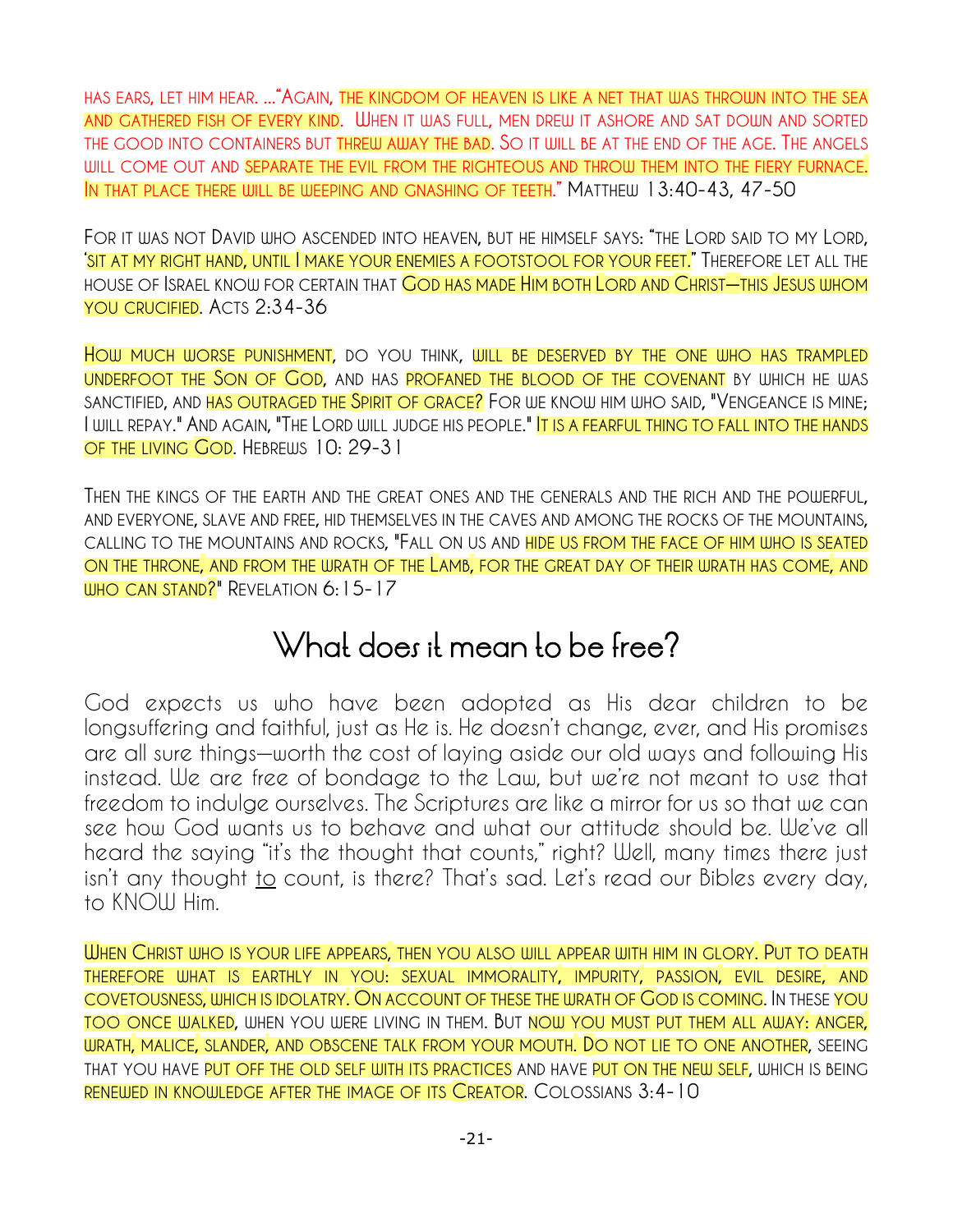HAS EARS. LET HIM HEAR, ... "AGAIN. THE KINGDOM OF HEAVEN IS LIKE A NET THAT WAS THROWN INTO THE SEA **AND GATHERED FISH OF EVERY KIND. WHEN IT WAS FULL, MEN DREW IT ASHORE AND SAT DOWN AND SORTED THE GOOD INTO CONTAINERS BUT THREW AWAY THE BAD. SO IT WILL BE AT THE END OF THE AGE. THE ANGELS WILL COME OUT AND SEPARATE THE EVIL FROM THE RIGHTEOUS AND THROW THEM INTO THE FIERY FURNACE. IN THAT PLACE THERE WILL BE WEEPING AND GNASHING OF TEETH." MATTHEW 13:40-43, 47-50**

**FOR IT WAS NOT DAVID WHO ASCENDED INTO HEAVEN, BUT HE HIMSELF SAYS: "THE LORD SAID TO MY LORD,** 'SIT AT MY RIGHT HAND, UNTIL I MAKE YOUR ENEMIES A FOOTSTOOL FOR YOUR FEET." THEREFORE LET ALL THE house of Israel know for certain that God has made Him both Lord and Christ—this Jesus whom **YOU CRUCIFIED. ACTS 2:34-36**

**HOW MUCH WORSE PUNISHMENT, DO YOU THINK, WILL BE DESERVED BY THE ONE WHO HAS TRAMPLED UNDERFOOT THE SON OF GOD, AND HAS PROFANED THE BLOOD OF THE COVENANT BY WHICH HE WAS SANCTIFIED, AND HAS OUTRAGED THE SPIRIT OF GRACE? FOR WE KNOW HIM WHO SAID, "VENGEANCE IS MINE;** I WILL REPAY." AND AGAIN, "THE LORD WILL JUDGE HIS PEOPLE." IT IS A FEARFUL THING TO FALL INTO THE HANDS **OF THE LIVING GOD. HEBREWS 10: 29-31**

**THEN THE KINGS OF THE EARTH AND THE GREAT ONES AND THE GENERALS AND THE RICH AND THE POWERFUL, AND EVERYONE, SLAVE AND FREE, HID THEMSELVES IN THE CAVES AND AMONG THE ROCKS OF THE MOUNTAINS, CALLING TO THE MOUNTAINS AND ROCKS, "FALL ON US AND HIDE US FROM THE FACE OF HIM WHO IS SEATED** ON THE THRONE, AND FROM THE WRATH OF THE LAMB, FOR THE GREAT DAY OF THEIR WRATH HAS COME, AND **WHO CAN STAND?" REVELATION 6:15-17**

#### What does it mean to be free?

God expects us who have been adopted as His dear children to be longsuffering and faithful, just as He is. He doesn't change, ever, and His promises are all sure things—worth the cost of laying aside our old ways and following His instead. We are free of bondage to the Law, but we're not meant to use that freedom to indulge ourselves. The Scriptures are like a mirror for us so that we can see how God wants us to behave and what our attitude should be. We've all heard the saying "it's the thought that counts," right? Well, many times there just isn't any thought to count, is there? That's sad. Let's read our Bibles every day, to KNOW Him.

WHEN CHRIST WHO IS YOUR LIFE APPEARS, THEN YOU ALSO WILL APPEAR WITH HIM IN GLORY. PUT TO DEATH **THEREFORE WHAT IS EARTHLY IN YOU: SEXUAL IMMORALITY, IMPURITY, PASSION, EVIL DESIRE, AND** COVETOUSNESS, WHICH IS IDOLATRY. ON ACCOUNT OF THESE THE WRATH OF GOD IS COMING. IN THESE YOU **TOO ONCE WALKED, WHEN YOU WERE LIVING IN THEM. BUT NOW YOU MUST PUT THEM ALL AWAY: ANGER,** WRATH, MALICE, SLANDER, AND OBSCENE TALK FROM YOUR MOUTH. DO NOT LIE TO ONE ANOTHER, SEEING **THAT YOU HAVE PUT OFF THE OLD SELF WITH ITS PRACTICES AND HAVE PUT ON THE NEW SELF, WHICH IS BEING RENEWED IN KNOWLEDGE AFTER THE IMAGE OF ITS CREATOR. COLOSSIANS 3:4-10**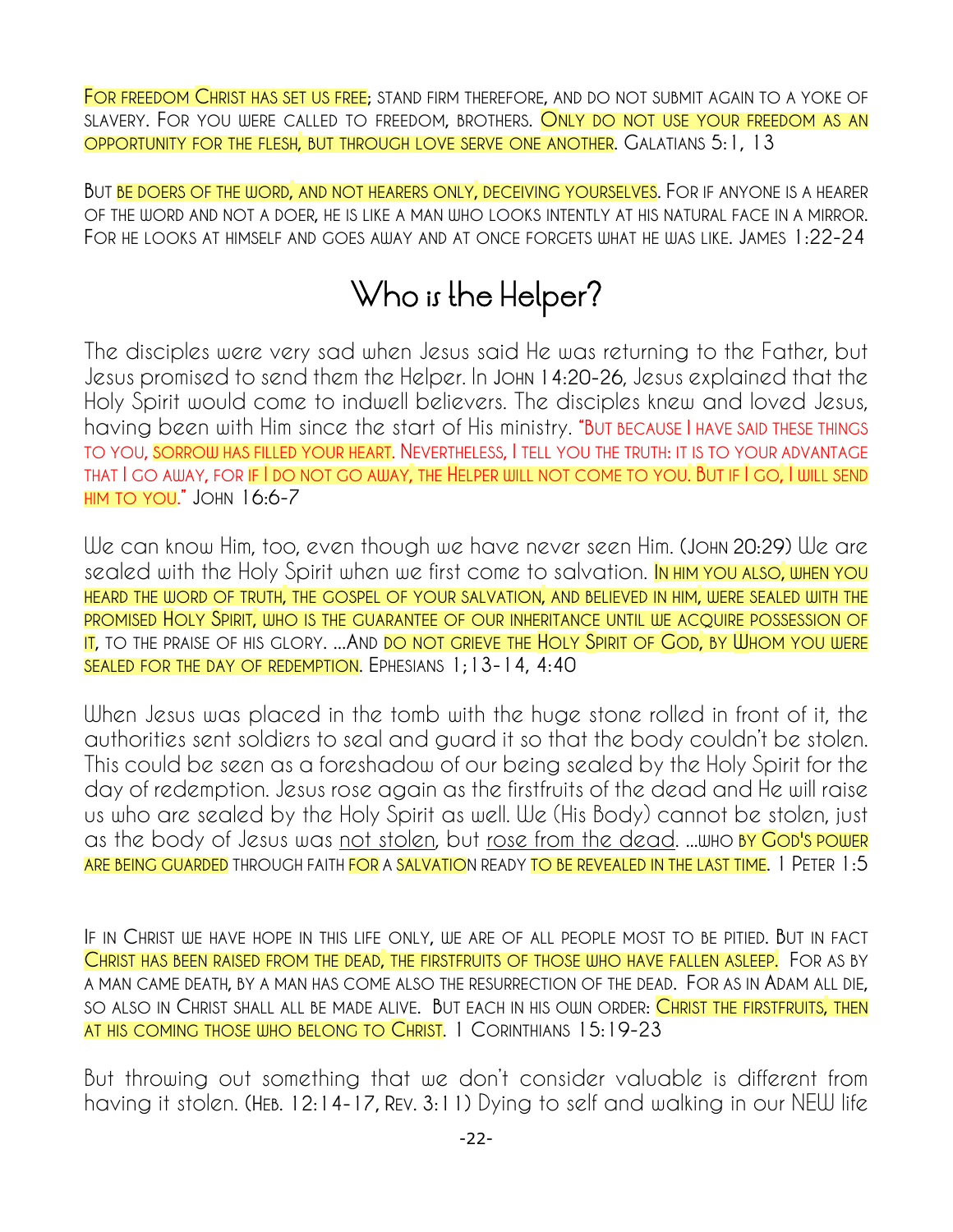**FOR FREEDOM CHRIST HAS SET US FREE; STAND FIRM THEREFORE, AND DO NOT SUBMIT AGAIN TO A YOKE OF SLAVERY. FOR YOU WERE CALLED TO FREEDOM, BROTHERS. ONLY DO NOT USE YOUR FREEDOM AS AN OPPORTUNITY FOR THE FLESH, BUT THROUGH LOVE SERVE ONE ANOTHER. GALATIANS 5:1, 13**

**BUT BE DOERS OF THE WORD, AND NOT HEARERS ONLY, DECEIVING YOURSELVES. FOR IF ANYONE IS A HEARER OF THE WORD AND NOT A DOER, HE IS LIKE A MAN WHO LOOKS INTENTLY AT HIS NATURAL FACE IN A MIRROR. FOR HE LOOKS AT HIMSELF AND GOES AWAY AND AT ONCE FORGETS WHAT HE WAS LIKE. JAMES 1:22-24**

# Who is the Helper?

The disciples were very sad when Jesus said He was returning to the Father, but Jesus promised to send them the Helper. In **JOHN 14:20-26**, Jesus explained that the Holy Spirit would come to indwell believers. The disciples knew and loved Jesus, having been with Him since the start of His ministry. **"BUT BECAUSE I HAVE SAID THESE THINGS TO YOU, SORROW HAS FILLED YOUR HEART. NEVERTHELESS, I TELL YOU THE TRUTH: IT IS TO YOUR ADVANTAGE** THAT I GO AWAY, FOR IF I DO NOT GO AWAY, THE HELPER WILL NOT COME TO YOU. BUT IF I GO, I WILL SEND **HIM TO YOU." JOHN 16:6-7**

We can know Him, too, even though we have never seen Him. **(JOHN 20:29)** We are sealed with the Holy Spirit when we first come to salvation. **IN HIM YOU ALSO, WHEN YOU** HEARD THE WORD OF TRUTH, THE GOSPEL OF YOUR SALVATION, AND BELIEVED IN HIM, WERE SEALED WITH THE **PROMISED HOLY SPIRIT, WHO IS THE GUARANTEE OF OUR INHERITANCE UNTIL WE ACQUIRE POSSESSION OF** IT, TO THE PRAISE OF HIS GLORY. ...AND DO NOT GRIEVE THE HOLY SPIRIT OF GOD, BY WHOM YOU WERE **SEALED FOR THE DAY OF REDEMPTION. EPHESIANS 1;13-14, 4:40**

When Jesus was placed in the tomb with the huge stone rolled in front of it, the authorities sent soldiers to seal and guard it so that the body couldn't be stolen. This could be seen as a foreshadow of our being sealed by the Holy Spirit for the day of redemption. Jesus rose again as the firstfruits of the dead and He will raise us who are sealed by the Holy Spirit as well. We (His Body) cannot be stolen, just as the body of Jesus was not stolen, but rose from the dead. **...WHO BY GOD'S POWER ARE BEING GUARDED THROUGH FAITH FOR A SALVATION READY TO BE REVEALED IN THE LAST TIME. 1 PETER 1:5**

**IF IN CHRIST WE HAVE HOPE IN THIS LIFE ONLY, WE ARE OF ALL PEOPLE MOST TO BE PITIED. BUT IN FACT** CHRIST HAS BEEN RAISED FROM THE DEAD, THE FIRSTFRUITS OF THOSE WHO HAVE FALLEN ASLEEP. FOR AS BY **A MAN CAME DEATH, BY A MAN HAS COME ALSO THE RESURRECTION OF THE DEAD. FOR AS IN ADAM ALL DIE, SO ALSO IN CHRIST SHALL ALL BE MADE ALIVE. BUT EACH IN HIS OWN ORDER: CHRIST THE FIRSTFRUITS, THEN AT HIS COMING THOSE WHO BELONG TO CHRIST. 1 CORINTHIANS 15:19-23**

But throwing out something that we don't consider valuable is different from having it stolen. **(HEB. 12:14-17, REV. 3:11)** Dying to self and walking in our NEW life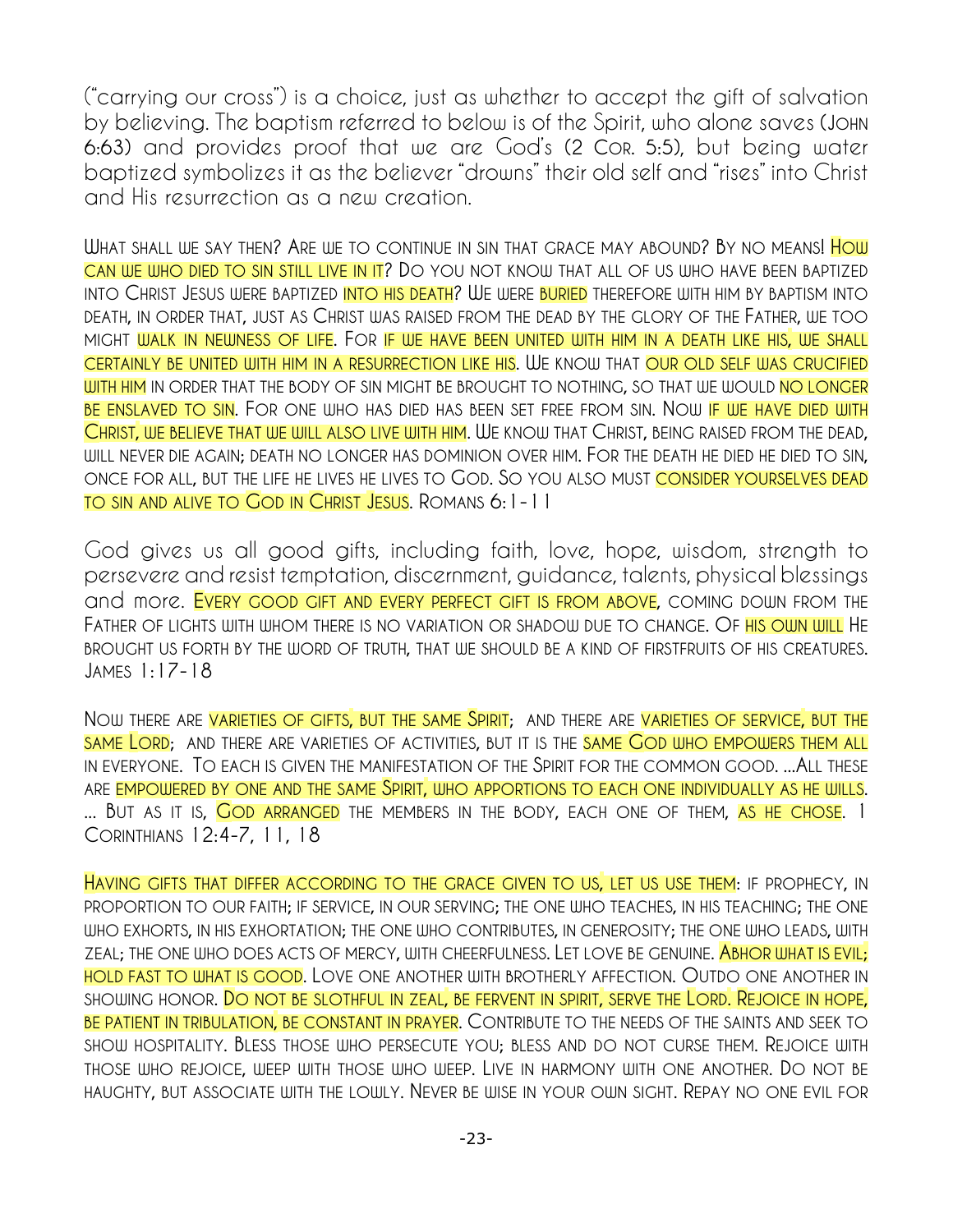("carrying our cross") is a choice, just as whether to accept the gift of salvation by believing. The baptism referred to below is of the Spirit, who alone saves **(JOHN 6:63)** and provides proof that we are God's **(2 COR. 5:5)**, but being water baptized symbolizes it as the believer "drowns" their old self and "rises" into Christ and His resurrection as a new creation.

**WHAT SHALL WE SAY THEN? ARE WE TO CONTINUE IN SIN THAT GRACE MAY ABOUND? BY NO MEANS! HOW CAN WE WHO DIED TO SIN STILL LIVE IN IT? DO YOU NOT KNOW THAT ALL OF US WHO HAVE BEEN BAPTIZED INTO CHRIST JESUS WERE BAPTIZED INTO HIS DEATH? WE WERE BURIED THEREFORE WITH HIM BY BAPTISM INTO DEATH, IN ORDER THAT, JUST AS CHRIST WAS RAISED FROM THE DEAD BY THE GLORY OF THE FATHER, WE TOO MIGHT WALK IN NEWNESS OF LIFE. FOR IF WE HAVE BEEN UNITED WITH HIM IN A DEATH LIKE HIS, WE SHALL CERTAINLY BE UNITED WITH HIM IN A RESURRECTION LIKE HIS. WE KNOW THAT OUR OLD SELF WAS CRUCIFIED WITH HIM IN ORDER THAT THE BODY OF SIN MIGHT BE BROUGHT TO NOTHING, SO THAT WE WOULD NO LONGER BE ENSLAVED TO SIN. FOR ONE WHO HAS DIED HAS BEEN SET FREE FROM SIN. NOW IF WE HAVE DIED WITH** CHRIST, WE BELIEVE THAT WE WILL ALSO LIVE WITH HIM. WE KNOW THAT CHRIST, BEING RAISED FROM THE DEAD, **WILL NEVER DIE AGAIN; DEATH NO LONGER HAS DOMINION OVER HIM. FOR THE DEATH HE DIED HE DIED TO SIN, ONCE FOR ALL, BUT THE LIFE HE LIVES HE LIVES TO GOD. SO YOU ALSO MUST CONSIDER YOURSELVES DEAD TO SIN AND ALIVE TO GOD IN CHRIST JESUS. ROMANS 6:1-11**

God gives us all good gifts, including faith, love, hope, wisdom, strength to persevere and resist temptation, discernment, guidance, talents, physical blessings and more. **EVERY GOOD GIFT AND EVERY PERFECT GIFT IS FROM ABOVE, COMING DOWN FROM THE FATHER OF LIGHTS WITH WHOM THERE IS NO VARIATION OR SHADOW DUE TO CHANGE. OF HIS OWN WILL HE BROUGHT US FORTH BY THE WORD OF TRUTH, THAT WE SHOULD BE A KIND OF FIRSTFRUITS OF HIS CREATURES. JAMES 1:17-18**

**NOW THERE ARE VARIETIES OF GIFTS, BUT THE SAME SPIRIT; AND THERE ARE VARIETIES OF SERVICE, BUT THE SAME LORD; AND THERE ARE VARIETIES OF ACTIVITIES, BUT IT IS THE SAME GOD WHO EMPOWERS THEM ALL IN EVERYONE. TO EACH IS GIVEN THE MANIFESTATION OF THE SPIRIT FOR THE COMMON GOOD. ...ALL THESE** ARE EMPOWERED BY ONE AND THE SAME SPIRIT, WHO APPORTIONS TO EACH ONE INDIVIDUALLY AS HE WILLS. **... BUT AS IT IS, GOD ARRANGED THE MEMBERS IN THE BODY, EACH ONE OF THEM, AS HE CHOSE. 1 CORINTHIANS 12:4-7, 11, 18**

**HAVING GIFTS THAT DIFFER ACCORDING TO THE GRACE GIVEN TO US, LET US USE THEM: IF PROPHECY, IN PROPORTION TO OUR FAITH; IF SERVICE, IN OUR SERVING; THE ONE WHO TEACHES, IN HIS TEACHING; THE ONE WHO EXHORTS, IN HIS EXHORTATION; THE ONE WHO CONTRIBUTES, IN GENEROSITY; THE ONE WHO LEADS, WITH ZEAL; THE ONE WHO DOES ACTS OF MERCY, WITH CHEERFULNESS. LET LOVE BE GENUINE. ABHOR WHAT IS EVIL; HOLD FAST TO WHAT IS GOOD. LOVE ONE ANOTHER WITH BROTHERLY AFFECTION. OUTDO ONE ANOTHER IN** SHOWING HONOR. DO NOT BE SLOTHFUL IN ZEAL, BE FERVENT IN SPIRIT, SERVE THE LORD. REJOICE IN HOPE, **BE PATIENT IN TRIBULATION, BE CONSTANT IN PRAYER. CONTRIBUTE TO THE NEEDS OF THE SAINTS AND SEEK TO SHOW HOSPITALITY. BLESS THOSE WHO PERSECUTE YOU; BLESS AND DO NOT CURSE THEM. REJOICE WITH THOSE WHO REJOICE, WEEP WITH THOSE WHO WEEP. LIVE IN HARMONY WITH ONE ANOTHER. DO NOT BE HAUGHTY, BUT ASSOCIATE WITH THE LOWLY. NEVER BE WISE IN YOUR OWN SIGHT. REPAY NO ONE EVIL FOR**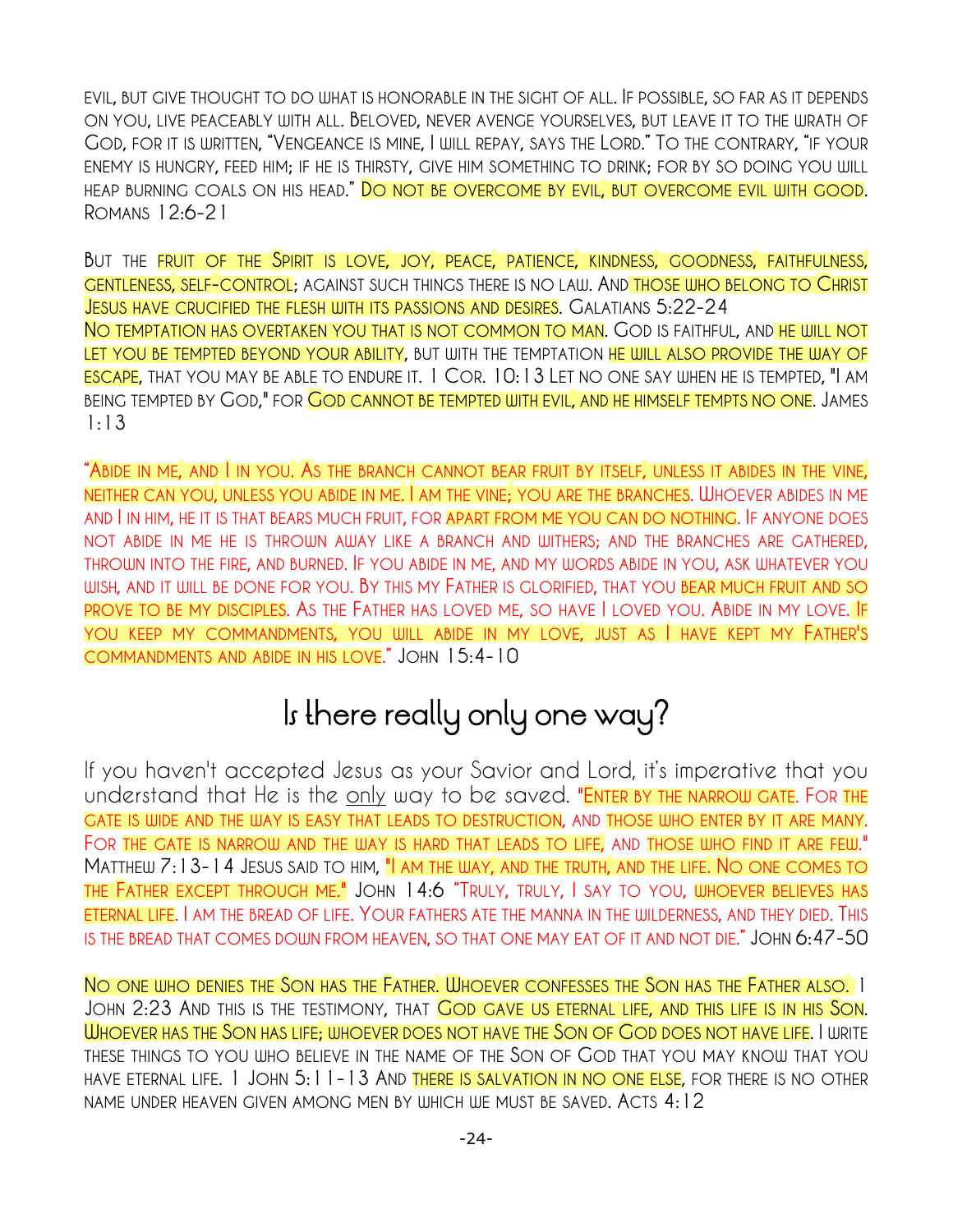**EVIL, BUT GIVE THOUGHT TO DO WHAT IS HONORABLE IN THE SIGHT OF ALL. IF POSSIBLE, SO FAR AS IT DEPENDS ON YOU, LIVE PEACEABLY WITH ALL. BELOVED, NEVER AVENGE YOURSELVES, BUT LEAVE IT TO THE WRATH OF** GOD, FOR IT IS WRITTEN, "VENCEANCE IS MINE, I WILL REPAY, SAYS THE LORD." TO THE CONTRARY, "IF YOUR **ENEMY IS HUNGRY, FEED HIM; IF HE IS THIRSTY, GIVE HIM SOMETHING TO DRINK; FOR BY SO DOING YOU WILL HEAP BURNING COALS ON HIS HEAD." DO NOT BE OVERCOME BY EVIL, BUT OVERCOME EVIL WITH GOOD. ROMANS 12:6-21**

BUT THE FRUIT OF THE SPIRIT IS LOVE, JOY, PEACE, PATIENCE, KINDNESS, GOODNESS, FAITHFULNESS, **GENTLENESS, SELF-CONTROL; AGAINST SUCH THINGS THERE IS NO LAW. AND THOSE WHO BELONG TO CHRIST JESUS HAVE CRUCIFIED THE FLESH WITH ITS PASSIONS AND DESIRES. GALATIANS 5:22-24** NO TEMPTATION HAS OVERTAKEN YOU THAT IS NOT COMMON TO MAN. GOD IS FAITHFUL, AND HE WILL NOT **LET YOU BE TEMPTED BEYOND YOUR ABILITY, BUT WITH THE TEMPTATION HE WILL ALSO PROVIDE THE WAY OF ESCAPE, THAT YOU MAY BE ABLE TO ENDURE IT. 1 COR. 10:13 LET NO ONE SAY WHEN HE IS TEMPTED, "I AM** BEING TEMPTED BY GOD," FOR GOD CANNOT BE TEMPTED WITH EVIL, AND HE HIMSELF TEMPTS NO ONE. JAMES **1:13**

"ABIDE IN ME, AND I IN YOU. AS THE BRANCH CANNOT BEAR FRUIT BY ITSELF, UNLESS IT ABIDES IN THE VINE, NEITHER CAN YOU, UNLESS YOU ABIDE IN ME. I AM THE VINE; YOU ARE THE BRANCHES. WHOEVER ABIDES IN ME **AND I IN HIM, HE IT IS THAT BEARS MUCH FRUIT, FOR APART FROM ME YOU CAN DO NOTHING. IF ANYONE DOES NOT ABIDE IN ME HE IS THROWN AWAY LIKE A BRANCH AND WITHERS; AND THE BRANCHES ARE GATHERED, THROWN INTO THE FIRE, AND BURNED. IF YOU ABIDE IN ME, AND MY WORDS ABIDE IN YOU, ASK WHATEVER YOU WISH, AND IT WILL BE DONE FOR YOU. BY THIS MY FATHER IS GLORIFIED, THAT YOU BEAR MUCH FRUIT AND SO** PROVE TO BE MY DISCIPLES. AS THE FATHER HAS LOVED ME, SO HAVE I LOVED YOU. ABIDE IN MY LOVE. IF YOU KEEP MY COMMANDMENTS, YOU WILL ABIDE IN MY LOVE, JUST AS I HAVE KEPT MY FATHER'S **COMMANDMENTS AND ABIDE IN HIS LOVE." JOHN 15:4-10**

# Is there really only one way?

If you haven't accepted Jesus as your Savior and Lord, it's imperative that you understand that He is the only way to be saved. **"ENTER BY THE NARROW GATE. FOR THE GATE IS WIDE AND THE WAY IS EASY THAT LEADS TO DESTRUCTION, AND THOSE WHO ENTER BY IT ARE MANY. FOR THE GATE IS NARROW AND THE WAY IS HARD THAT LEADS TO LIFE, AND THOSE WHO FIND IT ARE FEW."** MATTHEW 7:13-14 JESUS SAID TO HIM, "I AM THE WAY, AND THE TRUTH, AND THE LIFE. NO ONE COMES TO THE FATHER EXCEPT THROUGH ME." JOHN 14:6 "TRULY, TRULY, I SAY TO YOU, WHOEVER BELIEVES HAS **ETERNAL LIFE. I AM THE BREAD OF LIFE. YOUR FATHERS ATE THE MANNA IN THE WILDERNESS, AND THEY DIED. THIS IS THE BREAD THAT COMES DOWN FROM HEAVEN, SO THAT ONE MAY EAT OF IT AND NOT DIE." JOHN 6:47-50**

NO ONE WHO DENIES THE SON HAS THE FATHER. WHOEVER CONFESSES THE SON HAS THE FATHER ALSO. 1 John 2:23 And this is the testimony, that God Gave us eternal life, and this life is in his Son. **WHOEVER HAS THE SON HAS LIFE; WHOEVER DOES NOT HAVE THE SON OF GOD DOES NOT HAVE LIFE. I WRITE THESE THINGS TO YOU WHO BELIEVE IN THE NAME OF THE SON OF GOD THAT YOU MAY KNOW THAT YOU HAVE ETERNAL LIFE. 1 JOHN 5:11-13 AND THERE IS SALVATION IN NO ONE ELSE, FOR THERE IS NO OTHER NAME UNDER HEAVEN GIVEN AMONG MEN BY WHICH WE MUST BE SAVED. ACTS 4:12**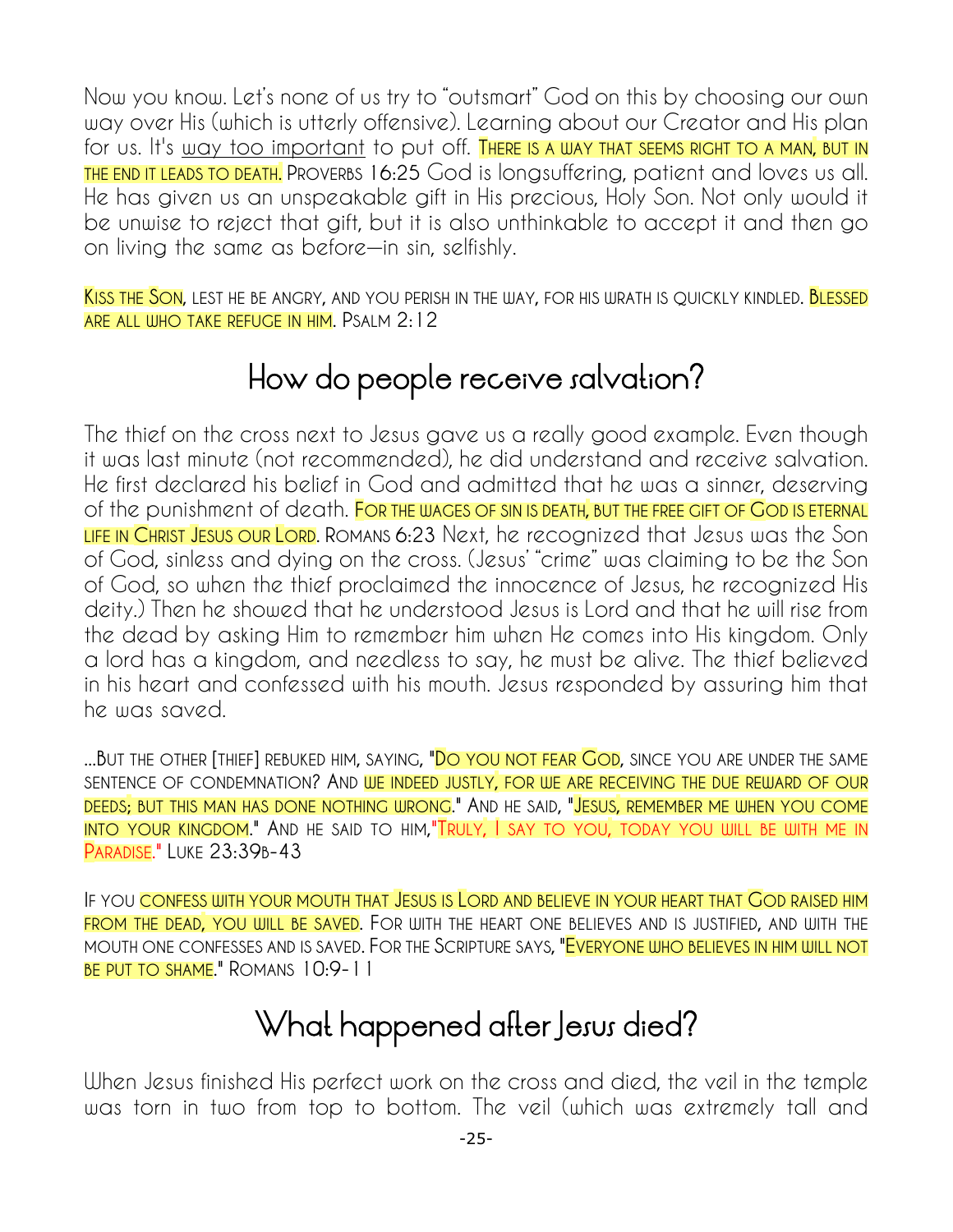Now you know. Let's none of us try to "outsmart" God on this by choosing our own way over His (which is utterly offensive). Learning about our Creator and His plan for us. It's way too important to put off. **THERE IS A WAY THAT SEEMS RIGHT TO A MAN, BUT IN THE END IT LEADS TO DEATH. PROVERBS 16:25** God is longsuffering, patient and loves us all. He has given us an unspeakable gift in His precious, Holy Son. Not only would it be unwise to reject that gift, but it is also unthinkable to accept it and then go on living the same as before—in sin, selfishly.

**KISS THE SON, LEST HE BE ANGRY, AND YOU PERISH IN THE WAY, FOR HIS WRATH IS QUICKLY KINDLED. BLESSED ARE ALL WHO TAKE REFUGE IN HIM. PSALM 2:12**

#### How do people receive salvation?

The thief on the cross next to Jesus gave us a really good example. Even though it was last minute (not recommended), he did understand and receive salvation. He first declared his belief in God and admitted that he was a sinner, deserving of the punishment of death. **FOR THE WAGES OF SIN IS DEATH, BUT THE FREE GIFT OF GOD IS ETERNAL LIFE IN CHRIST JESUS OUR LORD. ROMANS 6:23** Next, he recognized that Jesus was the Son of God, sinless and dying on the cross. (Jesus' "crime" was claiming to be the Son of God, so when the thief proclaimed the innocence of Jesus, he recognized His deity.) Then he showed that he understood Jesus is Lord and that he will rise from the dead by asking Him to remember him when He comes into His kingdom. Only a lord has a kingdom, and needless to say, he must be alive. The thief believed in his heart and confessed with his mouth. Jesus responded by assuring him that he was saved.

**...BUT THE OTHER [THIEF] REBUKED HIM, SAYING, "DO YOU NOT FEAR GOD, SINCE YOU ARE UNDER THE SAME SENTENCE OF CONDEMNATION? AND WE INDEED JUSTLY, FOR WE ARE RECEIVING THE DUE REWARD OF OUR** DEEDS; BUT THIS MAN HAS DONE NOTHING WRONG." AND HE SAID, "JESUS, REMEMBER ME WHEN YOU COME INTO YOUR KINGDOM." AND HE SAID TO HIM,"TRULY, I SAY TO YOU, TODAY YOU WILL BE WITH ME IN **PARADISE." LUKE 23:39B-43**

IF YOU CONFESS WITH YOUR MOUTH THAT JESUS IS LORD AND BELIEVE IN YOUR HEART THAT GOD RAISED HIM **FROM THE DEAD, YOU WILL BE SAVED. FOR WITH THE HEART ONE BELIEVES AND IS JUSTIFIED, AND WITH THE MOUTH ONE CONFESSES AND IS SAVED. FOR THE SCRIPTURE SAYS, "EVERYONE WHO BELIEVES IN HIM WILL NOT BE PUT TO SHAME." ROMANS 10:9-11**

# What happened after Jesus died?

When Jesus finished His perfect work on the cross and died, the veil in the temple was torn in two from top to bottom. The veil (which was extremely tall and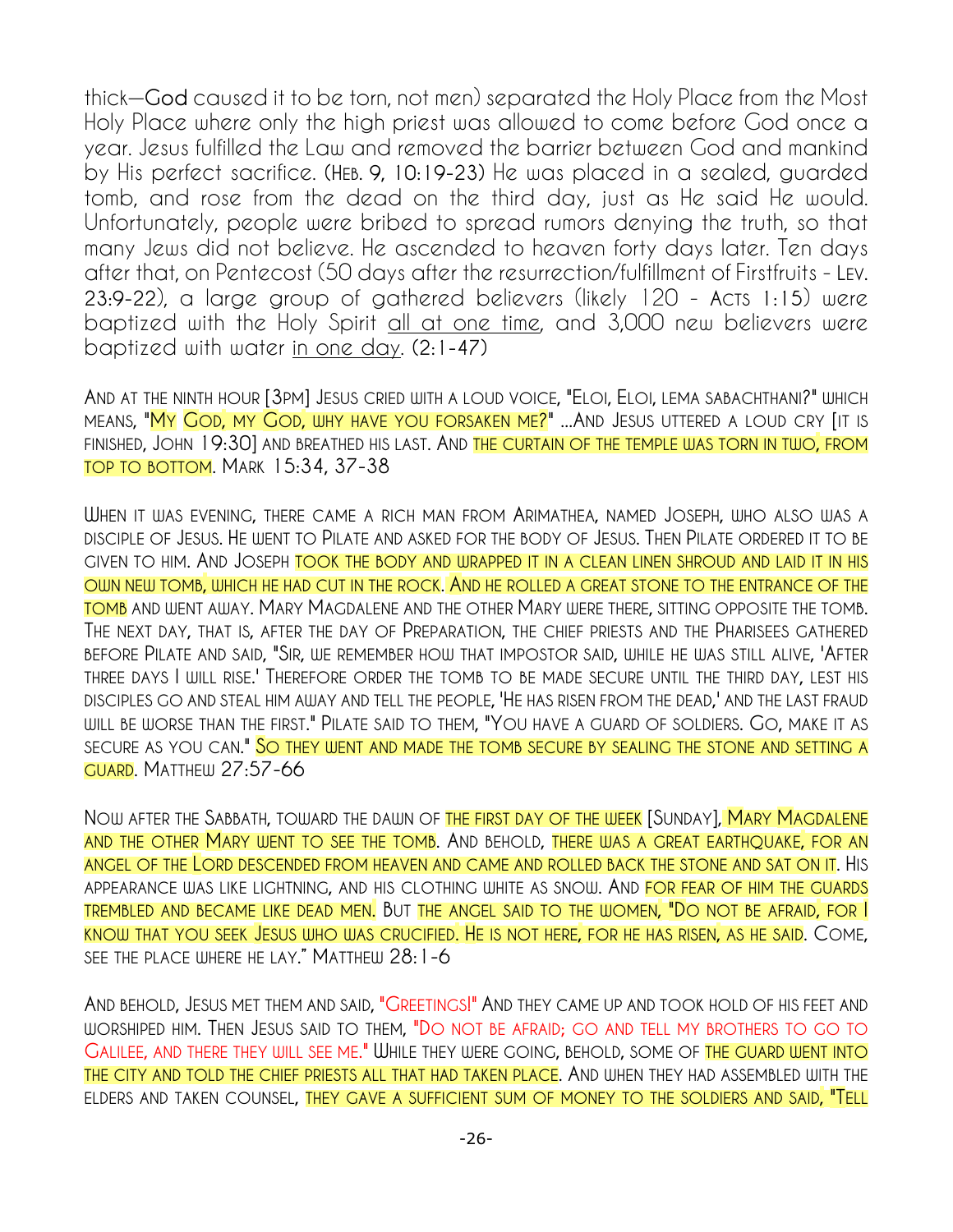thick—**God** caused it to be torn, not men) separated the Holy Place from the Most Holy Place where only the high priest was allowed to come before God once a year. Jesus fulfilled the Law and removed the barrier between God and mankind by His perfect sacrifice. **(HEB. 9, 10:19-23)** He was placed in a sealed, guarded tomb, and rose from the dead on the third day, just as He said He would. Unfortunately, people were bribed to spread rumors denying the truth, so that many Jews did not believe. He ascended to heaven forty days later. Ten days after that, on Pentecost (50 days after the resurrection/fulfillment of Firstfruits - **LEV. 23:9-22**), a large group of gathered believers (likely 120 - **ACTS 1:15**) were baptized with the Holy Spirit all at one time, and 3,000 new believers were baptized with water in one day. **(2:1-47)**

**AND AT THE NINTH HOUR [3PM] JESUS CRIED WITH A LOUD VOICE, "ELOI, ELOI, LEMA SABACHTHANI?" WHICH** Means, "My God, my God, why have you forsaken me?" ...And Jesus uttered a loud cry [it is FINISHED, JOHN 19:30] AND BREATHED HIS LAST. AND THE CURTAIN OF THE TEMPLE WAS TORN IN TWO, FROM **TOP TO BOTTOM. MARK 15:34, 37-38**

**WHEN IT WAS EVENING, THERE CAME A RICH MAN FROM ARIMATHEA, NAMED JOSEPH, WHO ALSO WAS A DISCIPLE OF JESUS. HE WENT TO PILATE AND ASKED FOR THE BODY OF JESUS. THEN PILATE ORDERED IT TO BE GIVEN TO HIM. AND JOSEPH TOOK THE BODY AND WRAPPED IT IN A CLEAN LINEN SHROUD AND LAID IT IN HIS** OWN NEW TOMB, WHICH HE HAD CUT IN THE ROCK. AND HE ROLLED A GREAT STONE TO THE ENTRANCE OF THE **TOMB AND WENT AWAY. MARY MAGDALENE AND THE OTHER MARY WERE THERE, SITTING OPPOSITE THE TOMB. THE NEXT DAY, THAT IS, AFTER THE DAY OF PREPARATION, THE CHIEF PRIESTS AND THE PHARISEES GATHERED BEFORE PILATE AND SAID, "SIR, WE REMEMBER HOW THAT IMPOSTOR SAID, WHILE HE WAS STILL ALIVE, 'AFTER THREE DAYS I WILL RISE.' THEREFORE ORDER THE TOMB TO BE MADE SECURE UNTIL THE THIRD DAY, LEST HIS DISCIPLES GO AND STEAL HIM AWAY AND TELL THE PEOPLE, 'HE HAS RISEN FROM THE DEAD,' AND THE LAST FRAUD WILL BE WORSE THAN THE FIRST." PILATE SAID TO THEM, "YOU HAVE A GUARD OF SOLDIERS. GO, MAKE IT AS SECURE AS YOU CAN." SO THEY WENT AND MADE THE TOMB SECURE BY SEALING THE STONE AND SETTING A GUARD. MATTHEW 27:57-66**

**NOW AFTER THE SABBATH, TOWARD THE DAWN OF THE FIRST DAY OF THE WEEK [SUNDAY], MARY MAGDALENE** AND THE OTHER MARY WENT TO SEE THE TOMB. AND BEHOLD, THERE WAS A GREAT EARTHQUAKE, FOR AN ANGEL OF THE LORD DESCENDED FROM HEAVEN AND CAME AND ROLLED BACK THE STONE AND SAT ON IT. HIS **APPEARANCE WAS LIKE LIGHTNING, AND HIS CLOTHING WHITE AS SNOW. AND FOR FEAR OF HIM THE GUARDS** TREMBLED AND BECAME LIKE DEAD MEN. BUT THE ANGEL SAID TO THE WOMEN, "DO NOT BE AFRAID, FOR I KNOW THAT YOU SEEK JESUS WHO WAS CRUCIFIED. HE IS NOT HERE, FOR HE HAS RISEN, AS HE SAID. COME, **SEE THE PLACE WHERE HE LAY." MATTHEW 28:1-6**

**AND BEHOLD, JESUS MET THEM AND SAID, "GREETINGS!" AND THEY CAME UP AND TOOK HOLD OF HIS FEET AND WORSHIPED HIM. THEN JESUS SAID TO THEM, "DO NOT BE AFRAID; GO AND TELL MY BROTHERS TO GO TO GALILEE, AND THERE THEY WILL SEE ME." WHILE THEY WERE GOING, BEHOLD, SOME OF THE GUARD WENT INTO THE CITY AND TOLD THE CHIEF PRIESTS ALL THAT HAD TAKEN PLACE. AND WHEN THEY HAD ASSEMBLED WITH THE ELDERS AND TAKEN COUNSEL, THEY GAVE A SUFFICIENT SUM OF MONEY TO THE SOLDIERS AND SAID, "TELL**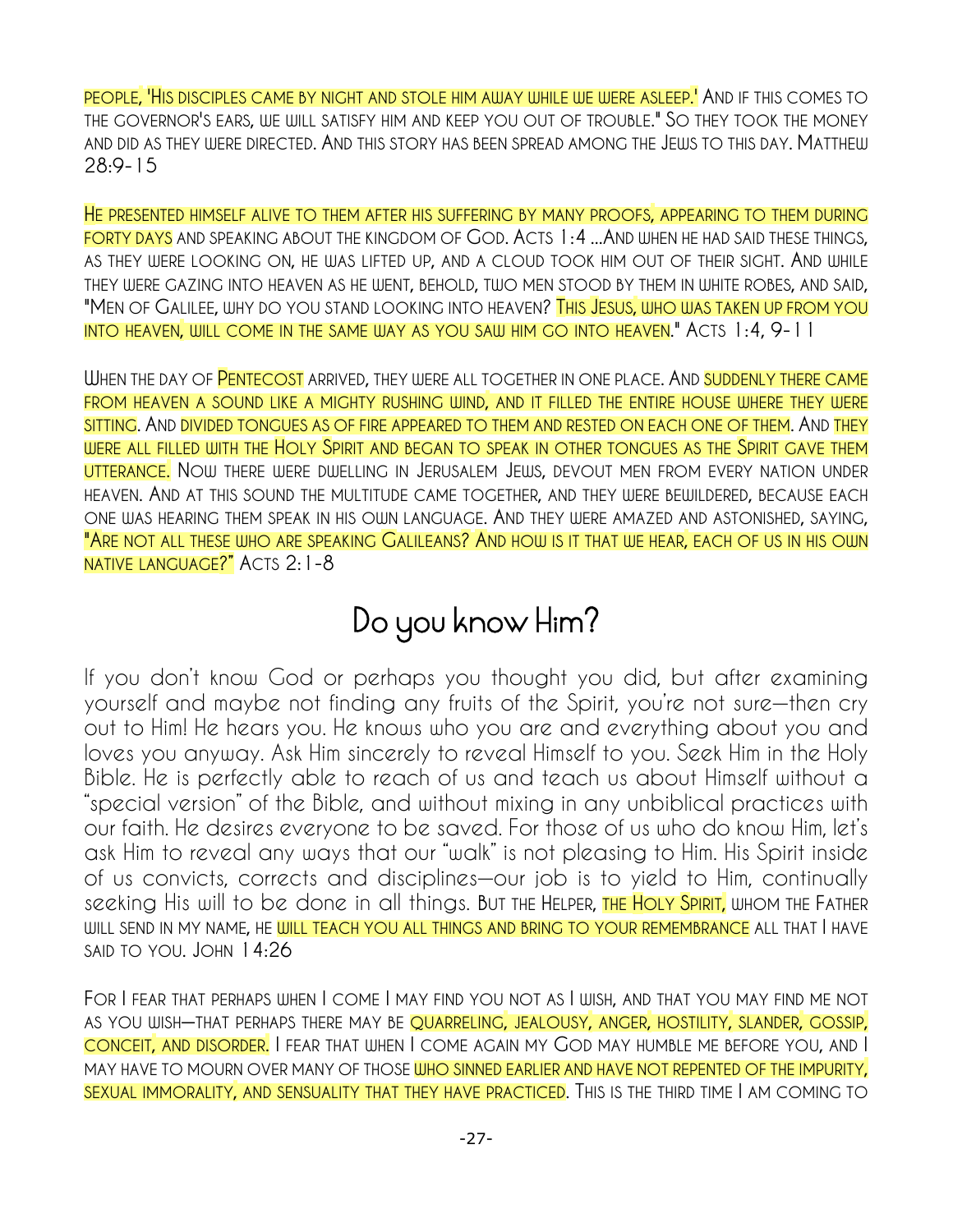PEOPLE, "HIS DISCIPLES CAME BY NIGHT AND STOLE HIM AWAY WHILE WE WERE ASLEEP." AND IF THIS COMES TO **THE GOVERNOR'S EARS, WE WILL SATISFY HIM AND KEEP YOU OUT OF TROUBLE." SO THEY TOOK THE MONEY AND DID AS THEY WERE DIRECTED. AND THIS STORY HAS BEEN SPREAD AMONG THE JEWS TO THIS DAY. MATTHEW 28:9-15**

**HE PRESENTED HIMSELF ALIVE TO THEM AFTER HIS SUFFERING BY MANY PROOFS, APPEARING TO THEM DURING FORTY DAYS AND SPEAKING ABOUT THE KINGDOM OF GOD. ACTS 1:4 ...AND WHEN HE HAD SAID THESE THINGS, AS THEY WERE LOOKING ON, HE WAS LIFTED UP, AND A CLOUD TOOK HIM OUT OF THEIR SIGHT. AND WHILE THEY WERE GAZING INTO HEAVEN AS HE WENT, BEHOLD, TWO MEN STOOD BY THEM IN WHITE ROBES, AND SAID, "MEN OF GALILEE, WHY DO YOU STAND LOOKING INTO HEAVEN? THIS JESUS, WHO WAS TAKEN UP FROM YOU INTO HEAVEN, WILL COME IN THE SAME WAY AS YOU SAW HIM GO INTO HEAVEN." ACTS 1:4, 9-11**

**WHEN THE DAY OF PENTECOST ARRIVED, THEY WERE ALL TOGETHER IN ONE PLACE. AND SUDDENLY THERE CAME FROM HEAVEN A SOUND LIKE A MIGHTY RUSHING WIND, AND IT FILLED THE ENTIRE HOUSE WHERE THEY WERE** SITTING. AND DIVIDED TONGUES AS OF FIRE APPEARED TO THEM AND RESTED ON EACH ONE OF THEM. AND THEY **WERE ALL FILLED WITH THE HOLY SPIRIT AND BEGAN TO SPEAK IN OTHER TONGUES AS THE SPIRIT GAVE THEM UTTERANCE. NOW THERE WERE DWELLING IN JERUSALEM JEWS, DEVOUT MEN FROM EVERY NATION UNDER HEAVEN. AND AT THIS SOUND THE MULTITUDE CAME TOGETHER, AND THEY WERE BEWILDERED, BECAUSE EACH ONE WAS HEARING THEM SPEAK IN HIS OWN LANGUAGE. AND THEY WERE AMAZED AND ASTONISHED, SAYING,** "ARE NOT ALL THESE WHO ARE SPEAKING GALILEANS? AND HOW IS IT THAT WE HEAR, EACH OF US IN HIS OWN **NATIVE LANGUAGE?" ACTS 2:1-8**

# Do you know Him?

If you don't know God or perhaps you thought you did, but after examining yourself and maybe not finding any fruits of the Spirit, you're not sure—then cry out to Him! He hears you. He knows who you are and everything about you and loves you anyway. Ask Him sincerely to reveal Himself to you. Seek Him in the Holy Bible. He is perfectly able to reach of us and teach us about Himself without a "special version" of the Bible, and without mixing in any unbiblical practices with our faith. He desires everyone to be saved. For those of us who do know Him, let's ask Him to reveal any ways that our "walk" is not pleasing to Him. His Spirit inside of us convicts, corrects and disciplines—our job is to yield to Him, continually seeking His will to be done in all things. **BUT THE HELPER, THE HOLY SPIRIT, WHOM THE FATHER WILL SEND IN MY NAME, HE WILL TEACH YOU ALL THINGS AND BRING TO YOUR REMEMBRANCE ALL THAT I HAVE SAID TO YOU. JOHN 14:26**

**FOR I FEAR THAT PERHAPS WHEN I COME I MAY FIND YOU NOT AS I WISH, AND THAT YOU MAY FIND ME NOT AS YOU WISH—THAT PERHAPS THERE MAY BE QUARRELING, JEALOUSY, ANGER, HOSTILITY, SLANDER, GOSSIP, CONCEIT, AND DISORDER. I FEAR THAT WHEN I COME AGAIN MY GOD MAY HUMBLE ME BEFORE YOU, AND I MAY HAVE TO MOURN OVER MANY OF THOSE WHO SINNED EARLIER AND HAVE NOT REPENTED OF THE IMPURITY, SEXUAL IMMORALITY, AND SENSUALITY THAT THEY HAVE PRACTICED. THIS IS THE THIRD TIME I AM COMING TO**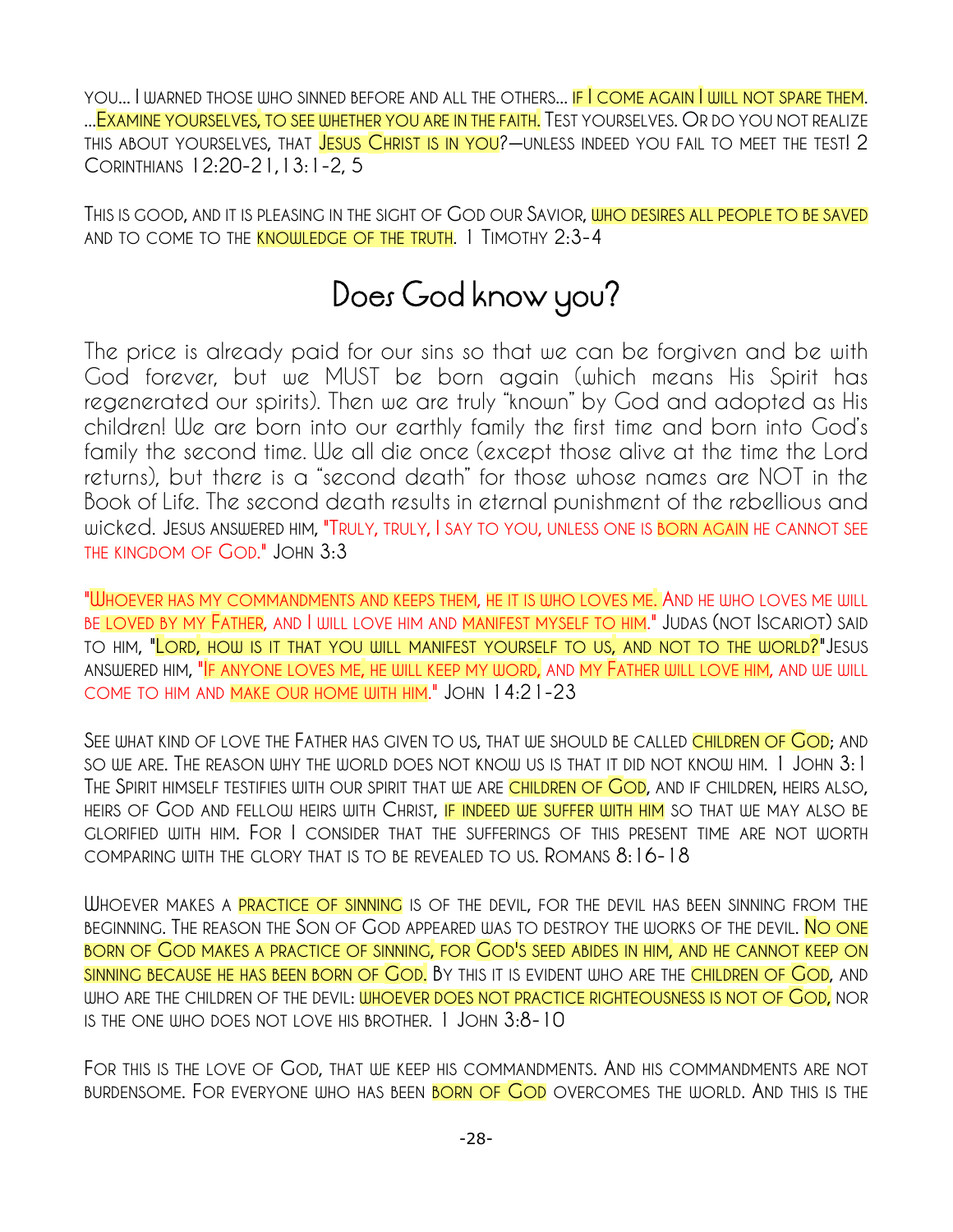**YOU... I WARNED THOSE WHO SINNED BEFORE AND ALL THE OTHERS... IF I COME AGAIN I WILL NOT SPARE THEM. ...EXAMINE YOURSELVES, TO SEE WHETHER YOU ARE IN THE FAITH. TEST YOURSELVES. OR DO YOU NOT REALIZE THIS ABOUT YOURSELVES, THAT JESUS CHRIST IS IN YOU?—UNLESS INDEED YOU FAIL TO MEET THE TEST! 2 CORINTHIANS 12:20-21,13:1-2, 5**

**THIS IS GOOD, AND IT IS PLEASING IN THE SIGHT OF GOD OUR SAVIOR, WHO DESIRES ALL PEOPLE TO BE SAVED AND TO COME TO THE KNOWLEDGE OF THE TRUTH. 1 TIMOTHY 2:3-4**

### Does God know you?

The price is already paid for our sins so that we can be forgiven and be with God forever, but we MUST be born again (which means His Spirit has regenerated our spirits). Then we are truly "known" by God and adopted as His children! We are born into our earthly family the first time and born into God's family the second time. We all die once (except those alive at the time the Lord returns), but there is a "second death" for those whose names are NOT in the Book of Life. The second death results in eternal punishment of the rebellious and wicked. **JESUS ANSWERED HIM, "TRULY, TRULY, I SAY TO YOU, UNLESS ONE IS BORN AGAIN HE CANNOT SEE THE KINGDOM OF GOD." JOHN 3:3**

**"WHOEVER HAS MY COMMANDMENTS AND KEEPS THEM, HE IT IS WHO LOVES ME. AND HE WHO LOVES ME WILL** BE LOVED BY MY FATHER, AND I WILL LOVE HIM AND MANIFEST MYSELF TO HIM." JUDAS (NOT ISCARIOT) SAID **TO HIM, "LORD, HOW IS IT THAT YOU WILL MANIFEST YOURSELF TO US, AND NOT TO THE WORLD?"JESUS** ANSWERED HIM, "IF ANYONE LOVES ME, HE WILL KEEP MY WORD, AND MY FATHER WILL LOVE HIM, AND WE WILL **COME TO HIM AND MAKE OUR HOME WITH HIM." JOHN 14:21-23**

**SEE WHAT KIND OF LOVE THE FATHER HAS GIVEN TO US, THAT WE SHOULD BE CALLED CHILDREN OF GOD; AND SO WE ARE. THE REASON WHY THE WORLD DOES NOT KNOW US IS THAT IT DID NOT KNOW HIM. 1 JOHN 3:1 THE SPIRIT HIMSELF TESTIFIES WITH OUR SPIRIT THAT WE ARE CHILDREN OF GOD, AND IF CHILDREN, HEIRS ALSO, HEIRS OF GOD AND FELLOW HEIRS WITH CHRIST, IF INDEED WE SUFFER WITH HIM SO THAT WE MAY ALSO BE GLORIFIED WITH HIM. FOR I CONSIDER THAT THE SUFFERINGS OF THIS PRESENT TIME ARE NOT WORTH COMPARING WITH THE GLORY THAT IS TO BE REVEALED TO US. ROMANS 8:16-18**

**WHOEVER MAKES A PRACTICE OF SINNING IS OF THE DEVIL, FOR THE DEVIL HAS BEEN SINNING FROM THE BEGINNING. THE REASON THE SON OF GOD APPEARED WAS TO DESTROY THE WORKS OF THE DEVIL. NO ONE BORN OF GOD MAKES A PRACTICE OF SINNING, FOR GOD'S SEED ABIDES IN HIM, AND HE CANNOT KEEP ON SINNING BECAUSE HE HAS BEEN BORN OF GOD. BY THIS IT IS EVIDENT WHO ARE THE CHILDREN OF GOD, AND WHO ARE THE CHILDREN OF THE DEVIL: WHOEVER DOES NOT PRACTICE RIGHTEOUSNESS IS NOT OF GOD, NOR IS THE ONE WHO DOES NOT LOVE HIS BROTHER. 1 JOHN 3:8-10**

**FOR THIS IS THE LOVE OF GOD, THAT WE KEEP HIS COMMANDMENTS. AND HIS COMMANDMENTS ARE NOT BURDENSOME. FOR EVERYONE WHO HAS BEEN BORN OF GOD OVERCOMES THE WORLD. AND THIS IS THE**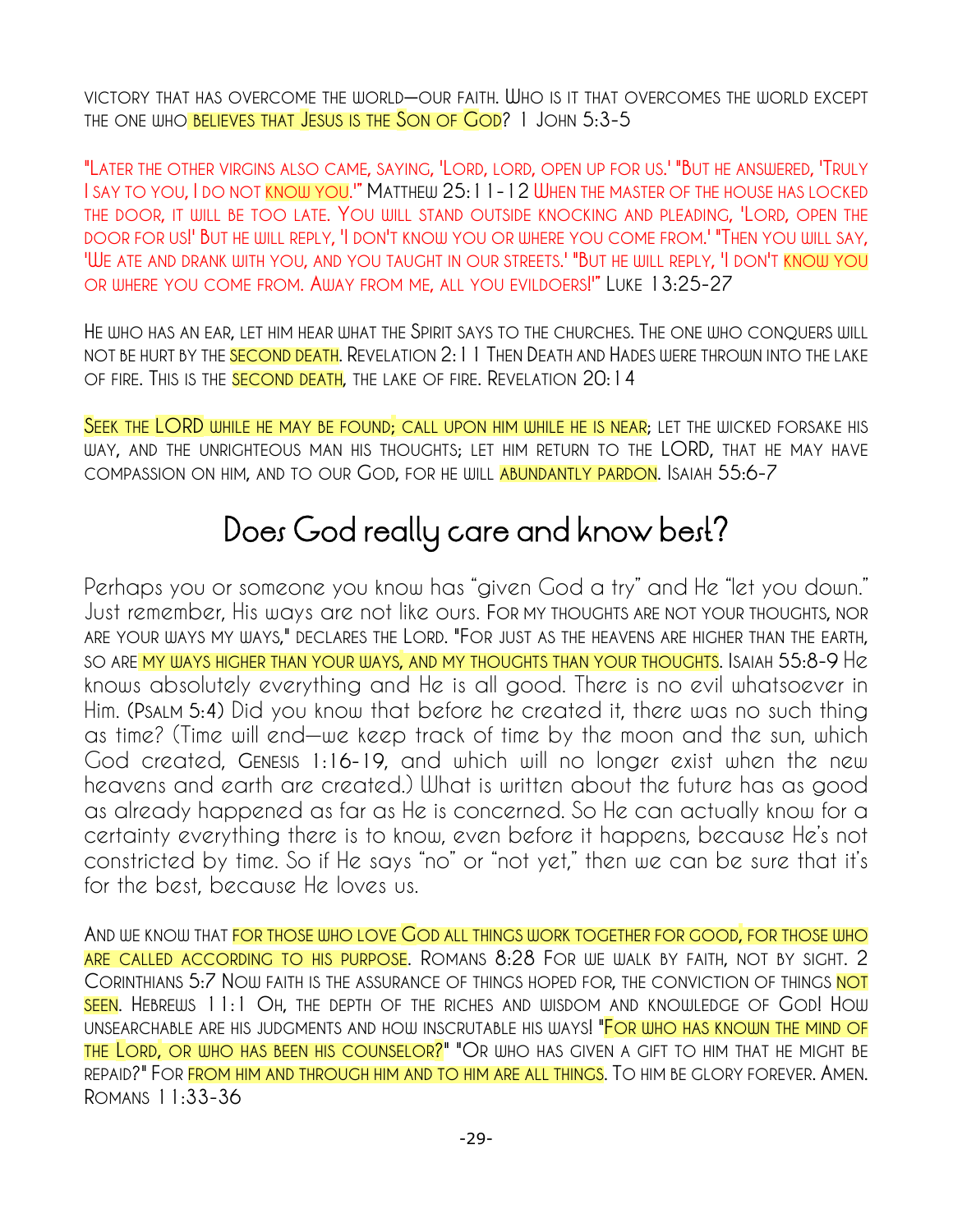**VICTORY THAT HAS OVERCOME THE WORLD—OUR FAITH. WHO IS IT THAT OVERCOMES THE WORLD EXCEPT THE ONE WHO BELIEVES THAT JESUS IS THE SON OF GOD? 1 JOHN 5:3-5**

**"LATER THE OTHER VIRGINS ALSO CAME, SAYING, 'LORD, LORD, OPEN UP FOR US.' "BUT HE ANSWERED, 'TRULY I SAY TO YOU, I DO NOT KNOW YOU.'" MATTHEW 25:11-12 WHEN THE MASTER OF THE HOUSE HAS LOCKED THE DOOR, IT WILL BE TOO LATE. YOU WILL STAND OUTSIDE KNOCKING AND PLEADING, 'LORD, OPEN THE DOOR FOR US!' BUT HE WILL REPLY, 'I DON'T KNOW YOU OR WHERE YOU COME FROM.' "THEN YOU WILL SAY, 'WE ATE AND DRANK WITH YOU, AND YOU TAUGHT IN OUR STREETS.' "BUT HE WILL REPLY, 'I DON'T KNOW YOU OR WHERE YOU COME FROM. AWAY FROM ME, ALL YOU EVILDOERS!'" LUKE 13:25-27**

**HE WHO HAS AN EAR, LET HIM HEAR WHAT THE SPIRIT SAYS TO THE CHURCHES. THE ONE WHO CONQUERS WILL NOT BE HURT BY THE SECOND DEATH. REVELATION 2:11 THEN DEATH AND HADES WERE THROWN INTO THE LAKE OF FIRE. THIS IS THE SECOND DEATH, THE LAKE OF FIRE. REVELATION 20:14**

SEEK THE LORD WHILE HE MAY BE FOUND; CALL UPON HIM WHILE HE IS NEAR; LET THE WICKED FORSAKE HIS **WAY, AND THE UNRIGHTEOUS MAN HIS THOUGHTS; LET HIM RETURN TO THE LORD, THAT HE MAY HAVE COMPASSION ON HIM, AND TO OUR GOD, FOR HE WILL ABUNDANTLY PARDON. ISAIAH 55:6-7**

## Does God really care and know best?

Perhaps you or someone you know has "given God a try" and He "let you down." Just remember, His ways are not like ours. **FOR MY THOUGHTS ARE NOT YOUR THOUGHTS, NOR ARE YOUR WAYS MY WAYS," DECLARES THE LORD. "FOR JUST AS THE HEAVENS ARE HIGHER THAN THE EARTH, SO ARE MY WAYS HIGHER THAN YOUR WAYS, AND MY THOUGHTS THAN YOUR THOUGHTS. ISAIAH 55:8-9** He knows absolutely everything and He is all good. There is no evil whatsoever in Him. **(PSALM 5:4)** Did you know that before he created it, there was no such thing as time? (Time will end—we keep track of time by the moon and the sun, which God created, **GENESIS 1:16-19**, and which will no longer exist when the new heavens and earth are created.) What is written about the future has as good as already happened as far as He is concerned. So He can actually know for a certainty everything there is to know, even before it happens, because He's not constricted by time. So if He says "no" or "not yet," then we can be sure that it's for the best, because He loves us.

**AND WE KNOW THAT FOR THOSE WHO LOVE GOD ALL THINGS WORK TOGETHER FOR GOOD, FOR THOSE WHO ARE CALLED ACCORDING TO HIS PURPOSE. ROMANS 8:28 FOR WE WALK BY FAITH, NOT BY SIGHT. 2 CORINTHIANS 5:7 NOW FAITH IS THE ASSURANCE OF THINGS HOPED FOR, THE CONVICTION OF THINGS NOT SEEN. HEBREWS 11:1 OH, THE DEPTH OF THE RICHES AND WISDOM AND KNOWLEDGE OF GOD! HOW UNSEARCHABLE ARE HIS JUDGMENTS AND HOW INSCRUTABLE HIS WAYS! "FOR WHO HAS KNOWN THE MIND OF THE LORD, OR WHO HAS BEEN HIS COUNSELOR?" "OR WHO HAS GIVEN A GIFT TO HIM THAT HE MIGHT BE** REPAID?" FOR FROM HIM AND THROUGH HIM AND TO HIM ARE ALL THINGS. TO HIM BE GLORY FOREVER. AMEN. **ROMANS 11:33-36**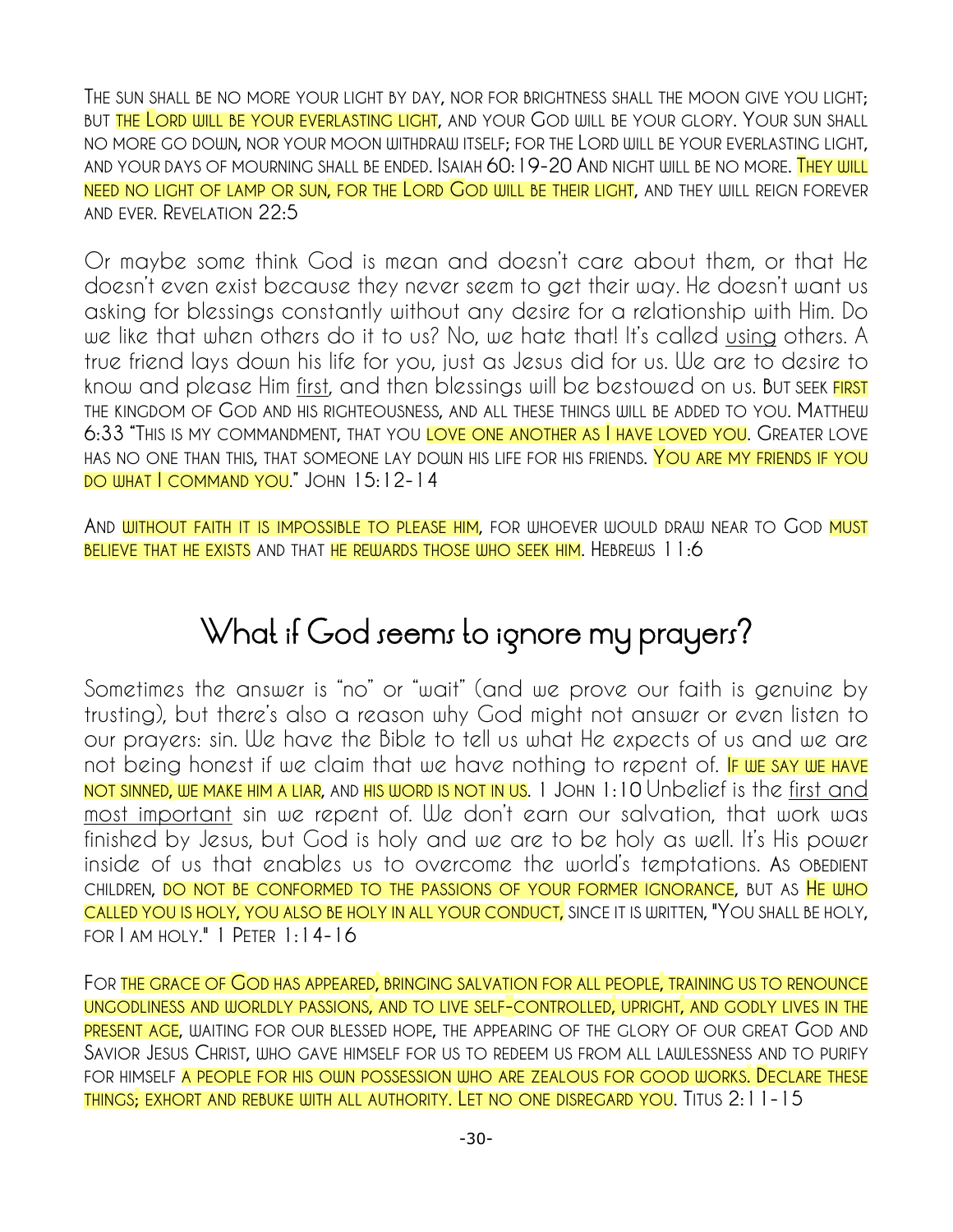**THE SUN SHALL BE NO MORE YOUR LIGHT BY DAY, NOR FOR BRIGHTNESS SHALL THE MOON GIVE YOU LIGHT; BUT THE LORD WILL BE YOUR EVERLASTING LIGHT, AND YOUR GOD WILL BE YOUR GLORY. YOUR SUN SHALL NO MORE GO DOWN, NOR YOUR MOON WITHDRAW ITSELF; FOR THE LORD WILL BE YOUR EVERLASTING LIGHT, AND YOUR DAYS OF MOURNING SHALL BE ENDED. ISAIAH 60:19-20 AND NIGHT WILL BE NO MORE. THEY WILL NEED NO LIGHT OF LAMP OR SUN, FOR THE LORD GOD WILL BE THEIR LIGHT, AND THEY WILL REIGN FOREVER AND EVER. REVELATION 22:5**

Or maybe some think God is mean and doesn't care about them, or that He doesn't even exist because they never seem to get their way. He doesn't want us asking for blessings constantly without any desire for a relationship with Him. Do we like that when others do it to us? No, we hate that! It's called using others. A true friend lays down his life for you, just as Jesus did for us. We are to desire to know and please Him first, and then blessings will be bestowed on us. **BUT SEEK FIRST THE KINGDOM OF GOD AND HIS RIGHTEOUSNESS, AND ALL THESE THINGS WILL BE ADDED TO YOU. MATTHEW 6:33 "THIS IS MY COMMANDMENT, THAT YOU LOVE ONE ANOTHER AS I HAVE LOVED YOU. GREATER LOVE HAS NO ONE THAN THIS, THAT SOMEONE LAY DOWN HIS LIFE FOR HIS FRIENDS. YOU ARE MY FRIENDS IF YOU DO WHAT I COMMAND YOU." JOHN 15:12-14**

**AND WITHOUT FAITH IT IS IMPOSSIBLE TO PLEASE HIM, FOR WHOEVER WOULD DRAW NEAR TO GOD MUST BELIEVE THAT HE EXISTS AND THAT HE REWARDS THOSE WHO SEEK HIM. HEBREWS 11:6**

# What if God seems to ignore my prayers?

Sometimes the answer is "no" or "wait" (and we prove our faith is genuine by trusting), but there's also a reason why God might not answer or even listen to our prayers: sin. We have the Bible to tell us what He expects of us and we are not being honest if we claim that we have nothing to repent of. **IF WE SAY WE HAVE** NOT SINNED, WE MAKE HIM A LIAR, AND HIS WORD IS NOT IN US. 1 JOHN  $1:10$  Unbelief is the first and most important sin we repent of. We don't earn our salvation, that work was finished by Jesus, but God is holy and we are to be holy as well. It's His power inside of us that enables us to overcome the world's temptations. As obedent **CHILDREN, DO NOT BE CONFORMED TO THE PASSIONS OF YOUR FORMER IGNORANCE, BUT AS HE WHO** CALLED YOU IS HOLY, YOU ALSO BE HOLY IN ALL YOUR CONDUCT, SINCE IT IS WRITTEN, "YOU SHALL BE HOLY, **FOR I AM HOLY." 1 PETER 1:14-16**

FOR THE GRACE OF GOD HAS APPEARED, BRINGING SALVATION FOR ALL PEOPLE, TRAINING US TO RENOUNCE UNGODLINESS AND WORLDLY PASSIONS, AND TO LIVE SELF-CONTROLLED, UPRIGHT, AND GODLY LIVES IN THE **PRESENT AGE, WAITING FOR OUR BLESSED HOPE, THE APPEARING OF THE GLORY OF OUR GREAT GOD AND SAVIOR JESUS CHRIST, WHO GAVE HIMSELF FOR US TO REDEEM US FROM ALL LAWLESSNESS AND TO PURIFY FOR HIMSELF A PEOPLE FOR HIS OWN POSSESSION WHO ARE ZEALOUS FOR GOOD WORKS. DECLARE THESE THINGS; EXHORT AND REBUKE WITH ALL AUTHORITY. LET NO ONE DISREGARD YOU. TITUS 2:11-15**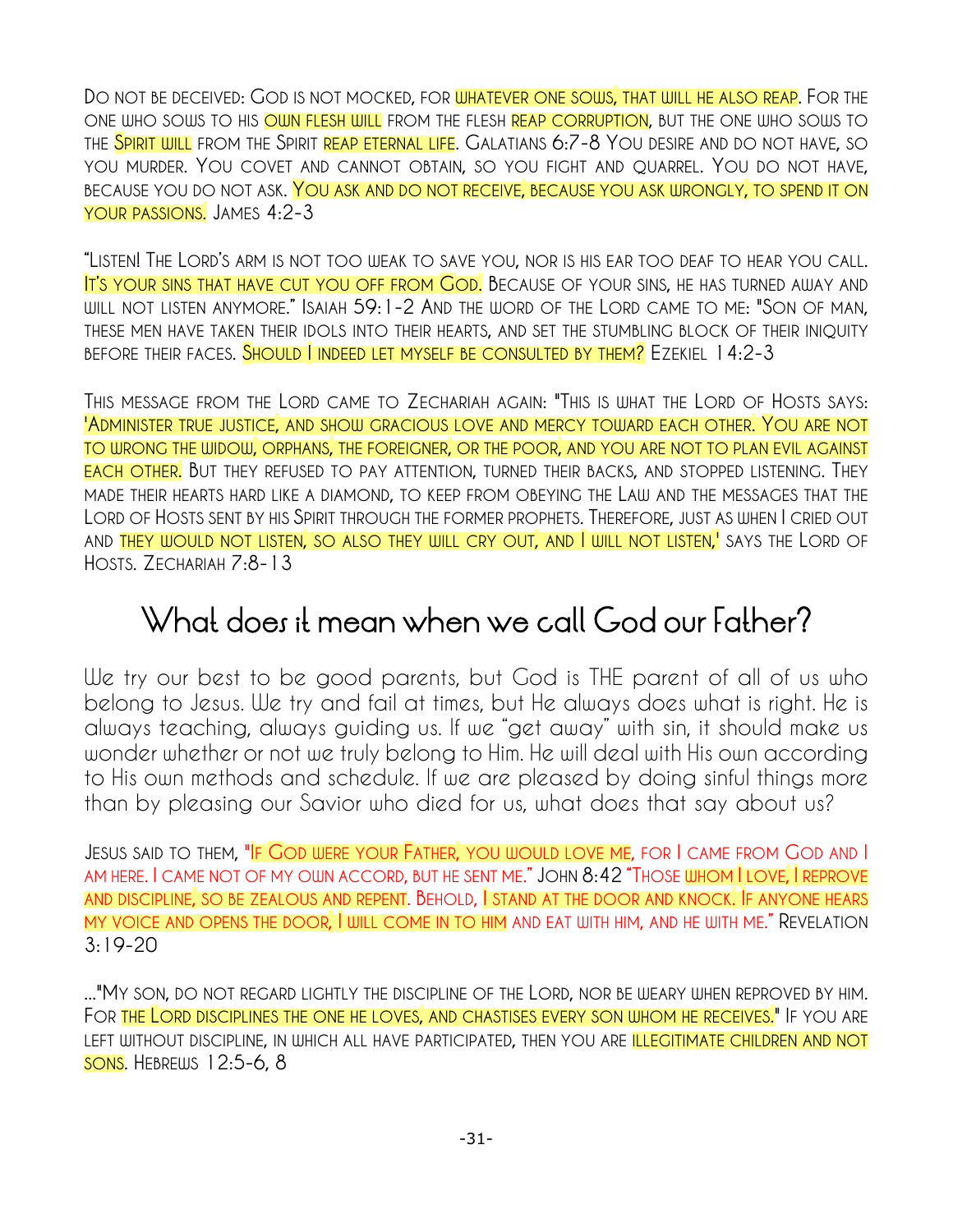**DO NOT BE DECEIVED: GOD IS NOT MOCKED, FOR WHATEVER ONE SOWS, THAT WILL HE ALSO REAP. FOR THE ONE WHO SOWS TO HIS OWN FLESH WILL FROM THE FLESH REAP CORRUPTION, BUT THE ONE WHO SOWS TO THE SPIRIT WILL FROM THE SPIRIT REAP ETERNAL LIFE. GALATIANS 6:7-8 YOU DESIRE AND DO NOT HAVE, SO YOU MURDER. YOU COVET AND CANNOT OBTAIN, SO YOU FIGHT AND QUARREL. YOU DO NOT HAVE, BECAUSE YOU DO NOT ASK. YOU ASK AND DO NOT RECEIVE, BECAUSE YOU ASK WRONGLY, TO SPEND IT ON YOUR PASSIONS. JAMES 4:2-3**

**"LISTEN! THE LORD'S ARM IS NOT TOO WEAK TO SAVE YOU, NOR IS HIS EAR TOO DEAF TO HEAR YOU CALL. IT'S YOUR SINS THAT HAVE CUT YOU OFF FROM GOD. BECAUSE OF YOUR SINS, HE HAS TURNED AWAY AND WILL NOT LISTEN ANYMORE." ISAIAH 59:1-2 AND THE WORD OF THE LORD CAME TO ME: "SON OF MAN, THESE MEN HAVE TAKEN THEIR IDOLS INTO THEIR HEARTS, AND SET THE STUMBLING BLOCK OF THEIR INIQUITY BEFORE THEIR FACES. SHOULD I INDEED LET MYSELF BE CONSULTED BY THEM? EZEKIEL 14:2-3**

**THIS MESSAGE FROM THE LORD CAME TO ZECHARIAH AGAIN: "THIS IS WHAT THE LORD OF HOSTS SAYS: 'ADMINISTER TRUE JUSTICE, AND SHOW GRACIOUS LOVE AND MERCY TOWARD EACH OTHER. YOU ARE NOT** TO WRONG THE WIDOW, ORPHANS, THE FOREIGNER, OR THE POOR, AND YOU ARE NOT TO PLAN EVIL AGAINST **EACH OTHER. BUT THEY REFUSED TO PAY ATTENTION, TURNED THEIR BACKS, AND STOPPED LISTENING. THEY MADE THEIR HEARTS HARD LIKE A DIAMOND, TO KEEP FROM OBEYING THE LAW AND THE MESSAGES THAT THE LORD OF HOSTS SENT BY HIS SPIRIT THROUGH THE FORMER PROPHETS. THEREFORE, JUST AS WHEN I CRIED OUT** and **They would not listen, so also they will cry out, and I will not listen,'** says the Lord of **HOSTS. ZECHARIAH 7:8-13**

#### What does it mean when we call God our Father?

We try our best to be good parents, but God is THE parent of all of us who belong to Jesus. We try and fail at times, but He always does what is right. He is always teaching, always guiding us. If we "get away" with sin, it should make us wonder whether or not we truly belong to Him. He will deal with His own according to His own methods and schedule. If we are pleased by doing sinful things more than by pleasing our Savior who died for us, what does that say about us?

**JESUS SAID TO THEM, "IF GOD WERE YOUR FATHER, YOU WOULD LOVE ME, FOR I CAME FROM GOD AND I AM HERE. I CAME NOT OF MY OWN ACCORD, BUT HE SENT ME." JOHN 8:42 "THOSE WHOM I LOVE, I REPROVE** AND DISCIPLINE, SO BE ZEALOUS AND REPENT. BEHOLD, I STAND AT THE DOOR AND KNOCK. IF ANYONE HEARS **MY VOICE AND OPENS THE DOOR, I WILL COME IN TO HIM AND EAT WITH HIM, AND HE WITH ME." REVELATION 3:19-20**

**..."MY SON, DO NOT REGARD LIGHTLY THE DISCIPLINE OF THE LORD, NOR BE WEARY WHEN REPROVED BY HIM.** FOR THE LORD DISCIPLINES THE ONE HE LOVES, AND CHASTISES EVERY SON WHOM HE RECEIVES." IF YOU ARE **LEFT WITHOUT DISCIPLINE, IN WHICH ALL HAVE PARTICIPATED, THEN YOU ARE ILLEGITIMATE CHILDREN AND NOT SONS. HEBREWS 12:5-6, 8**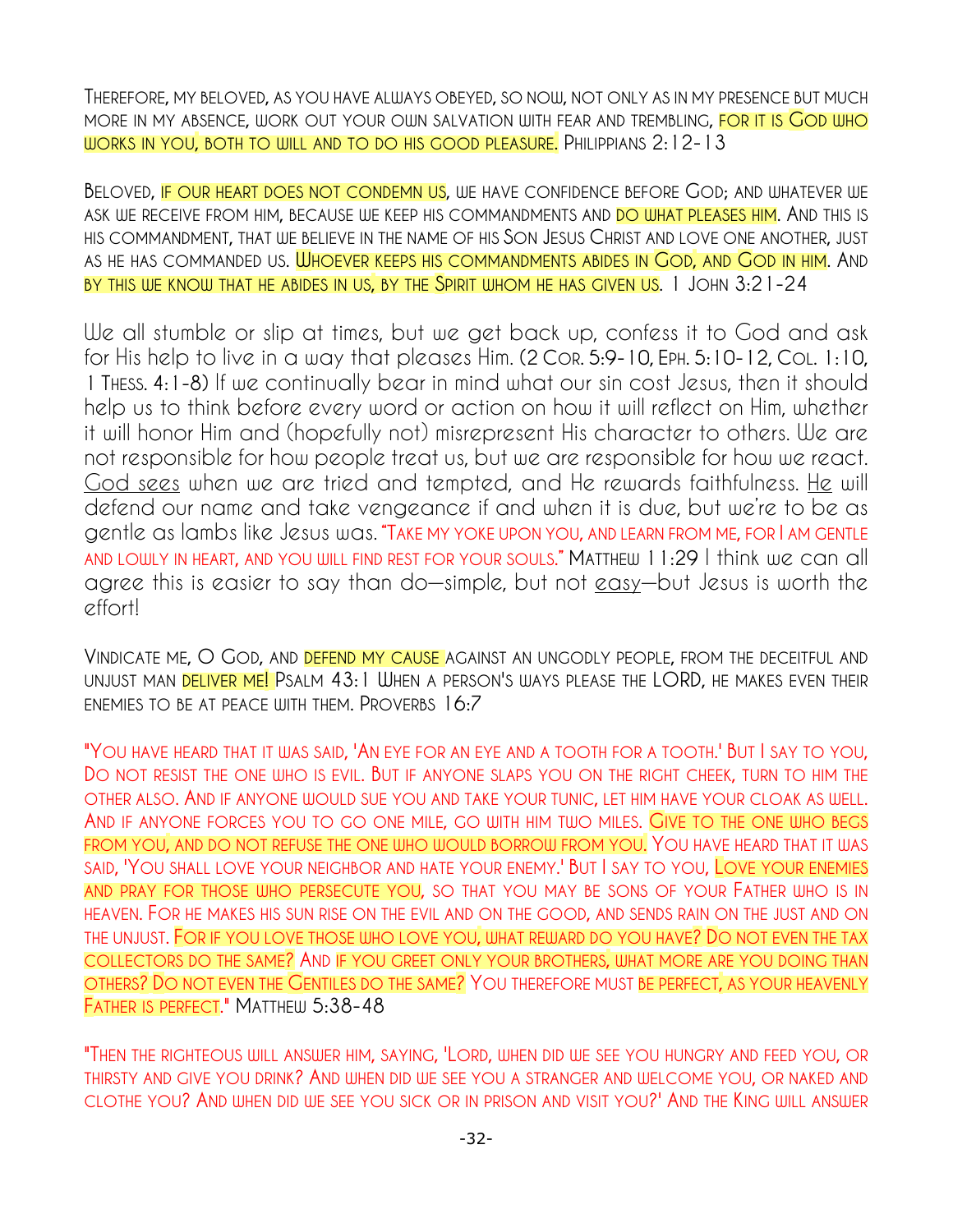**THEREFORE, MY BELOVED, AS YOU HAVE ALWAYS OBEYED, SO NOW, NOT ONLY AS IN MY PRESENCE BUT MUCH MORE IN MY ABSENCE, WORK OUT YOUR OWN SALVATION WITH FEAR AND TREMBLING, FOR IT IS GOD WHO WORKS IN YOU, BOTH TO WILL AND TO DO HIS GOOD PLEASURE. PHILIPPIANS 2:12-13**

**BELOVED, IF OUR HEART DOES NOT CONDEMN US, WE HAVE CONFIDENCE BEFORE GOD; AND WHATEVER WE ASK WE RECEIVE FROM HIM, BECAUSE WE KEEP HIS COMMANDMENTS AND DO WHAT PLEASES HIM. AND THIS IS HIS COMMANDMENT, THAT WE BELIEVE IN THE NAME OF HIS SON JESUS CHRIST AND LOVE ONE ANOTHER, JUST AS HE HAS COMMANDED US. WHOEVER KEEPS HIS COMMANDMENTS ABIDES IN GOD, AND GOD IN HIM. AND BY THIS WE KNOW THAT HE ABIDES IN US, BY THE SPIRIT WHOM HE HAS GIVEN US. 1 JOHN 3:21-24**

We all stumble or slip at times, but we get back up, confess it to God and ask for His help to live in a way that pleases Him. **(2 COR. 5:9-10, EPH. 5:10-12, COL. 1:10, 1 THESS. 4:1-8)** If we continually bear in mind what our sin cost Jesus, then it should help us to think before every word or action on how it will reflect on Him, whether it will honor Him and (hopefully not) misrepresent His character to others. We are not responsible for how people treat us, but we are responsible for how we react. God sees when we are tried and tempted, and He rewards faithfulness. He will defend our name and take vengeance if and when it is due, but we're to be as gentle as lambs like Jesus was. **"TAKE MY YOKE UPON YOU, AND LEARN FROM ME, FOR I AM GENTLE AND LOWLY IN HEART, AND YOU WILL FIND REST FOR YOUR SOULS." MATTHEW 11:29** I think we can all agree this is easier to say than do—simple, but not easy—but Jesus is worth the effort!

**VINDICATE ME, O GOD, AND DEFEND MY CAUSE AGAINST AN UNGODLY PEOPLE, FROM THE DECEITFUL AND UNJUST MAN DELIVER ME! PSALM 43:1 WHEN A PERSON'S WAYS PLEASE THE LORD, HE MAKES EVEN THEIR ENEMIES TO BE AT PEACE WITH THEM. PROVERBS 16:7**

**"YOU HAVE HEARD THAT IT WAS SAID, 'AN EYE FOR AN EYE AND A TOOTH FOR A TOOTH.' BUT I SAY TO YOU, DO NOT RESIST THE ONE WHO IS EVIL. BUT IF ANYONE SLAPS YOU ON THE RIGHT CHEEK, TURN TO HIM THE OTHER ALSO. AND IF ANYONE WOULD SUE YOU AND TAKE YOUR TUNIC, LET HIM HAVE YOUR CLOAK AS WELL. AND IF ANYONE FORCES YOU TO GO ONE MILE, GO WITH HIM TWO MILES. GIVE TO THE ONE WHO BEGS FROM YOU, AND DO NOT REFUSE THE ONE WHO WOULD BORROW FROM YOU. YOU HAVE HEARD THAT IT WAS SAID, 'YOU SHALL LOVE YOUR NEIGHBOR AND HATE YOUR ENEMY.' BUT I SAY TO YOU, LOVE YOUR ENEMIES AND PRAY FOR THOSE WHO PERSECUTE YOU, SO THAT YOU MAY BE SONS OF YOUR FATHER WHO IS IN HEAVEN. FOR HE MAKES HIS SUN RISE ON THE EVIL AND ON THE GOOD, AND SENDS RAIN ON THE JUST AND ON** THE UNJUST. FOR IF YOU LOVE THOSE WHO LOVE YOU, WHAT REWARD DO YOU HAVE? DO NOT EVEN THE TAX **COLLECTORS DO THE SAME? AND IF YOU GREET ONLY YOUR BROTHERS, WHAT MORE ARE YOU DOING THAN** OTHERS? DO NOT EVEN THE GENTILES DO THE SAME? YOU THEREFORE MUST BE PERFECT, AS YOUR HEAVENLY **FATHER IS PERFECT." MATTHEW 5:38-48**

**"THEN THE RIGHTEOUS WILL ANSWER HIM, SAYING, 'LORD, WHEN DID WE SEE YOU HUNGRY AND FEED YOU, OR THIRSTY AND GIVE YOU DRINK? AND WHEN DID WE SEE YOU A STRANGER AND WELCOME YOU, OR NAKED AND CLOTHE YOU? AND WHEN DID WE SEE YOU SICK OR IN PRISON AND VISIT YOU?' AND THE KING WILL ANSWER**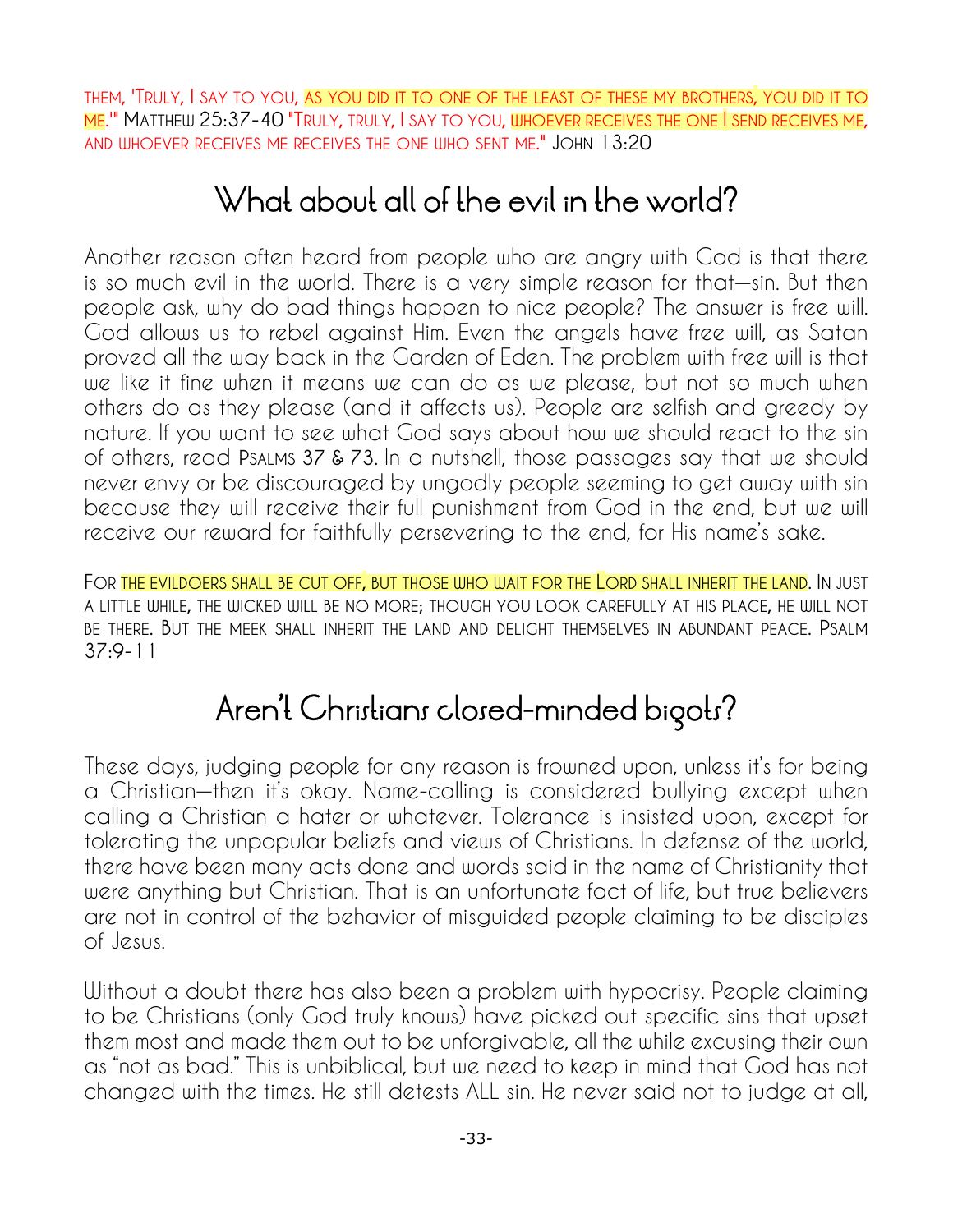THEM, 'TRULY, I SAY TO YOU, AS YOU DID IT TO ONE OF THE LEAST OF THESE MY BROTHERS, YOU DID IT TO ME." MATTHEW 25:37-40 "TRULY, TRULY, I SAY TO YOU, WHOEVER RECEIVES THE ONE I SEND RECEIVES ME, **AND WHOEVER RECEIVES ME RECEIVES THE ONE WHO SENT ME." JOHN 13:20**

### What about all of the evil in the world?

Another reason often heard from people who are angry with God is that there is so much evil in the world. There is a very simple reason for that—sin. But then people ask, why do bad things happen to nice people? The answer is free will. God allows us to rebel against Him. Even the angels have free will, as Satan proved all the way back in the Garden of Eden. The problem with free will is that we like it fine when it means we can do as we please, but not so much when others do as they please (and it affects us). People are selfish and greedy by nature. If you want to see what God says about how we should react to the sin of others, read **PSALMS 37 & 73.** In a nutshell, those passages say that we should never envy or be discouraged by ungodly people seeming to get away with sin because they will receive their full punishment from God in the end, but we will receive our reward for faithfully persevering to the end, for His name's sake.

FOR THE EVILDOERS SHALL BE CUT OFF, BUT THOSE WHO WAIT FOR THE LORD SHALL INHERIT THE LAND. IN JUST **A LITTLE WHILE, THE WICKED WILL BE NO MORE; THOUGH YOU LOOK CAREFULLY AT HIS PLACE, HE WILL NOT BE THERE. BUT THE MEEK SHALL INHERIT THE LAND AND DELIGHT THEMSELVES IN ABUNDANT PEACE. PSALM 37:9-11**

### Aren't Christians closed-minded bigots?

These days, judging people for any reason is frowned upon, unless it's for being a Christian—then it's okay. Name-calling is considered bullying except when calling a Christian a hater or whatever. Tolerance is insisted upon, except for tolerating the unpopular beliefs and views of Christians. In defense of the world, there have been many acts done and words said in the name of Christianity that were anything but Christian. That is an unfortunate fact of life, but true believers are not in control of the behavior of misguided people claiming to be disciples of Jesus.

Without a doubt there has also been a problem with hypocrisy. People claiming to be Christians (only God truly knows) have picked out specific sins that upset them most and made them out to be unforgivable, all the while excusing their own as "not as bad." This is unbiblical, but we need to keep in mind that God has not changed with the times. He still detests ALL sin. He never said not to judge at all,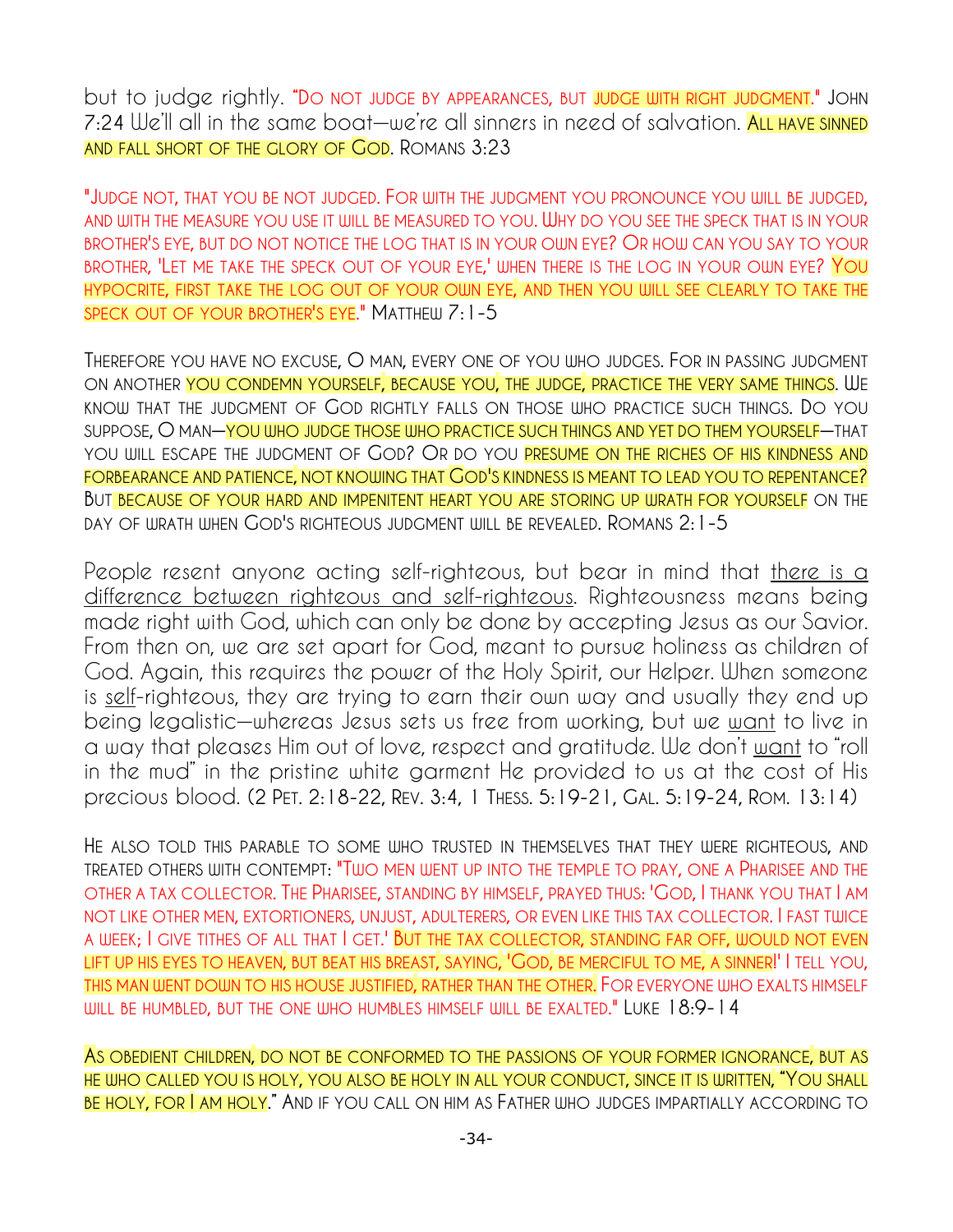but to judge rightly. **"DO NOT JUDGE BY APPEARANCES, BUT JUDGE WITH RIGHT JUDGMENT." JOHN 7:24** We'll all in the same boat—we're all sinners in need of salvation. **ALL HAVE SINNED AND FALL SHORT OF THE GLORY OF GOD. ROMANS 3:23**

**"JUDGE NOT, THAT YOU BE NOT JUDGED. FOR WITH THE JUDGMENT YOU PRONOUNCE YOU WILL BE JUDGED, AND WITH THE MEASURE YOU USE IT WILL BE MEASURED TO YOU. WHY DO YOU SEE THE SPECK THAT IS IN YOUR BROTHER'S EYE, BUT DO NOT NOTICE THE LOG THAT IS IN YOUR OWN EYE? OR HOW CAN YOU SAY TO YOUR BROTHER, 'LET ME TAKE THE SPECK OUT OF YOUR EYE,' WHEN THERE IS THE LOG IN YOUR OWN EYE? YOU HYPOCRITE, FIRST TAKE THE LOG OUT OF YOUR OWN EYE, AND THEN YOU WILL SEE CLEARLY TO TAKE THE SPECK OUT OF YOUR BROTHER'S EYE." MATTHEW 7:1-5**

**THEREFORE YOU HAVE NO EXCUSE, O MAN, EVERY ONE OF YOU WHO JUDGES. FOR IN PASSING JUDGMENT ON ANOTHER YOU CONDEMN YOURSELF, BECAUSE YOU, THE JUDGE, PRACTICE THE VERY SAME THINGS. WE KNOW THAT THE JUDGMENT OF GOD RIGHTLY FALLS ON THOSE WHO PRACTICE SUCH THINGS. DO YOU** SUPPOSE, O MAN-YOU WHO JUDGE THOSE WHO PRACTICE SUCH THINGS AND YET DO THEM YOURSELF-THAT **YOU WILL ESCAPE THE JUDGMENT OF GOD? OR DO YOU PRESUME ON THE RICHES OF HIS KINDNESS AND** FORBEARANCE AND PATIENCE, NOT KNOWING THAT GOD'S KINDNESS IS MEANT TO LEAD YOU TO REPENTANCE? **BUT BECAUSE OF YOUR HARD AND IMPENITENT HEART YOU ARE STORING UP WRATH FOR YOURSELF ON THE DAY OF WRATH WHEN GOD'S RIGHTEOUS JUDGMENT WILL BE REVEALED. ROMANS 2:1-5**

People resent anyone acting self-righteous, but bear in mind that there is a difference between righteous and self-righteous. Righteousness means being made right with God, which can only be done by accepting Jesus as our Savior. From then on, we are set apart for God, meant to pursue holiness as children of God. Again, this requires the power of the Holy Spirit, our Helper. When someone is self-righteous, they are trying to earn their own way and usually they end up being legalistic—whereas Jesus sets us free from working, but we want to live in a way that pleases Him out of love, respect and gratitude. We don't want to "roll in the mud" in the pristine white garment He provided to us at the cost of His precious blood. (2 PET. 2:18-22, REV. 3:4, 1 THESS. 5:19-21, GAL. 5:19-24, ROM. 13:14)

**HE ALSO TOLD THIS PARABLE TO SOME WHO TRUSTED IN THEMSELVES THAT THEY WERE RIGHTEOUS, AND TREATED OTHERS WITH CONTEMPT: "TWO MEN WENT UP INTO THE TEMPLE TO PRAY, ONE A PHARISEE AND THE OTHER A TAX COLLECTOR. THE PHARISEE, STANDING BY HIMSELF, PRAYED THUS: 'GOD, I THANK YOU THAT I AM NOT LIKE OTHER MEN, EXTORTIONERS, UNJUST, ADULTERERS, OR EVEN LIKE THIS TAX COLLECTOR. I FAST TWICE** A WEEK; I GIVE TITHES OF ALL THAT I GET. BUT THE TAX COLLECTOR, STANDING FAR OFF, WOULD NOT EVEN LIFT UP HIS EYES TO HEAVEN, BUT BEAT HIS BREAST, SAYING, 'GOD, BE MERCIFUL TO ME, A SINNER!' I TELL YOU, **THIS MAN WENT DOWN TO HIS HOUSE JUSTIFIED, RATHER THAN THE OTHER. FOR EVERYONE WHO EXALTS HIMSELF WILL BE HUMBLED, BUT THE ONE WHO HUMBLES HIMSELF WILL BE EXALTED." LUKE 18:9-14**

**AS OBEDIENT CHILDREN, DO NOT BE CONFORMED TO THE PASSIONS OF YOUR FORMER IGNORANCE, BUT AS** HE WHO CALLED YOU IS HOLY, YOU ALSO BE HOLY IN ALL YOUR CONDUCT, SINCE IT IS WRITTEN, "YOU SHALL **BE HOLY, FOR I AM HOLY." AND IF YOU CALL ON HIM AS FATHER WHO JUDGES IMPARTIALLY ACCORDING TO**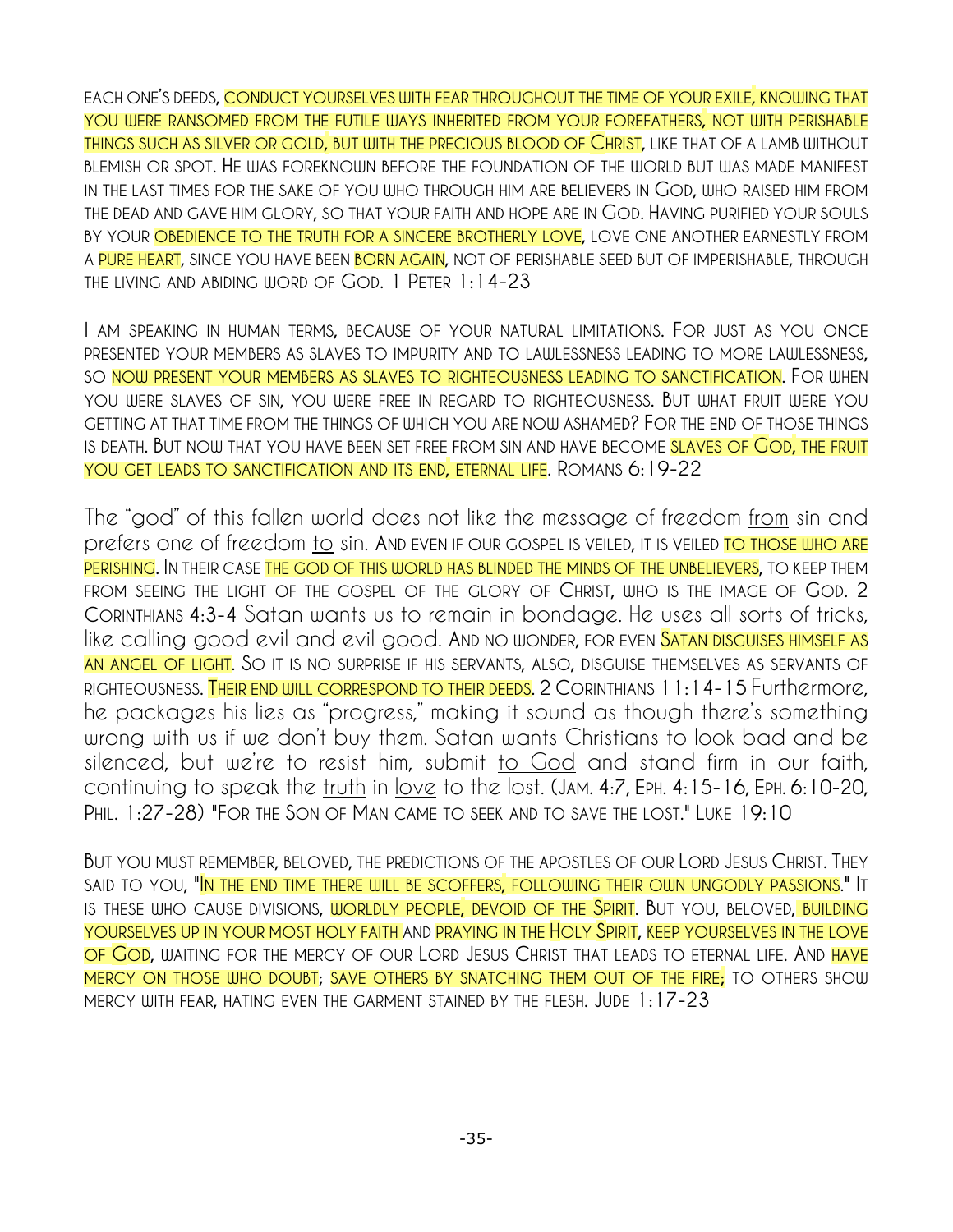**EACH ONE'S DEEDS, CONDUCT YOURSELVES WITH FEAR THROUGHOUT THE TIME OF YOUR EXILE, KNOWING THAT YOU WERE RANSOMED FROM THE FUTILE WAYS INHERITED FROM YOUR FOREFATHERS, NOT WITH PERISHABLE THINGS SUCH AS SILVER OR GOLD, BUT WITH THE PRECIOUS BLOOD OF CHRIST, LIKE THAT OF A LAMB WITHOUT BLEMISH OR SPOT. HE WAS FOREKNOWN BEFORE THE FOUNDATION OF THE WORLD BUT WAS MADE MANIFEST IN THE LAST TIMES FOR THE SAKE OF YOU WHO THROUGH HIM ARE BELIEVERS IN GOD, WHO RAISED HIM FROM THE DEAD AND GAVE HIM GLORY, SO THAT YOUR FAITH AND HOPE ARE IN GOD. HAVING PURIFIED YOUR SOULS BY YOUR OBEDIENCE TO THE TRUTH FOR A SINCERE BROTHERLY LOVE, LOVE ONE ANOTHER EARNESTLY FROM A PURE HEART, SINCE YOU HAVE BEEN BORN AGAIN, NOT OF PERISHABLE SEED BUT OF IMPERISHABLE, THROUGH THE LIVING AND ABIDING WORD OF GOD. 1 PETER 1:14-23**

**I AM SPEAKING IN HUMAN TERMS, BECAUSE OF YOUR NATURAL LIMITATIONS. FOR JUST AS YOU ONCE PRESENTED YOUR MEMBERS AS SLAVES TO IMPURITY AND TO LAWLESSNESS LEADING TO MORE LAWLESSNESS, SO NOW PRESENT YOUR MEMBERS AS SLAVES TO RIGHTEOUSNESS LEADING TO SANCTIFICATION. FOR WHEN YOU WERE SLAVES OF SIN, YOU WERE FREE IN REGARD TO RIGHTEOUSNESS. BUT WHAT FRUIT WERE YOU GETTING AT THAT TIME FROM THE THINGS OF WHICH YOU ARE NOW ASHAMED? FOR THE END OF THOSE THINGS IS DEATH. BUT NOW THAT YOU HAVE BEEN SET FREE FROM SIN AND HAVE BECOME SLAVES OF GOD, THE FRUIT YOU GET LEADS TO SANCTIFICATION AND ITS END, ETERNAL LIFE. ROMANS 6:19-22**

The "god" of this fallen world does not like the message of freedom from sin and prefers one of freedom to sin. **AND EVEN IF OUR GOSPEL IS VEILED, IT IS VEILED TO THOSE WHO ARE PERISHING. IN THEIR CASE THE GOD OF THIS WORLD HAS BLINDED THE MINDS OF THE UNBELIEVERS, TO KEEP THEM FROM SEEING THE LIGHT OF THE GOSPEL OF THE GLORY OF CHRIST, WHO IS THE IMAGE OF GOD. 2 CORINTHIANS 4:3-4** Satan wants us to remain in bondage. He uses all sorts of tricks, like calling good evil and evil good. **AND NO WONDER, FOR EVEN SATAN DISGUISES HIMSELF AS AN ANGEL OF LIGHT. SO IT IS NO SURPRISE IF HIS SERVANTS, ALSO, DISGUISE THEMSELVES AS SERVANTS OF RIGHTEOUSNESS. THEIR END WILL CORRESPOND TO THEIR DEEDS. 2 CORINTHIANS 11:14-15** Furthermore, he packages his lies as "progress," making it sound as though there's something wrong with us if we don't buy them. Satan wants Christians to look bad and be silenced, but we're to resist him, submit to God and stand firm in our faith, continuing to speak the truth in love to the lost. **(JAM. 4:7, EPH. 4:15-16, EPH. 6:10-20, PHIL. 1:27-28) "FOR THE SON OF MAN CAME TO SEEK AND TO SAVE THE LOST." LUKE 19:10**

**BUT YOU MUST REMEMBER, BELOVED, THE PREDICTIONS OF THE APOSTLES OF OUR LORD JESUS CHRIST. THEY** SAID TO YOU, "IN THE END TIME THERE WILL BE SCOFFERS, FOLLOWING THEIR OWN UNGODLY PASSIONS." IT **IS THESE WHO CAUSE DIVISIONS, WORLDLY PEOPLE, DEVOID OF THE SPIRIT. BUT YOU, BELOVED, BUILDING** YOURSELVES UP IN YOUR MOST HOLY FAITH AND PRAYING IN THE HOLY SPIRIT, KEEP YOURSELVES IN THE LOVE **OF GOD, WAITING FOR THE MERCY OF OUR LORD JESUS CHRIST THAT LEADS TO ETERNAL LIFE. AND HAVE MERCY ON THOSE WHO DOUBT; SAVE OTHERS BY SNATCHING THEM OUT OF THE FIRE; TO OTHERS SHOW MERCY WITH FEAR, HATING EVEN THE GARMENT STAINED BY THE FLESH. JUDE 1:17-23**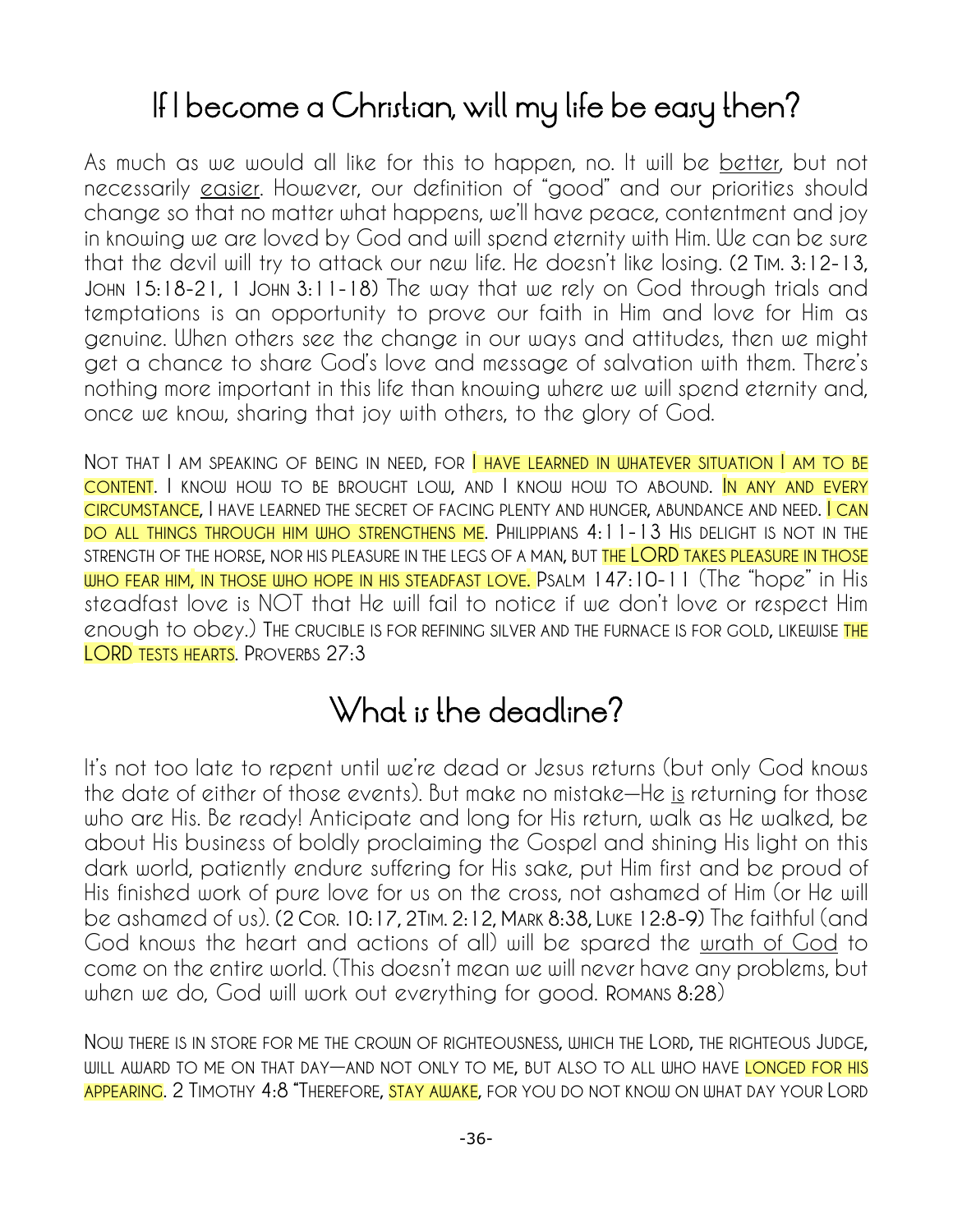# If I become a Christian, will my life be easy then?

As much as we would all like for this to happen, no. It will be better, but not necessarily easier. However, our definition of "good" and our priorities should change so that no matter what happens, we'll have peace, contentment and joy in knowing we are loved by God and will spend eternity with Him. We can be sure that the devil will try to attack our new life. He doesn't like losing. **(2 TIM. 3:12-13, JOHN 15:18-21, 1 JOHN 3:11-18)** The way that we rely on God through trials and temptations is an opportunity to prove our faith in Him and love for Him as genuine. When others see the change in our ways and attitudes, then we might get a chance to share God's love and message of salvation with them. There's nothing more important in this life than knowing where we will spend eternity and, once we know, sharing that joy with others, to the glory of God.

**NOT THAT I AM SPEAKING OF BEING IN NEED, FOR I HAVE LEARNED IN WHATEVER SITUATION I AM TO BE CONTENT. I KNOW HOW TO BE BROUGHT LOW, AND I KNOW HOW TO ABOUND. IN ANY AND EVERY CIRCUMSTANCE, I HAVE LEARNED THE SECRET OF FACING PLENTY AND HUNGER, ABUNDANCE AND NEED. I CAN DO ALL THINGS THROUGH HIM WHO STRENGTHENS ME. PHILIPPIANS 4:11-13 HIS DELIGHT IS NOT IN THE STRENGTH OF THE HORSE, NOR HIS PLEASURE IN THE LEGS OF A MAN, BUT THE LORD TAKES PLEASURE IN THOSE WHO FEAR HIM, IN THOSE WHO HOPE IN HIS STEADFAST LOVE. PSALM 147:10-11** (The "hope" in His steadfast love is NOT that He will fail to notice if we don't love or respect Him enough to obey.) **THE CRUCIBLE IS FOR REFINING SILVER AND THE FURNACE IS FOR GOLD, LIKEWISE THE LORD TESTS HEARTS. PROVERBS 27:3**

#### What is the deadline?

It's not too late to repent until we're dead or Jesus returns (but only God knows the date of either of those events). But make no mistake—He is returning for those who are His. Be ready! Anticipate and long for His return, walk as He walked, be about His business of boldly proclaiming the Gospel and shining His light on this dark world, patiently endure suffering for His sake, put Him first and be proud of His finished work of pure love for us on the cross, not ashamed of Him (or He will be ashamed of us). **(2 COR. 10:17, 2TIM. 2:12, MARK 8:38, LUKE 12:8-9)** The faithful (and God knows the heart and actions of all) will be spared the wrath of God to come on the entire world. (This doesn't mean we will never have any problems, but when we do, God will work out everything for good. **ROMANS 8:28**)

**NOW THERE IS IN STORE FOR ME THE CROWN OF RIGHTEOUSNESS, WHICH THE LORD, THE RIGHTEOUS JUDGE, WILL AWARD TO ME ON THAT DAY**—**AND NOT ONLY TO ME, BUT ALSO TO ALL WHO HAVE LONGED FOR HIS APPEARING. 2 TIMOTHY 4:8 "THEREFORE, STAY AWAKE, FOR YOU DO NOT KNOW ON WHAT DAY YOUR LORD**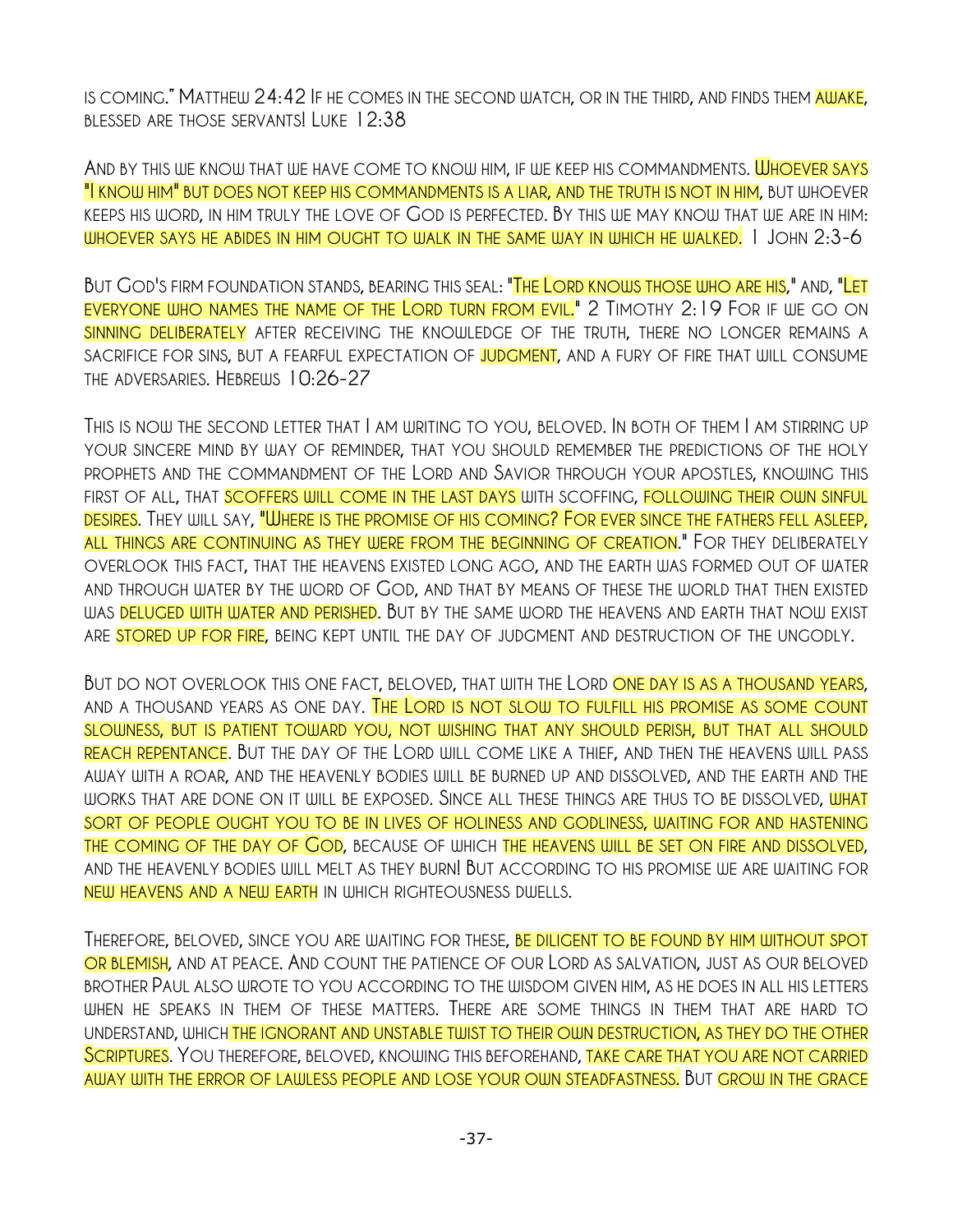**IS COMING." MATTHEW 24:42 IF HE COMES IN THE SECOND WATCH, OR IN THE THIRD, AND FINDS THEM AWAKE, BLESSED ARE THOSE SERVANTS! LUKE 12:38**

**AND BY THIS WE KNOW THAT WE HAVE COME TO KNOW HIM, IF WE KEEP HIS COMMANDMENTS. WHOEVER SAYS** "I KNOW HIM" BUT DOES NOT KEEP HIS COMMANDMENTS IS A LIAR, AND THE TRUTH IS NOT IN HIM, BUT WHOEVER **KEEPS HIS WORD, IN HIM TRULY THE LOVE OF GOD IS PERFECTED. BY THIS WE MAY KNOW THAT WE ARE IN HIM: WHOEVER SAYS HE ABIDES IN HIM OUGHT TO WALK IN THE SAME WAY IN WHICH HE WALKED. 1 JOHN 2:3-6**

But God's firm foundation stands, bearing this seal: "The Lord knows those who are his," and, "Let **EVERYONE WHO NAMES THE NAME OF THE LORD TURN FROM EVIL." 2 TIMOTHY 2:19 FOR IF WE GO ON SINNING DELIBERATELY AFTER RECEIVING THE KNOWLEDGE OF THE TRUTH, THERE NO LONGER REMAINS A SACRIFICE FOR SINS, BUT A FEARFUL EXPECTATION OF JUDGMENT, AND A FURY OF FIRE THAT WILL CONSUME THE ADVERSARIES. HEBREWS 10:26-27**

**THIS IS NOW THE SECOND LETTER THAT I AM WRITING TO YOU, BELOVED. IN BOTH OF THEM I AM STIRRING UP YOUR SINCERE MIND BY WAY OF REMINDER, THAT YOU SHOULD REMEMBER THE PREDICTIONS OF THE HOLY PROPHETS AND THE COMMANDMENT OF THE LORD AND SAVIOR THROUGH YOUR APOSTLES, KNOWING THIS FIRST OF ALL, THAT SCOFFERS WILL COME IN THE LAST DAYS WITH SCOFFING, FOLLOWING THEIR OWN SINFUL** DESIRES. THEY WILL SAY, "WHERE IS THE PROMISE OF HIS COMING? FOR EVER SINCE THE FATHERS FELL ASLEEP, **ALL THINGS ARE CONTINUING AS THEY WERE FROM THE BEGINNING OF CREATION." FOR THEY DELIBERATELY OVERLOOK THIS FACT, THAT THE HEAVENS EXISTED LONG AGO, AND THE EARTH WAS FORMED OUT OF WATER AND THROUGH WATER BY THE WORD OF GOD, AND THAT BY MEANS OF THESE THE WORLD THAT THEN EXISTED WAS DELUGED WITH WATER AND PERISHED. BUT BY THE SAME WORD THE HEAVENS AND EARTH THAT NOW EXIST ARE STORED UP FOR FIRE, BEING KEPT UNTIL THE DAY OF JUDGMENT AND DESTRUCTION OF THE UNGODLY.**

**BUT DO NOT OVERLOOK THIS ONE FACT, BELOVED, THAT WITH THE LORD ONE DAY IS AS A THOUSAND YEARS, AND A THOUSAND YEARS AS ONE DAY. THE LORD IS NOT SLOW TO FULFILL HIS PROMISE AS SOME COUNT SLOWNESS, BUT IS PATIENT TOWARD YOU, NOT WISHING THAT ANY SHOULD PERISH, BUT THAT ALL SHOULD REACH REPENTANCE. BUT THE DAY OF THE LORD WILL COME LIKE A THIEF, AND THEN THE HEAVENS WILL PASS AWAY WITH A ROAR, AND THE HEAVENLY BODIES WILL BE BURNED UP AND DISSOLVED, AND THE EARTH AND THE WORKS THAT ARE DONE ON IT WILL BE EXPOSED. SINCE ALL THESE THINGS ARE THUS TO BE DISSOLVED, WHAT SORT OF PEOPLE OUGHT YOU TO BE IN LIVES OF HOLINESS AND GODLINESS, WAITING FOR AND HASTENING THE COMING OF THE DAY OF GOD, BECAUSE OF WHICH THE HEAVENS WILL BE SET ON FIRE AND DISSOLVED, AND THE HEAVENLY BODIES WILL MELT AS THEY BURN! BUT ACCORDING TO HIS PROMISE WE ARE WAITING FOR NEW HEAVENS AND A NEW EARTH IN WHICH RIGHTEOUSNESS DWELLS.**

**THEREFORE, BELOVED, SINCE YOU ARE WAITING FOR THESE, BE DILIGENT TO BE FOUND BY HIM WITHOUT SPOT OR BLEMISH, AND AT PEACE. AND COUNT THE PATIENCE OF OUR LORD AS SALVATION, JUST AS OUR BELOVED BROTHER PAUL ALSO WROTE TO YOU ACCORDING TO THE WISDOM GIVEN HIM, AS HE DOES IN ALL HIS LETTERS WHEN HE SPEAKS IN THEM OF THESE MATTERS. THERE ARE SOME THINGS IN THEM THAT ARE HARD TO UNDERSTAND, WHICH THE IGNORANT AND UNSTABLE TWIST TO THEIR OWN DESTRUCTION, AS THEY DO THE OTHER SCRIPTURES. YOU THEREFORE, BELOVED, KNOWING THIS BEFOREHAND, TAKE CARE THAT YOU ARE NOT CARRIED AWAY WITH THE ERROR OF LAWLESS PEOPLE AND LOSE YOUR OWN STEADFASTNESS. BUT GROW IN THE GRACE**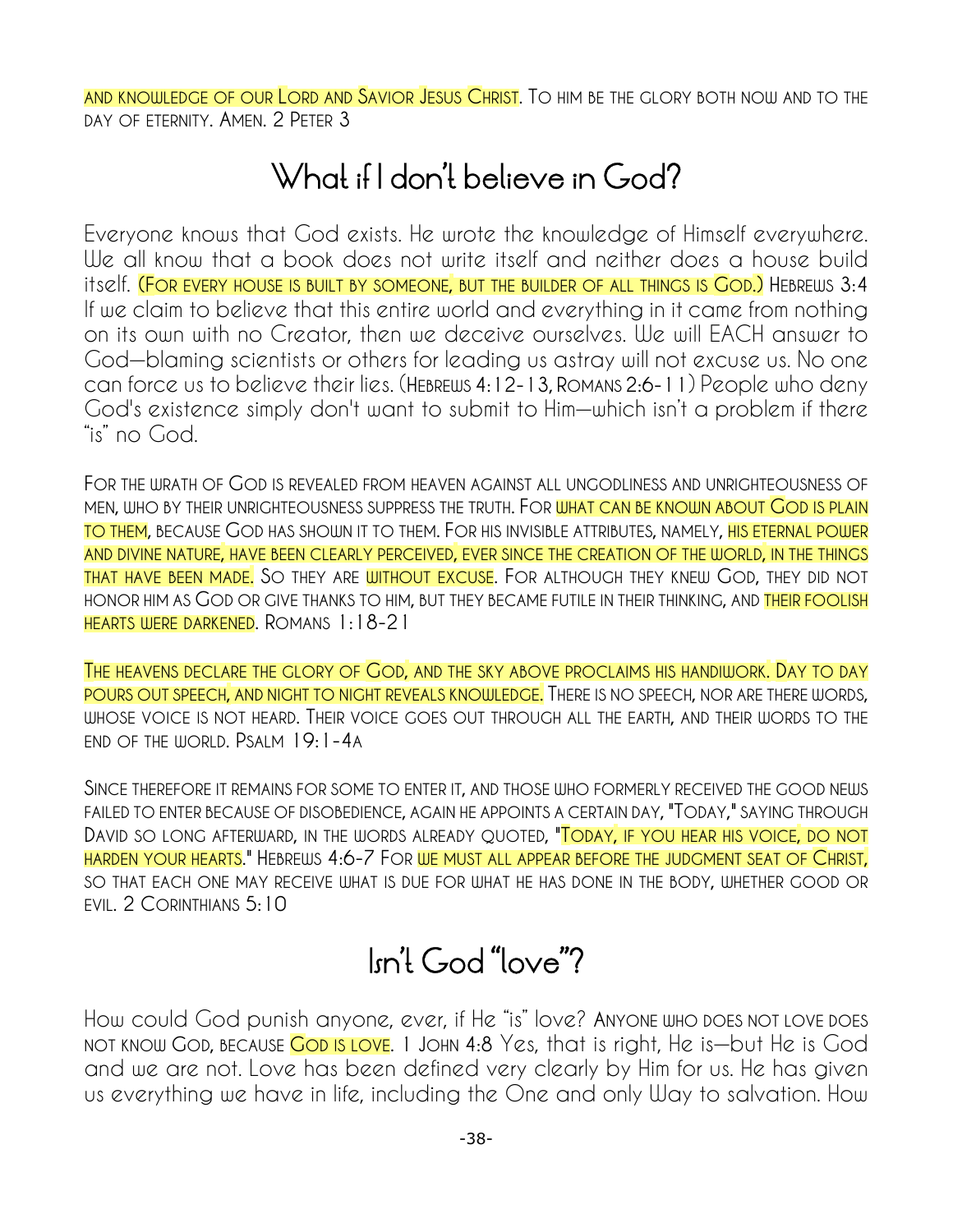**AND KNOWLEDGE OF OUR LORD AND SAVIOR JESUS CHRIST. TO HIM BE THE GLORY BOTH NOW AND TO THE DAY OF ETERNITY. AMEN. 2 PETER 3**

#### What if I don't believe in God?

Everyone knows that God exists. He wrote the knowledge of Himself everywhere. We all know that a book does not write itself and neither does a house build itself. (For every house is built by someone. But the builder of all things is God.) Hebrews 3:4 If we claim to believe that this entire world and everything in it came from nothing on its own with no Creator, then we deceive ourselves. We will EACH answer to God—blaming scientists or others for leading us astray will not excuse us. No one can force us to believe their lies. (**HEBREWS 4:12-13, ROMANS 2:6-11**) People who deny God's existence simply don't want to submit to Him—which isn't a problem if there "is" no God.

**FOR THE WRATH OF GOD IS REVEALED FROM HEAVEN AGAINST ALL UNGODLINESS AND UNRIGHTEOUSNESS OF MEN, WHO BY THEIR UNRIGHTEOUSNESS SUPPRESS THE TRUTH. FOR WHAT CAN BE KNOWN ABOUT GOD IS PLAIN TO THEM, BECAUSE GOD HAS SHOWN IT TO THEM. FOR HIS INVISIBLE ATTRIBUTES, NAMELY, HIS ETERNAL POWER** AND DIVINE NATURE, HAVE BEEN CLEARLY PERCEIVED, EVER SINCE THE CREATION OF THE WORLD, IN THE THINGS **THAT HAVE BEEN MADE. SO THEY ARE WITHOUT EXCUSE. FOR ALTHOUGH THEY KNEW GOD, THEY DID NOT HONOR HIM AS GOD OR GIVE THANKS TO HIM, BUT THEY BECAME FUTILE IN THEIR THINKING, AND THEIR FOOLISH HEARTS WERE DARKENED. ROMANS 1:18-21**

The heavens declare the glory of God, and the SKY above proclaims his handiwork. Day to day **POURS OUT SPEECH, AND NIGHT TO NIGHT REVEALS KNOWLEDGE. THERE IS NO SPEECH, NOR ARE THERE WORDS, WHOSE VOICE IS NOT HEARD. THEIR VOICE GOES OUT THROUGH ALL THE EARTH, AND THEIR WORDS TO THE END OF THE WORLD. PSALM 19:1-4A**

**SINCE THEREFORE IT REMAINS FOR SOME TO ENTER IT, AND THOSE WHO FORMERLY RECEIVED THE GOOD NEWS FAILED TO ENTER BECAUSE OF DISOBEDIENCE, AGAIN HE APPOINTS A CERTAIN DAY, "TODAY," SAYING THROUGH DAVID SO LONG AFTERWARD, IN THE WORDS ALREADY QUOTED, "TODAY, IF YOU HEAR HIS VOICE, DO NOT** HARDEN YOUR HEARTS." HEBREWS 4:6-7 FOR WE MUST ALL APPEAR BEFORE THE JUDGMENT SEAT OF CHRIST, **SO THAT EACH ONE MAY RECEIVE WHAT IS DUE FOR WHAT HE HAS DONE IN THE BODY, WHETHER GOOD OR EVIL. 2 CORINTHIANS 5:10**

# Isn't God "love"?

How could God punish anyone, ever, if He "is" love? **ANYONE WHO DOES NOT LOVE DOES NOT KNOW GOD, BECAUSE GOD IS LOVE. 1 JOHN 4:8** Yes, that is right, He is—but He is God and we are not. Love has been defined very clearly by Him for us. He has given us everything we have in life, including the One and only Way to salvation. How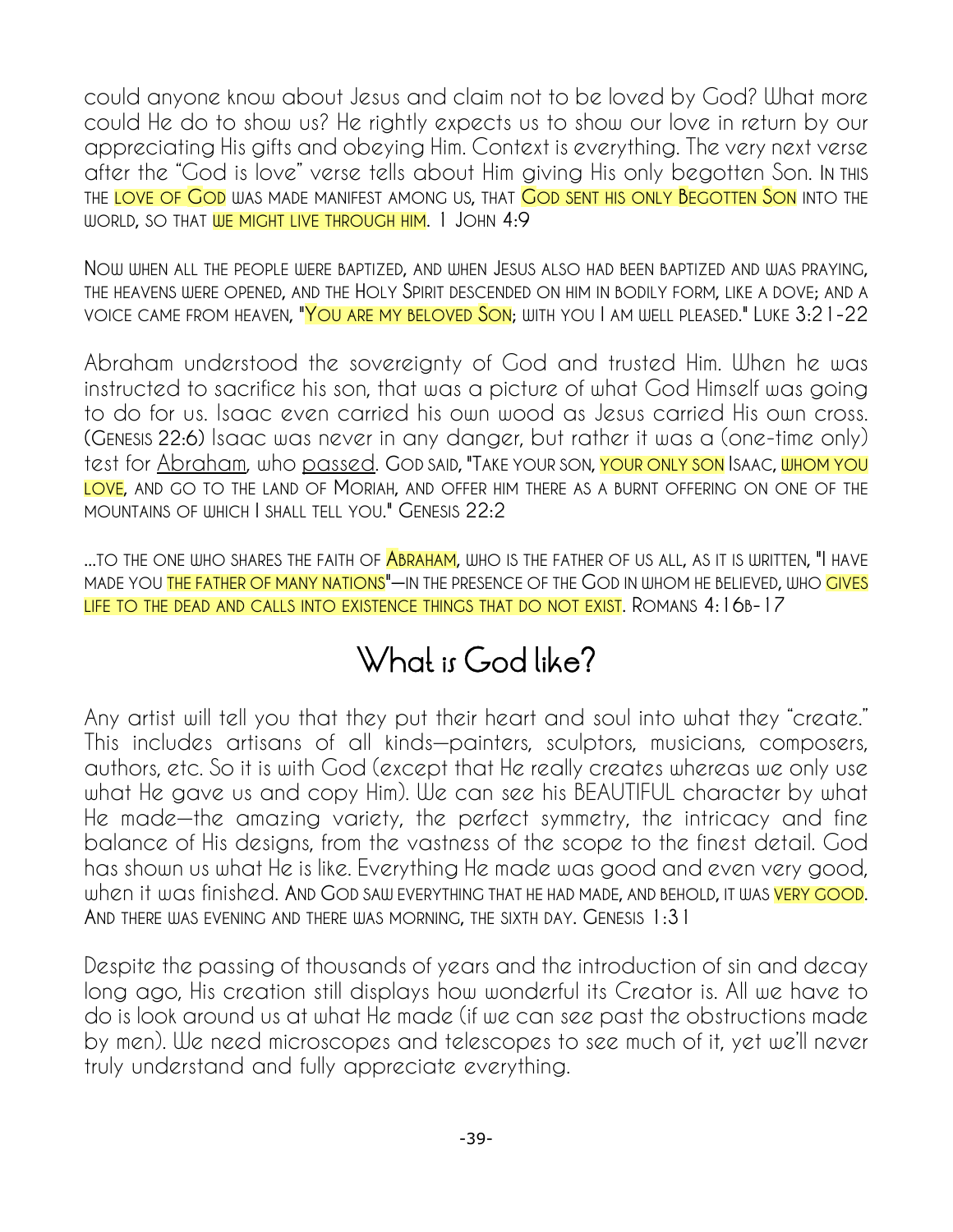could anyone know about Jesus and claim not to be loved by God? What more could He do to show us? He rightly expects us to show our love in return by our appreciating His gifts and obeying Him. Context is everything. The very next verse after the "God is love" verse tells about Him giving His only begotten Son. **IN THIS THE LOVE OF GOD WAS MADE MANIFEST AMONG US, THAT GOD SENT HIS ONLY BEGOTTEN SON INTO THE WORLD, SO THAT WE MIGHT LIVE THROUGH HIM. 1 JOHN 4:9**

**NOW WHEN ALL THE PEOPLE WERE BAPTIZED, AND WHEN JESUS ALSO HAD BEEN BAPTIZED AND WAS PRAYING, THE HEAVENS WERE OPENED, AND THE HOLY SPIRIT DESCENDED ON HIM IN BODILY FORM, LIKE A DOVE; AND A VOICE CAME FROM HEAVEN, "YOU ARE MY BELOVED SON; WITH YOU I AM WELL PLEASED." LUKE 3:21-22**

Abraham understood the sovereignty of God and trusted Him. When he was instructed to sacrifice his son, that was a picture of what God Himself was going to do for us. Isaac even carried his own wood as Jesus carried His own cross. **(GENESIS 22:6)** Isaac was never in any danger, but rather it was a (one-time only) test for Abraham, who passed. **GOD SAID, "TAKE YOUR SON, YOUR ONLY SON ISAAC, WHOM YOU LOVE, AND GO TO THE LAND OF MORIAH, AND OFFER HIM THERE AS A BURNT OFFERING ON ONE OF THE MOUNTAINS OF WHICH I SHALL TELL YOU." GENESIS 22:2**

**...TO THE ONE WHO SHARES THE FAITH OF ABRAHAM, WHO IS THE FATHER OF US ALL, AS IT IS WRITTEN, "I HAVE MADE YOU THE FATHER OF MANY NATIONS"—IN THE PRESENCE OF THE GOD IN WHOM HE BELIEVED, WHO GIVES LIFE TO THE DEAD AND CALLS INTO EXISTENCE THINGS THAT DO NOT EXIST. ROMANS 4:16B-17**

### What is God like?

Any artist will tell you that they put their heart and soul into what they "create." This includes artisans of all kinds—painters, sculptors, musicians, composers, authors, etc. So it is with God (except that He really creates whereas we only use what He gave us and copy Him). We can see his BEAUTIFUL character by what He made—the amazing variety, the perfect symmetry, the intricacy and fine balance of His designs, from the vastness of the scope to the finest detail. God has shown us what He is like. Everything He made was good and even very good, when it was finished. **AND GOD SAW EVERYTHING THAT HE HAD MADE, AND BEHOLD, IT WAS VERY GOOD. AND THERE WAS EVENING AND THERE WAS MORNING, THE SIXTH DAY. GENESIS 1:31**

Despite the passing of thousands of years and the introduction of sin and decay long ago, His creation still displays how wonderful its Creator is. All we have to do is look around us at what He made (if we can see past the obstructions made by men). We need microscopes and telescopes to see much of it, yet we'll never truly understand and fully appreciate everything.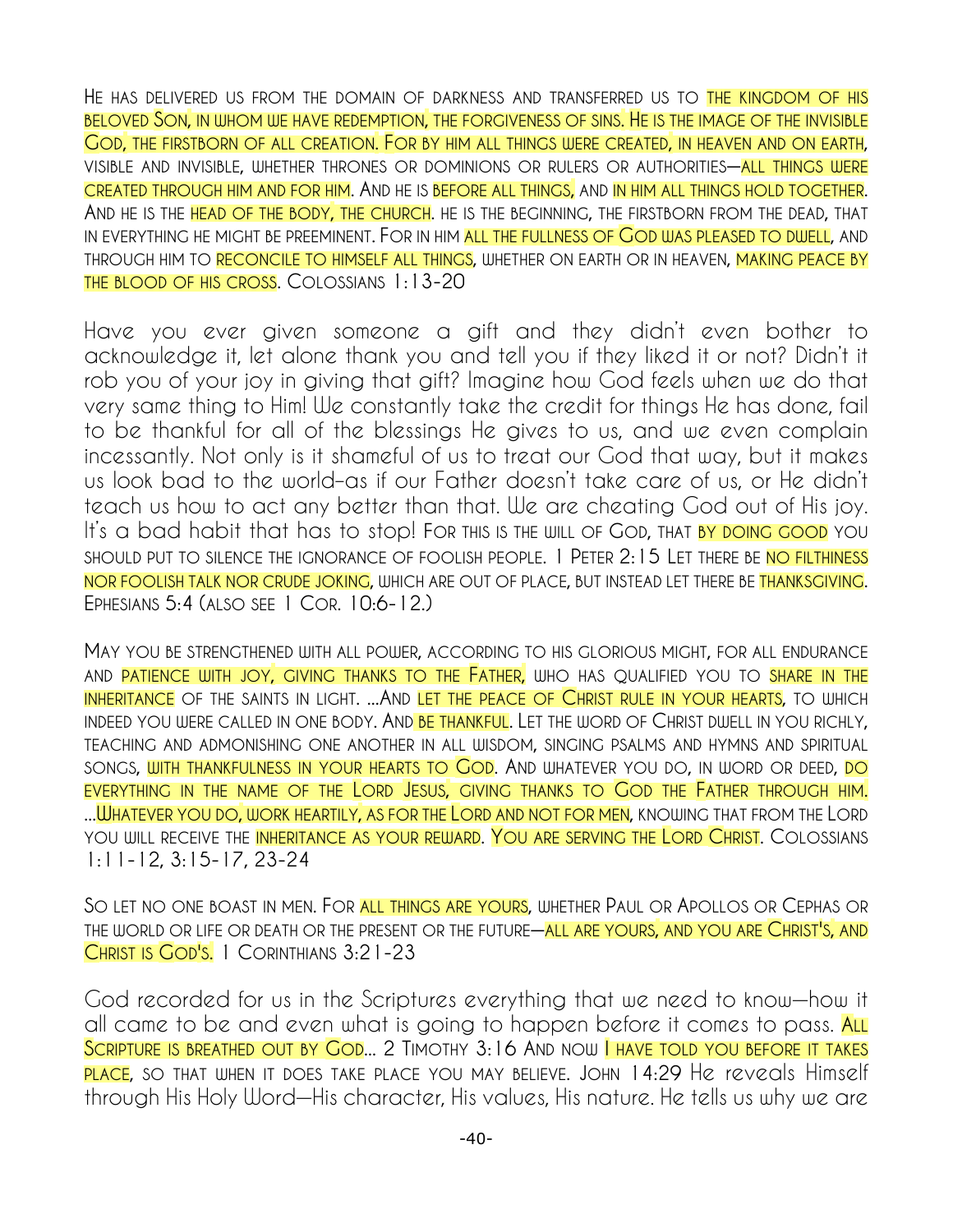**HE HAS DELIVERED US FROM THE DOMAIN OF DARKNESS AND TRANSFERRED US TO THE KINGDOM OF HIS** BELOVED SON, IN WHOM WE HAVE REDEMPTION, THE FORGIVENESS OF SINS. HE IS THE IMAGE OF THE INVISIBLE GOD, THE FIRSTBORN OF ALL CREATION. FOR BY HIM ALL THINGS WERE CREATED, IN HEAVEN AND ON EARTH, **VISIBLE AND INVISIBLE, WHETHER THRONES OR DOMINIONS OR RULERS OR AUTHORITIES—ALL THINGS WERE** CREATED THROUGH HIM AND FOR HIM. AND HE IS BEFORE ALL THINGS, AND IN HIM ALL THINGS HOLD TOGETHER. **AND HE IS THE HEAD OF THE BODY, THE CHURCH. HE IS THE BEGINNING, THE FIRSTBORN FROM THE DEAD, THAT IN EVERYTHING HE MIGHT BE PREEMINENT. FOR IN HIM ALL THE FULLNESS OF GOD WAS PLEASED TO DWELL, AND THROUGH HIM TO RECONCILE TO HIMSELF ALL THINGS, WHETHER ON EARTH OR IN HEAVEN, MAKING PEACE BY THE BLOOD OF HIS CROSS. COLOSSIANS 1:13-20**

Have you ever given someone a gift and they didn't even bother to acknowledge it, let alone thank you and tell you if they liked it or not? Didn't it rob you of your joy in giving that gift? Imagine how God feels when we do that very same thing to Him! We constantly take the credit for things He has done, fail to be thankful for all of the blessings He gives to us, and we even complain incessantly. Not only is it shameful of us to treat our God that way, but it makes us look bad to the world–as if our Father doesn't take care of us, or He didn't teach us how to act any better than that. We are cheating God out of His joy. It's a bad habit that has to stop! **FOR THIS IS THE WILL OF GOD, THAT BY DOING GOOD YOU SHOULD PUT TO SILENCE THE IGNORANCE OF FOOLISH PEOPLE. 1 PETER 2:15 LET THERE BE NO FILTHINESS NOR FOOLISH TALK NOR CRUDE JOKING, WHICH ARE OUT OF PLACE, BUT INSTEAD LET THERE BE THANKSGIVING. EPHESIANS 5:4 (ALSO SEE 1 COR. 10:6-12.)**

**MAY YOU BE STRENGTHENED WITH ALL POWER, ACCORDING TO HIS GLORIOUS MIGHT, FOR ALL ENDURANCE AND PATIENCE WITH JOY, GIVING THANKS TO THE FATHER, WHO HAS QUALIFIED YOU TO SHARE IN THE INHERITANCE OF THE SAINTS IN LIGHT. ...AND LET THE PEACE OF CHRIST RULE IN YOUR HEARTS, TO WHICH INDEED YOU WERE CALLED IN ONE BODY. AND BE THANKFUL. LET THE WORD OF CHRIST DWELL IN YOU RICHLY, TEACHING AND ADMONISHING ONE ANOTHER IN ALL WISDOM, SINGING PSALMS AND HYMNS AND SPIRITUAL SONGS, WITH THANKFULNESS IN YOUR HEARTS TO GOD. AND WHATEVER YOU DO, IN WORD OR DEED, DO** EVERYTHING IN THE NAME OF THE LORD JESUS, GIVING THANKS TO GOD THE FATHER THROUGH HIM. ...<mark>Whatever you do, work heartily, as for the Lord and not for men,</mark> knowing that from the Lord **YOU WILL RECEIVE THE INHERITANCE AS YOUR REWARD. YOU ARE SERVING THE LORD CHRIST. COLOSSIANS 1:11-12, 3:15-17, 23-24**

**SO LET NO ONE BOAST IN MEN. FOR ALL THINGS ARE YOURS, WHETHER PAUL OR APOLLOS OR CEPHAS OR THE WORLD OR LIFE OR DEATH OR THE PRESENT OR THE FUTURE—ALL ARE YOURS, AND YOU ARE CHRIST'S, AND CHRIST IS GOD'S. 1 CORINTHIANS 3:21-23**

God recorded for us in the Scriptures everything that we need to know—how it all came to be and even what is going to happen before it comes to pass. **ALL** Scripture is breathed out by God... 2 Timothy 3:16 And now I have told you before it takes **PLACE, SO THAT WHEN IT DOES TAKE PLACE YOU MAY BELIEVE. JOHN 14:29** He reveals Himself through His Holy Word—His character, His values, His nature. He tells us why we are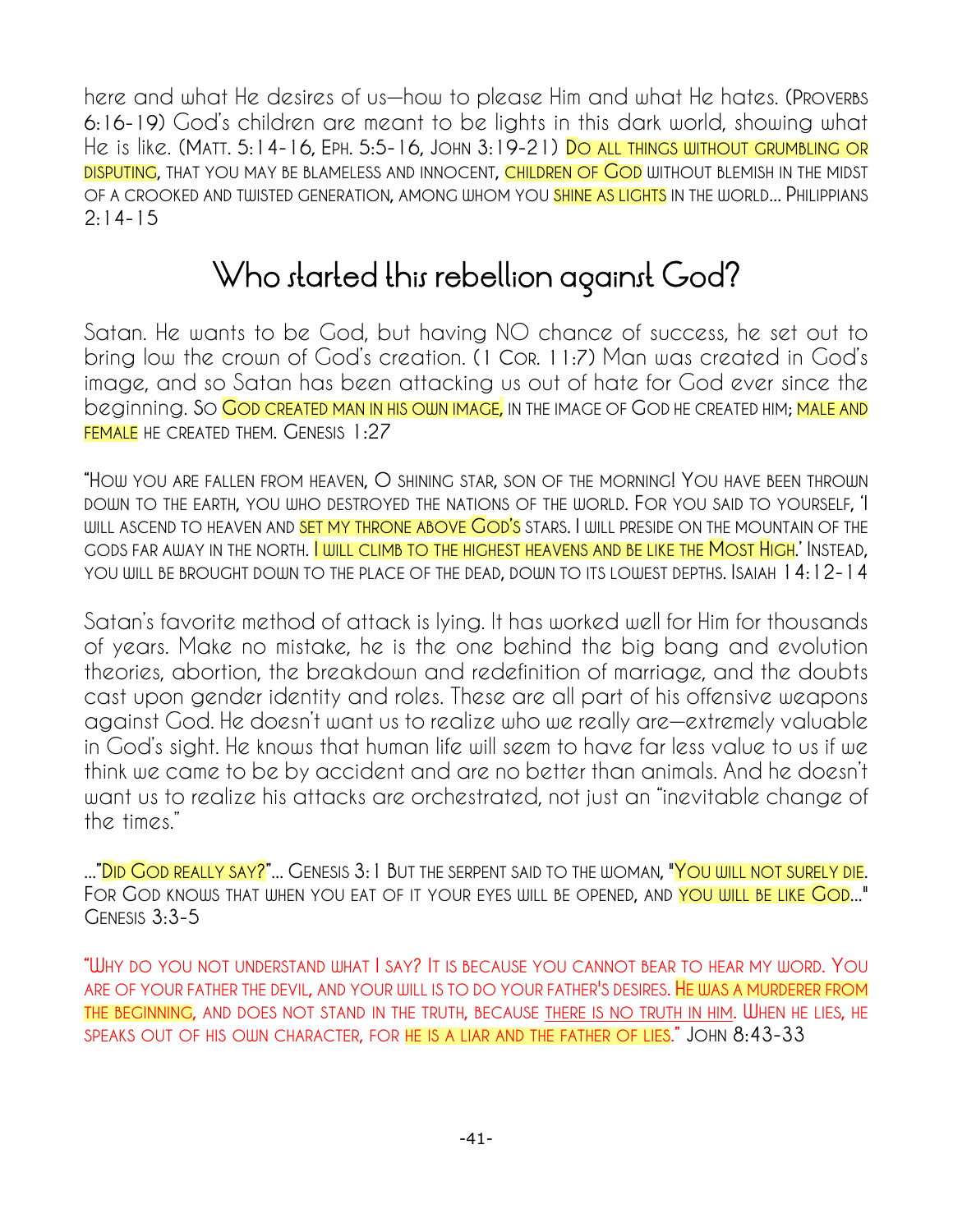here and what He desires of us—how to please Him and what He hates. **(PROVERBS 6:16-19)** God's children are meant to be lights in this dark world, showing what He is like. **(MATT. 5:14-16, EPH. 5:5-16, JOHN 3:19-21) DO ALL THINGS WITHOUT GRUMBLING OR DISPUTING, THAT YOU MAY BE BLAMELESS AND INNOCENT, CHILDREN OF GOD WITHOUT BLEMISH IN THE MIDST OF A CROOKED AND TWISTED GENERATION, AMONG WHOM YOU SHINE AS LIGHTS IN THE WORLD... PHILIPPIANS 2:14-15**

#### Who started this rebellion against God?

Satan. He wants to be God, but having NO chance of success, he set out to bring low the crown of God's creation. **(1 COR. 11:7)** Man was created in God's image, and so Satan has been attacking us out of hate for God ever since the beginning. **SO GOD CREATED MAN IN HIS OWN IMAGE, IN THE IMAGE OF GOD HE CREATED HIM; MALE AND FEMALE HE CREATED THEM. GENESIS 1:27**

**"HOW YOU ARE FALLEN FROM HEAVEN, O SHINING STAR, SON OF THE MORNING! YOU HAVE BEEN THROWN DOWN TO THE EARTH, YOU WHO DESTROYED THE NATIONS OF THE WORLD. FOR YOU SAID TO YOURSELF, 'I WILL ASCEND TO HEAVEN AND SET MY THRONE ABOVE GOD'S STARS. I WILL PRESIDE ON THE MOUNTAIN OF THE** GODS FAR AWAY IN THE NORTH. LWILL CLIMB TO THE HIGHEST HEAVENS AND BE LIKE THE MOST HIGH. INSTEAD, **YOU WILL BE BROUGHT DOWN TO THE PLACE OF THE DEAD, DOWN TO ITS LOWEST DEPTHS. ISAIAH 14:12-14**

Satan's favorite method of attack is lying. It has worked well for Him for thousands of years. Make no mistake, he is the one behind the big bang and evolution theories, abortion, the breakdown and redefinition of marriage, and the doubts cast upon gender identity and roles. These are all part of his offensive weapons against God. He doesn't want us to realize who we really are—extremely valuable in God's sight. He knows that human life will seem to have far less value to us if we think we came to be by accident and are no better than animals. And he doesn't want us to realize his attacks are orchestrated, not just an "inevitable change of the times."

..."<mark>Did God really say?</mark>"... Genesis 3: 1 But the serpent said to the woman**,** "<mark>You will not surely die</mark>.. **FOR GOD KNOWS THAT WHEN YOU EAT OF IT YOUR EYES WILL BE OPENED, AND YOU WILL BE LIKE GOD..." GENESIS 3:3-5**

**"WHY DO YOU NOT UNDERSTAND WHAT I SAY? IT IS BECAUSE YOU CANNOT BEAR TO HEAR MY WORD. YOU ARE OF YOUR FATHER THE DEVIL, AND YOUR WILL IS TO DO YOUR FATHER'S DESIRES. HE WAS A MURDERER FROM THE BEGINNING, AND DOES NOT STAND IN THE TRUTH, BECAUSE THERE IS NO TRUTH IN HIM. WHEN HE LIES, HE SPEAKS OUT OF HIS OWN CHARACTER, FOR HE IS A LIAR AND THE FATHER OF LIES." JOHN 8:43-33**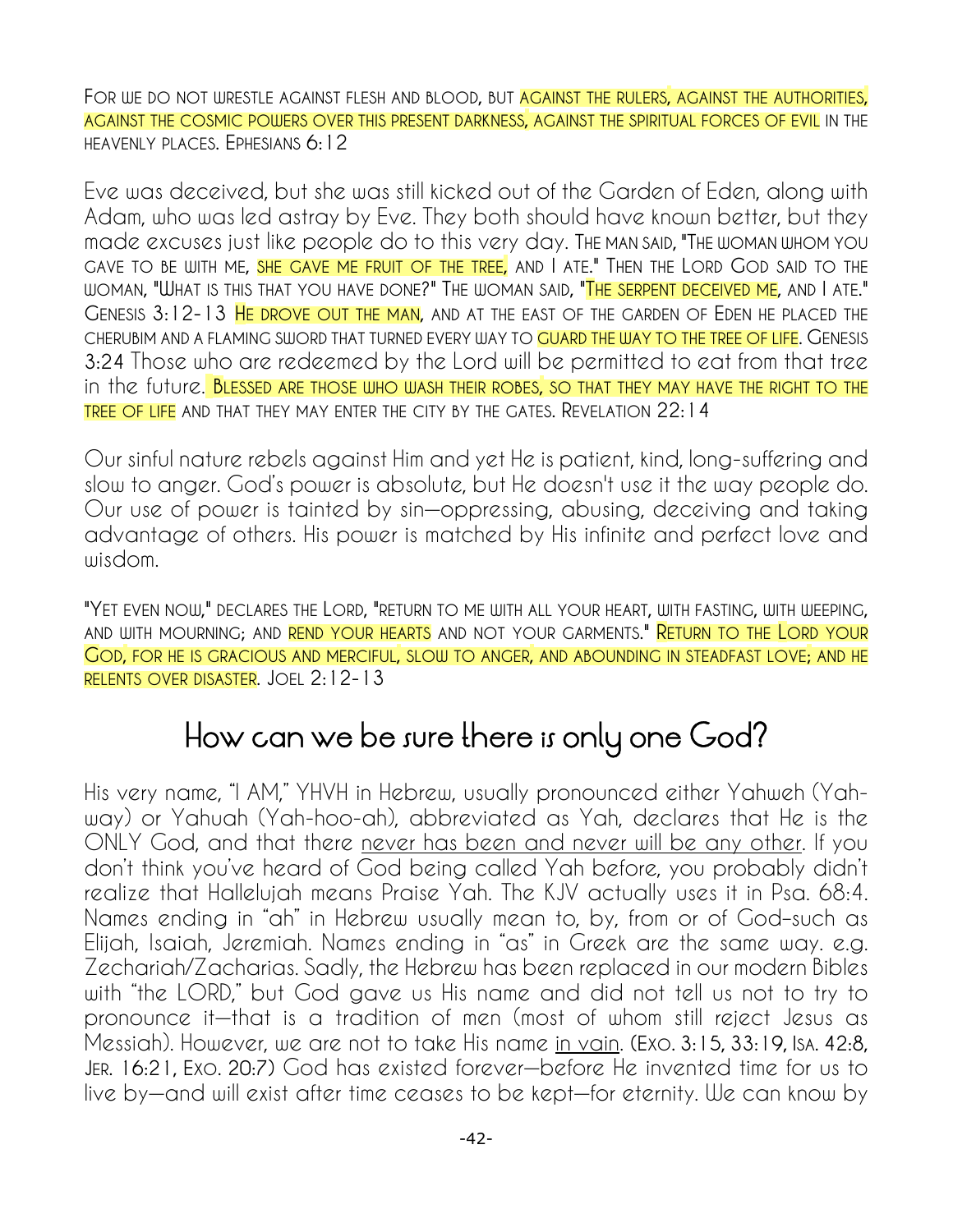**FOR WE DO NOT WRESTLE AGAINST FLESH AND BLOOD, BUT AGAINST THE RULERS, AGAINST THE AUTHORITIES, AGAINST THE COSMIC POWERS OVER THIS PRESENT DARKNESS, AGAINST THE SPIRITUAL FORCES OF EVIL IN THE HEAVENLY PLACES. EPHESIANS 6:12**

Eve was deceived, but she was still kicked out of the Garden of Eden, along with Adam, who was led astray by Eve. They both should have known better, but they made excuses just like people do to this very day. **THE MAN SAID, "THE WOMAN WHOM YOU** GAVE TO BE WITH ME, SHE GAVE ME FRUIT OF THE TREE, AND I ATE." THEN THE LORD GOD SAID TO THE **WOMAN, "WHAT IS THIS THAT YOU HAVE DONE?" THE WOMAN SAID, "THE SERPENT DECEIVED ME, AND I ATE." GENESIS 3:12-13 HE DROVE OUT THE MAN, AND AT THE EAST OF THE GARDEN OF EDEN HE PLACED THE CHERUBIM AND A FLAMING SWORD THAT TURNED EVERY WAY TO GUARD THE WAY TO THE TREE OF LIFE. GENESIS 3:24** Those who are redeemed by the Lord will be permitted to eat from that tree in the future. **BLESSED ARE THOSE WHO WASH THEIR ROBES, SO THAT THEY MAY HAVE THE RIGHT TO THE TREE OF LIFE AND THAT THEY MAY ENTER THE CITY BY THE GATES. REVELATION 22:14**

Our sinful nature rebels against Him and yet He is patient, kind, long-suffering and slow to anger. God's power is absolute, but He doesn't use it the way people do. Our use of power is tainted by sin—oppressing, abusing, deceiving and taking advantage of others. His power is matched by His infinite and perfect love and wisdom.

**"YET EVEN NOW," DECLARES THE LORD, "RETURN TO ME WITH ALL YOUR HEART, WITH FASTING, WITH WEEPING, AND WITH MOURNING; AND REND YOUR HEARTS AND NOT YOUR GARMENTS." RETURN TO THE LORD YOUR** GOD, FOR HE IS GRACIOUS AND MERCIFUL, SLOW TO ANGER, AND ABOUNDING IN STEADFAST LOVE; AND HE **RELENTS OVER DISASTER. JOEL 2:12-13**

# How can we be sure there is only one God?

His very name, "I AM," YHVH in Hebrew, usually pronounced either Yahweh (Yahway) or Yahuah (Yah-hoo-ah), abbreviated as Yah, declares that He is the ONLY God, and that there never has been and never will be any other. If you don't think you've heard of God being called Yah before, you probably didn't realize that Hallelujah means Praise Yah. The KJV actually uses it in Psa. 68:4. Names ending in "ah" in Hebrew usually mean to, by, from or of God–such as Elijah, Isaiah, Jeremiah. Names ending in "as" in Greek are the same way. e.g. Zechariah/Zacharias. Sadly, the Hebrew has been replaced in our modern Bibles with "the LORD," but God gave us His name and did not tell us not to try to pronounce it—that is a tradition of men (most of whom still reject Jesus as Messiah). However, we are not to take His name in vain. **(EXO. 3:15, 33:19, ISA. 42:8, JER. 16:21, EXO. 20:7)** God has existed forever—before He invented time for us to live by—and will exist after time ceases to be kept—for eternity. We can know by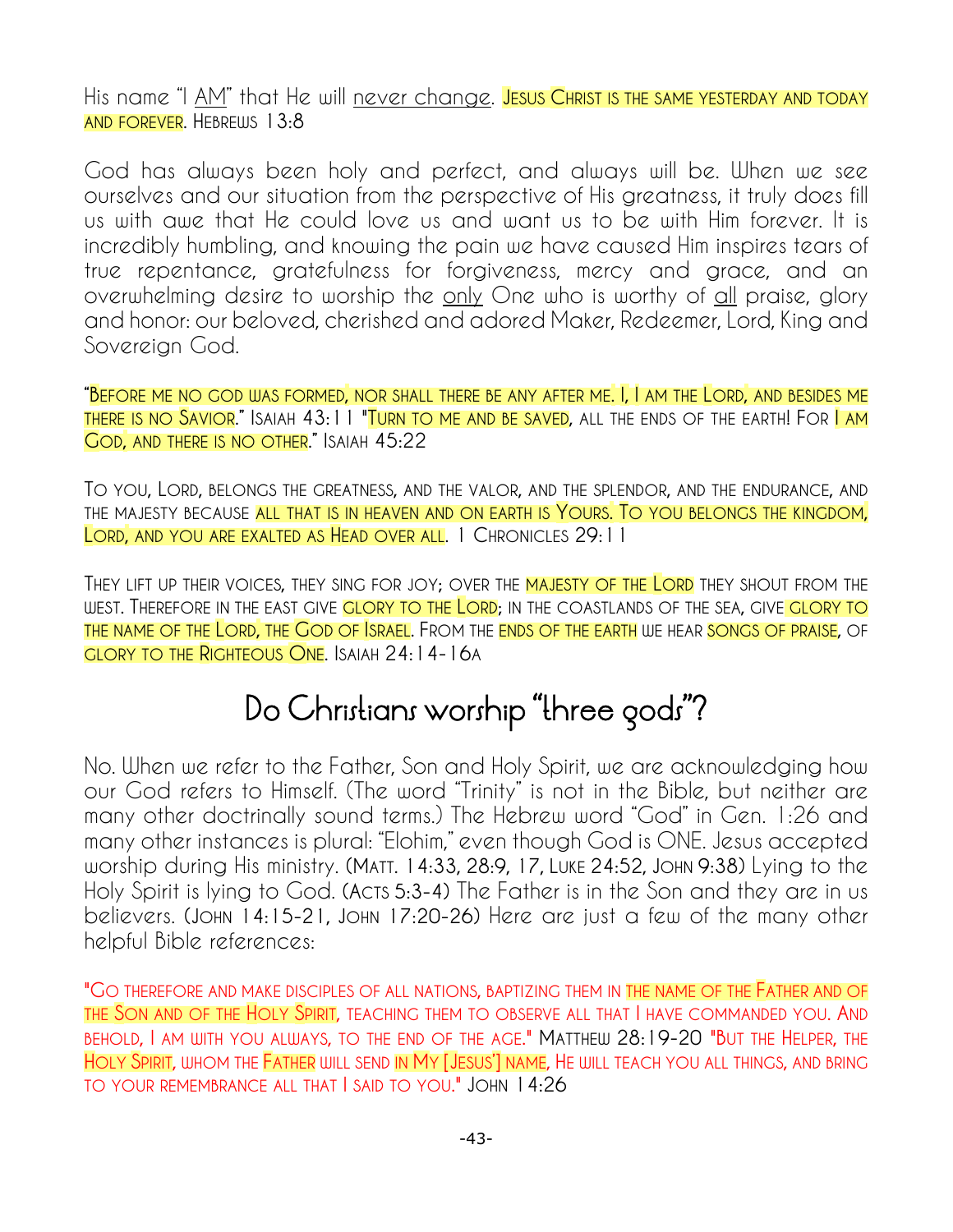His name "I AM" that He will never change. **JESUS CHRIST IS THE SAME YESTERDAY AND TODAY AND FOREVER. HEBREWS 13:8**

God has always been holy and perfect, and always will be. When we see ourselves and our situation from the perspective of His greatness, it truly does fill us with awe that He could love us and want us to be with Him forever. It is incredibly humbling, and knowing the pain we have caused Him inspires tears of true repentance, gratefulness for forgiveness, mercy and grace, and an overwhelming desire to worship the only One who is worthy of all praise, glory and honor: our beloved, cherished and adored Maker, Redeemer, Lord, King and Sovereign God.

"Before me no god was formed, nor shall there be any after me. 1, I am the Lord, and besides me There is no Savior." Isaiah 43:11 "Turn to me and be saved, all the ends of the earth! For I am **GOD, AND THERE IS NO OTHER." ISAIAH 45:22**

**TO YOU, LORD, BELONGS THE GREATNESS, AND THE VALOR, AND THE SPLENDOR, AND THE ENDURANCE, AND THE MAJESTY BECAUSE ALL THAT IS IN HEAVEN AND ON EARTH IS YOURS. TO YOU BELONGS THE KINGDOM, LORD, AND YOU ARE EXALTED AS HEAD OVER ALL. 1 CHRONICLES 29:11**

**THEY LIFT UP THEIR VOICES, THEY SING FOR JOY; OVER THE MAJESTY OF THE LORD THEY SHOUT FROM THE WEST. THEREFORE IN THE EAST GIVE GLORY TO THE LORD; IN THE COASTLANDS OF THE SEA, GIVE GLORY TO** The name of the Lord, the God of Israel. From the ends of the earth we hear songs of praise, of **GLORY TO THE RIGHTEOUS ONE. ISAIAH 24:14-16A**

# Do Christians worship "three gods"?

No. When we refer to the Father, Son and Holy Spirit, we are acknowledging how our God refers to Himself. (The word "Trinity" is not in the Bible, but neither are many other doctrinally sound terms.) The Hebrew word "God" in Gen. 1:26 and many other instances is plural: "Elohim," even though God is ONE. Jesus accepted worship during His ministry. **(MATT. 14:33, 28:9, 17, LUKE 24:52, JOHN 9:38)** Lying to the Holy Spirit is lying to God. **(ACTS 5:3-4)** The Father is in the Son and they are in us believers. **(JOHN 14:15-21, JOHN 17:20-26)** Here are just a few of the many other helpful Bible references:

**"GO THEREFORE AND MAKE DISCIPLES OF ALL NATIONS, BAPTIZING THEM IN THE NAME OF THE FATHER AND OF THE SON AND OF THE HOLY SPIRIT, TEACHING THEM TO OBSERVE ALL THAT I HAVE COMMANDED YOU. AND BEHOLD, I AM WITH YOU ALWAYS, TO THE END OF THE AGE." MATTHEW 28:19-20 "BUT THE HELPER, THE** HOLY SPIRIT, WHOM THE FATHER WILL SEND IN MY [JESUS'] NAME, HE WILL TEACH YOU ALL THINGS, AND BRING **TO YOUR REMEMBRANCE ALL THAT I SAID TO YOU." JOHN 14:26**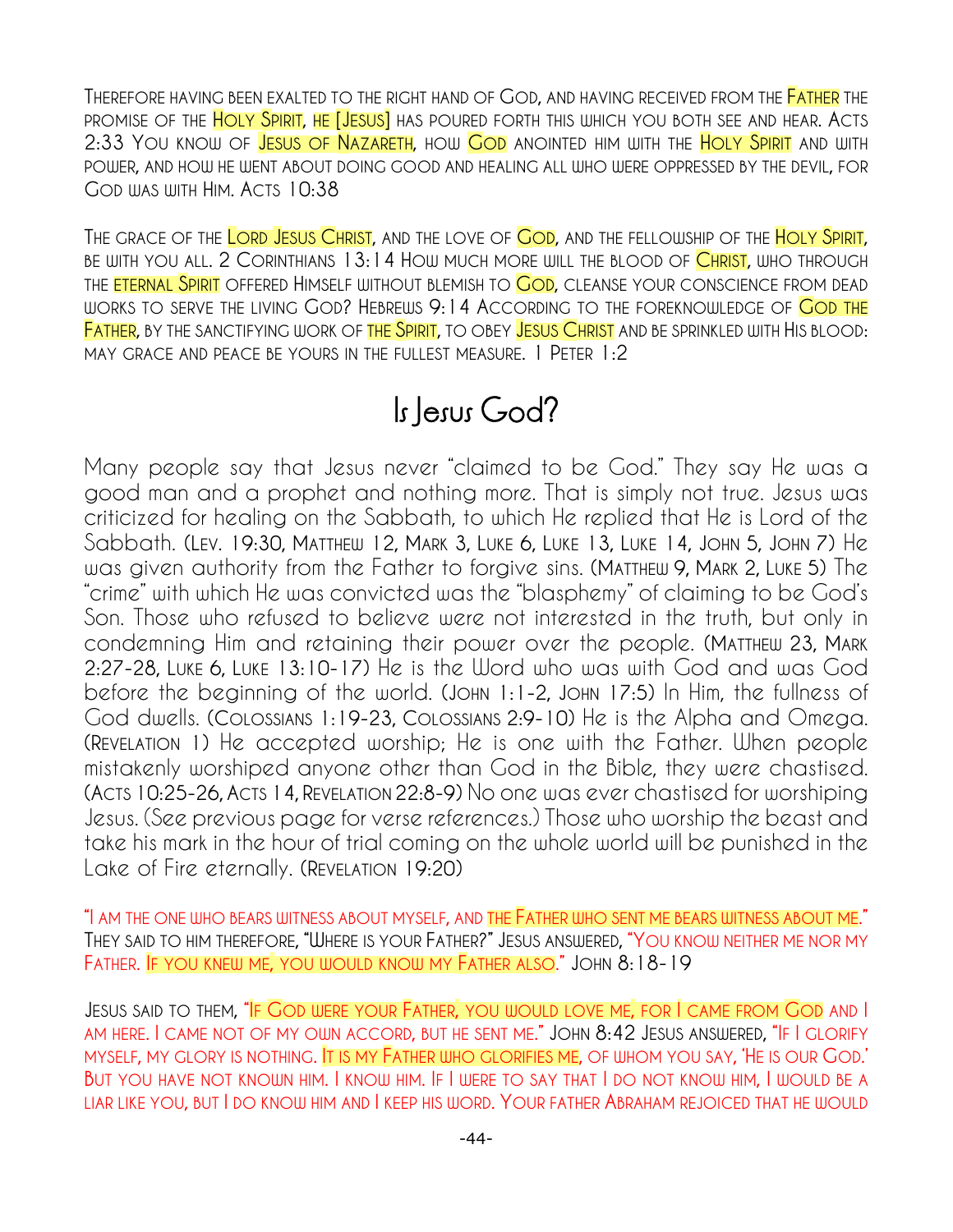**THEREFORE HAVING BEEN EXALTED TO THE RIGHT HAND OF GOD, AND HAVING RECEIVED FROM THE FATHER THE PROMISE OF THE HOLY SPIRIT, HE [JESUS] HAS POURED FORTH THIS WHICH YOU BOTH SEE AND HEAR. ACTS 2:33 YOU KNOW OF JESUS OF NAZARETH, HOW GOD ANOINTED HIM WITH THE HOLY SPIRIT AND WITH POWER, AND HOW HE WENT ABOUT DOING GOOD AND HEALING ALL WHO WERE OPPRESSED BY THE DEVIL, FOR GOD WAS WITH HIM. ACTS 10:38**

The grace of the LORD Jesus Christ, and the love of GOD, and the fellowship of the HOLY Spirit, **BE WITH YOU ALL. 2 CORINTHIANS 13:14 HOW MUCH MORE WILL THE BLOOD OF CHRIST, WHO THROUGH THE ETERNAL SPIRIT OFFERED HIMSELF WITHOUT BLEMISH TO GOD, CLEANSE YOUR CONSCIENCE FROM DEAD WORKS TO SERVE THE LIVING GOD? HEBREWS 9:14 ACCORDING TO THE FOREKNOWLEDGE OF GOD THE FATHER, BY THE SANCTIFYING WORK OF THE SPIRIT, TO OBEY JESUS CHRIST AND BE SPRINKLED WITH HIS BLOOD: MAY GRACE AND PEACE BE YOURS IN THE FULLEST MEASURE. 1 PETER 1:2**

### Is Jesus God?

Many people say that Jesus never "claimed to be God." They say He was a good man and a prophet and nothing more. That is simply not true. Jesus was criticized for healing on the Sabbath, to which He replied that He is Lord of the Sabbath. (LEV. 19:30, MATTHEW 12, MARK 3, LUKE 6, LUKE 13, LUKE 14, JOHN 5, JOHN 7) He was given authority from the Father to forgive sins. **(MATTHEW 9, MARK 2, LUKE 5)** The "crime" with which He was convicted was the "blasphemy" of claiming to be God's Son. Those who refused to believe were not interested in the truth, but only in condemning Him and retaining their power over the people. **(MATTHEW 23, MARK 2:27-28, LUKE 6, LUKE 13:10-17)** He is the Word who was with God and was God before the beginning of the world. **(JOHN 1:1-2, JOHN 17:5)** In Him, the fullness of God dwells. **(COLOSSIANS 1:19-23, COLOSSIANS 2:9-10)** He is the Alpha and Omega. **(REVELATION 1)** He accepted worship; He is one with the Father. When people mistakenly worshiped anyone other than God in the Bible, they were chastised. **(ACTS 10:25-26, ACTS 14, REVELATION 22:8-9)** No one was ever chastised for worshiping Jesus. (See previous page for verse references.) Those who worship the beast and take his mark in the hour of trial coming on the whole world will be punished in the Lake of Fire eternally. **(REVELATION 19:20)**

**"I AM THE ONE WHO BEARS WITNESS ABOUT MYSELF, AND THE FATHER WHO SENT ME BEARS WITNESS ABOUT ME." THEY SAID TO HIM THEREFORE, "WHERE IS YOUR FATHER?" JESUS ANSWERED, "YOU KNOW NEITHER ME NOR MY FATHER. IF YOU KNEW ME, YOU WOULD KNOW MY FATHER ALSO." JOHN 8:18-19**

Jesus said to them, "If God were your Father, you would love me, for I came from God and I **AM HERE. I CAME NOT OF MY OWN ACCORD, BUT HE SENT ME." JOHN 8:42 JESUS ANSWERED, "IF I GLORIFY** MYSELF, MY GLORY IS NOTHING. IT IS MY FATHER WHO GLORIFIES ME, OF WHOM YOU SAY, 'HE IS OUR GOD.' **BUT YOU HAVE NOT KNOWN HIM. I KNOW HIM. IF I WERE TO SAY THAT I DO NOT KNOW HIM, I WOULD BE A LIAR LIKE YOU, BUT I DO KNOW HIM AND I KEEP HIS WORD. YOUR FATHER ABRAHAM REJOICED THAT HE WOULD**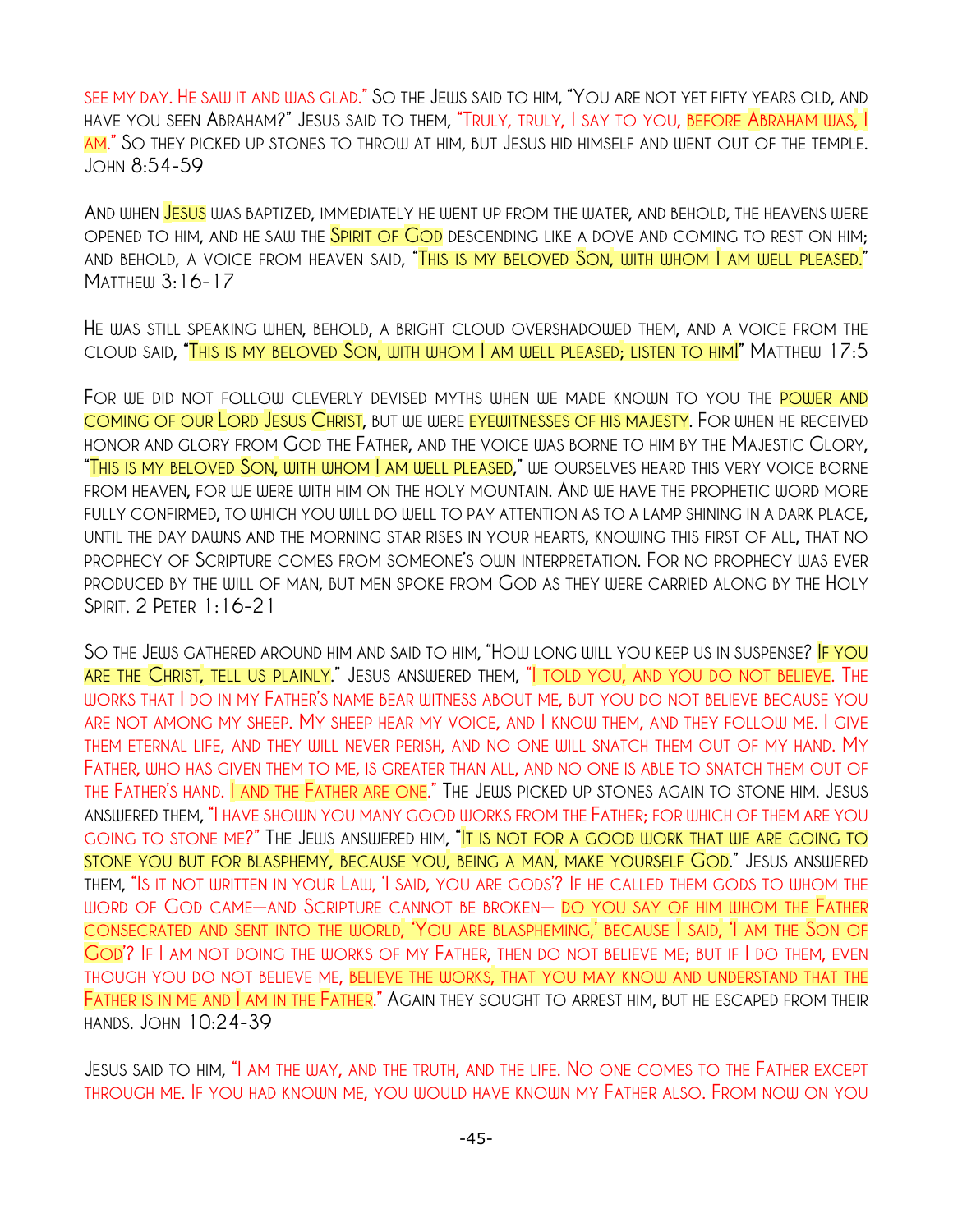**SEE MY DAY. HE SAW IT AND WAS GLAD." SO THE JEWS SAID TO HIM, "YOU ARE NOT YET FIFTY YEARS OLD, AND** HAVE YOU SEEN ABRAHAM?" JESUS SAID TO THEM, "TRULY, TRULY, I SAY TO YOU, BEFORE ABRAHAM WAS, I **AM." SO THEY PICKED UP STONES TO THROW AT HIM, BUT JESUS HID HIMSELF AND WENT OUT OF THE TEMPLE. JOHN 8:54-59**

**AND WHEN JESUS WAS BAPTIZED, IMMEDIATELY HE WENT UP FROM THE WATER, AND BEHOLD, THE HEAVENS WERE OPENED TO HIM, AND HE SAW THE SPIRIT OF GOD DESCENDING LIKE A DOVE AND COMING TO REST ON HIM;** and behold, a voice from heaven said, "This is my beloved Son, with whom I am well pleased." **MATTHEW 3:16-17**

**HE WAS STILL SPEAKING WHEN, BEHOLD, A BRIGHT CLOUD OVERSHADOWED THEM, AND A VOICE FROM THE** CLOUD SAID, "This is my beloved Son, with whom I am well pleased; listen to him!" Matthew 17:5

**FOR WE DID NOT FOLLOW CLEVERLY DEVISED MYTHS WHEN WE MADE KNOWN TO YOU THE POWER AND COMING OF OUR LORD JESUS CHRIST, BUT WE WERE EYEWITNESSES OF HIS MAJESTY. FOR WHEN HE RECEIVED HONOR AND GLORY FROM GOD THE FATHER, AND THE VOICE WAS BORNE TO HIM BY THE MAJESTIC GLORY, "THIS IS MY BELOVED SON, WITH WHOM I AM WELL PLEASED," WE OURSELVES HEARD THIS VERY VOICE BORNE** FROM HEAVEN, FOR WE WERE WITH HIM ON THE HOLY MOUNTAIN. AND WE HAVE THE PROPHETIC WORD MORE **FULLY CONFIRMED, TO WHICH YOU WILL DO WELL TO PAY ATTENTION AS TO A LAMP SHINING IN A DARK PLACE, UNTIL THE DAY DAWNS AND THE MORNING STAR RISES IN YOUR HEARTS, KNOWING THIS FIRST OF ALL, THAT NO PROPHECY OF SCRIPTURE COMES FROM SOMEONE'S OWN INTERPRETATION. FOR NO PROPHECY WAS EVER PRODUCED BY THE WILL OF MAN, BUT MEN SPOKE FROM GOD AS THEY WERE CARRIED ALONG BY THE HOLY SPIRIT. 2 PETER 1:16-21**

**SO THE JEWS GATHERED AROUND HIM AND SAID TO HIM, "HOW LONG WILL YOU KEEP US IN SUSPENSE? IF YOU** ARE THE CHRIST, TELL US PLAINLY." JESUS ANSWERED THEM, "I TOLD YOU, AND YOU DO NOT BELIEVE. THE **WORKS THAT I DO IN MY FATHER'S NAME BEAR WITNESS ABOUT ME, BUT YOU DO NOT BELIEVE BECAUSE YOU ARE NOT AMONG MY SHEEP. MY SHEEP HEAR MY VOICE, AND I KNOW THEM, AND THEY FOLLOW ME. I GIVE THEM ETERNAL LIFE, AND THEY WILL NEVER PERISH, AND NO ONE WILL SNATCH THEM OUT OF MY HAND. MY FATHER, WHO HAS GIVEN THEM TO ME, IS GREATER THAN ALL, AND NO ONE IS ABLE TO SNATCH THEM OUT OF** THE FATHER'S HAND. I AND THE FATHER ARE ONE." THE JEWS PICKED UP STONES AGAIN TO STONE HIM. JESUS **ANSWERED THEM, "I HAVE SHOWN YOU MANY GOOD WORKS FROM THE FATHER; FOR WHICH OF THEM ARE YOU GOING TO STONE ME?" THE JEWS ANSWERED HIM, "IT IS NOT FOR A GOOD WORK THAT WE ARE GOING TO STONE YOU BUT FOR BLASPHEMY, BECAUSE YOU, BEING A MAN, MAKE YOURSELF GOD." JESUS ANSWERED THEM, "IS IT NOT WRITTEN IN YOUR LAW, 'I SAID, YOU ARE GODS'? IF HE CALLED THEM GODS TO WHOM THE WORD OF GOD CAME—AND SCRIPTURE CANNOT BE BROKEN— DO YOU SAY OF HIM WHOM THE FATHER** CONSECRATED AND SENT INTO THE WORLD, 'YOU ARE BLASPHEMING,' BECAUSE I SAID, 'I AM THE SON OF **GOD'? IF I AM NOT DOING THE WORKS OF MY FATHER, THEN DO NOT BELIEVE ME; BUT IF I DO THEM, EVEN THOUGH YOU DO NOT BELIEVE ME, BELIEVE THE WORKS, THAT YOU MAY KNOW AND UNDERSTAND THAT THE FATHER IS IN ME AND I AM IN THE FATHER." AGAIN THEY SOUGHT TO ARREST HIM, BUT HE ESCAPED FROM THEIR HANDS. JOHN 10:24-39**

**JESUS SAID TO HIM, "I AM THE WAY, AND THE TRUTH, AND THE LIFE. NO ONE COMES TO THE FATHER EXCEPT THROUGH ME. IF YOU HAD KNOWN ME, YOU WOULD HAVE KNOWN MY FATHER ALSO. FROM NOW ON YOU**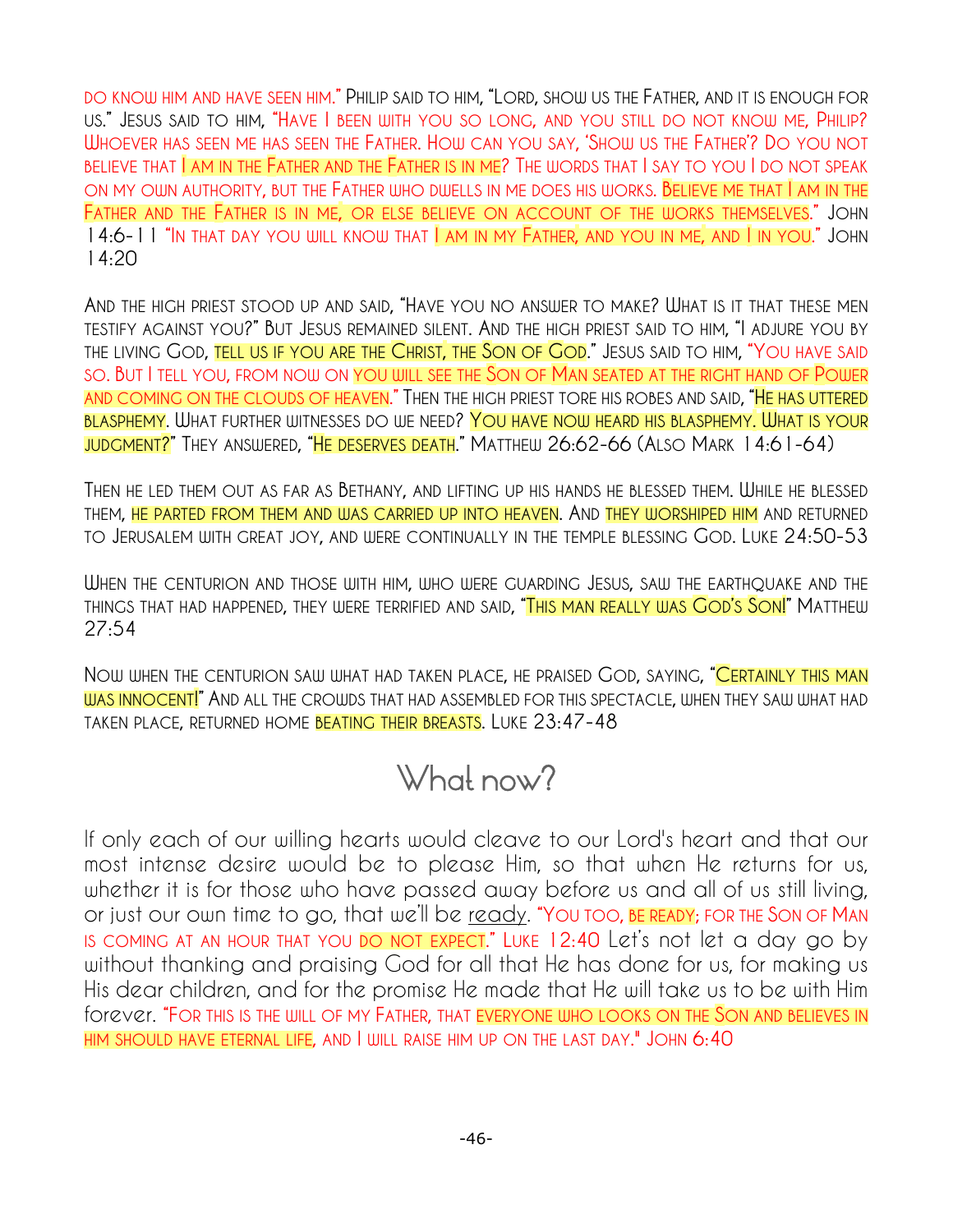**DO KNOW HIM AND HAVE SEEN HIM." PHILIP SAID TO HIM, "LORD, SHOW US THE FATHER, AND IT IS ENOUGH FOR US." JESUS SAID TO HIM, "HAVE I BEEN WITH YOU SO LONG, AND YOU STILL DO NOT KNOW ME, PHILIP? WHOEVER HAS SEEN ME HAS SEEN THE FATHER. HOW CAN YOU SAY, 'SHOW US THE FATHER'? DO YOU NOT** BELIEVE THAT I AM IN THE FATHER AND THE FATHER IS IN ME? THE WORDS THAT I SAY TO YOU I DO NOT SPEAK **ON MY OWN AUTHORITY, BUT THE FATHER WHO DWELLS IN ME DOES HIS WORKS. BELIEVE ME THAT I AM IN THE FATHER AND THE FATHER IS IN ME, OR ELSE BELIEVE ON ACCOUNT OF THE WORKS THEMSELVES." JOHN** 14:6-11 "In that day you will know that I am in my Father, and you in me, and I in you." John **14:20**

**AND THE HIGH PRIEST STOOD UP AND SAID, "HAVE YOU NO ANSWER TO MAKE? WHAT IS IT THAT THESE MEN TESTIFY AGAINST YOU?" BUT JESUS REMAINED SILENT. AND THE HIGH PRIEST SAID TO HIM, "I ADJURE YOU BY** The living God, Tell us if you are the Christ, the Son of God." Jesus said to him, "You have said so. But I tell you, from now on you will see the Son of Man seated at the right hand of Power **AND COMING ON THE CLOUDS OF HEAVEN." THEN THE HIGH PRIEST TORE HIS ROBES AND SAID, "HE HAS UTTERED BLASPHEMY. WHAT FURTHER WITNESSES DO WE NEED? YOU HAVE NOW HEARD HIS BLASPHEMY. WHAT IS YOUR JUDGMENT?" THEY ANSWERED, "HE DESERVES DEATH." MATTHEW 26:62-66 (ALSO MARK 14:61-64)**

**THEN HE LED THEM OUT AS FAR AS BETHANY, AND LIFTING UP HIS HANDS HE BLESSED THEM. WHILE HE BLESSED THEM, HE PARTED FROM THEM AND WAS CARRIED UP INTO HEAVEN. AND THEY WORSHIPED HIM AND RETURNED TO JERUSALEM WITH GREAT JOY, AND WERE CONTINUALLY IN THE TEMPLE BLESSING GOD. LUKE 24:50-53**

**WHEN THE CENTURION AND THOSE WITH HIM, WHO WERE GUARDING JESUS, SAW THE EARTHQUAKE AND THE THINGS THAT HAD HAPPENED, THEY WERE TERRIFIED AND SAID, "THIS MAN REALLY WAS GOD'S SON!" MATTHEW 27:54**

**NOW WHEN THE CENTURION SAW WHAT HAD TAKEN PLACE, HE PRAISED GOD, SAYING, "CERTAINLY THIS MAN WAS INNOCENT!" AND ALL THE CROWDS THAT HAD ASSEMBLED FOR THIS SPECTACLE, WHEN THEY SAW WHAT HAD TAKEN PLACE, RETURNED HOME BEATING THEIR BREASTS. LUKE 23:47-48**

# What now?

If only each of our willing hearts would cleave to our Lord's heart and that our most intense desire would be to please Him, so that when He returns for us, whether it is for those who have passed away before us and all of us still living, or just our own time to go, that we'll be ready. **"YOU TOO, BE READY; FOR THE SON OF MAN IS COMING AT AN HOUR THAT YOU DO NOT EXPECT." LUKE 12:40** Let's not let a day go by without thanking and praising God for all that He has done for us, for making us His dear children, and for the promise He made that He will take us to be with Him forever. **"FOR THIS IS THE WILL OF MY FATHER, THAT EVERYONE WHO LOOKS ON THE SON AND BELIEVES IN HIM SHOULD HAVE ETERNAL LIFE, AND I WILL RAISE HIM UP ON THE LAST DAY." JOHN 6:40**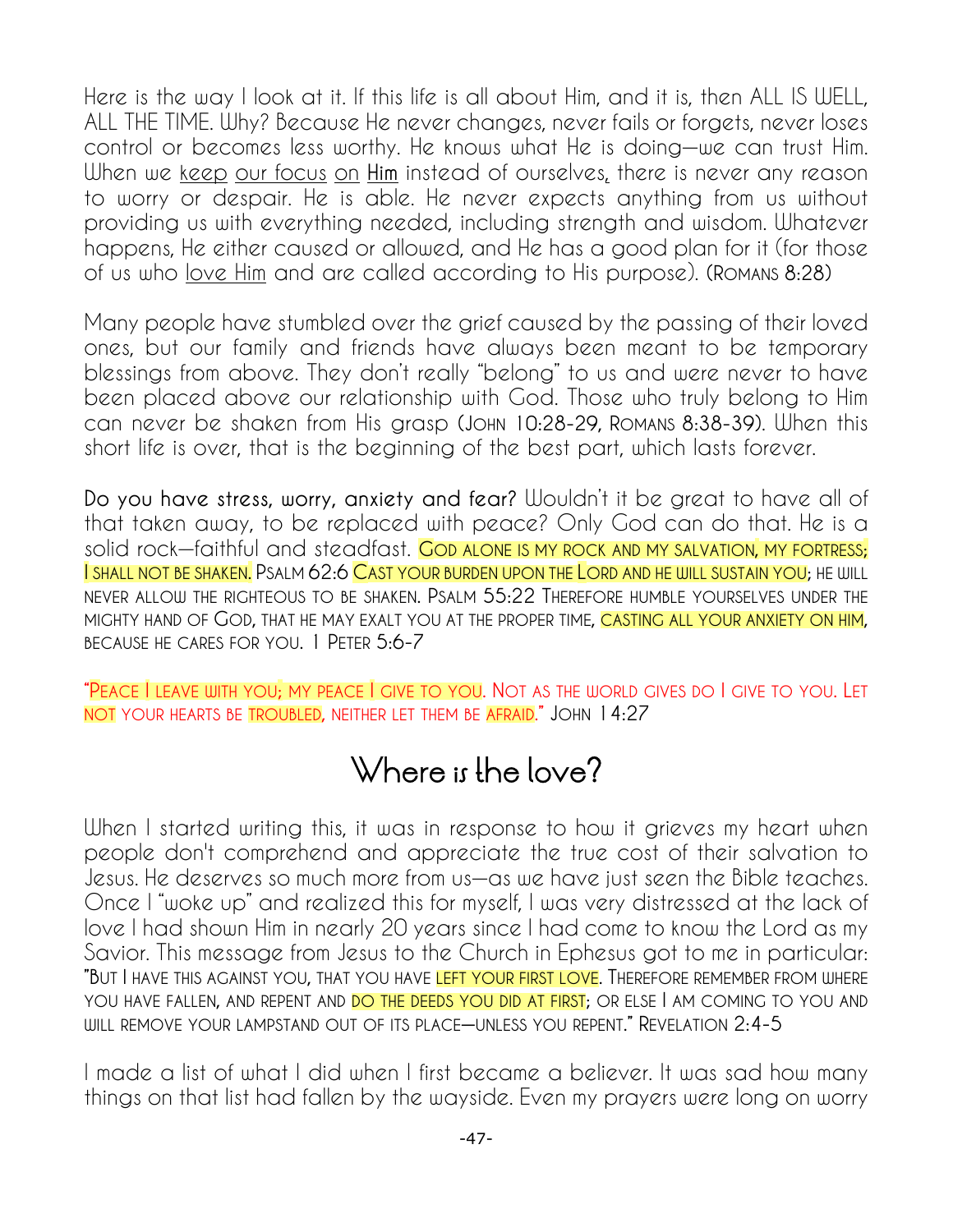Here is the way I look at it. If this life is all about Him, and it is, then ALL IS WELL, ALL THE TIME. Why? Because He never changes, never fails or forgets, never loses control or becomes less worthy. He knows what He is doing—we can trust Him. When we keep our focus on **Him** instead of ourselves, there is never any reason to worry or despair. He is able. He never expects anything from us without providing us with everything needed, including strength and wisdom. Whatever happens, He either caused or allowed, and He has a good plan for it (for those of us who love Him and are called according to His purpose). **(ROMANS 8:28)**

Many people have stumbled over the grief caused by the passing of their loved ones, but our family and friends have always been meant to be temporary blessings from above. They don't really "belong" to us and were never to have been placed above our relationship with God. Those who truly belong to Him can never be shaken from His grasp **(JOHN 10:28-29, ROMANS 8:38-39)**. When this short life is over, that is the beginning of the best part, which lasts forever.

**Do you have stress, worry, anxiety and fear?** Wouldn't it be great to have all of that taken away, to be replaced with peace? Only God can do that. He is a solid rock—faithful and steadfast. **GOD ALONE IS MY ROCK AND MY SALVATION, MY FORTRESS;** <u>I SHALL NOT BE SHAKEN. PSALM 62:6 CAST YOUR BURDEN UPON THE LORD AND HE WILL SUSTAIN YOU; HE WILL </u> **NEVER ALLOW THE RIGHTEOUS TO BE SHAKEN. PSALM 55:22 THEREFORE HUMBLE YOURSELVES UNDER THE MIGHTY HAND OF GOD, THAT HE MAY EXALT YOU AT THE PROPER TIME, CASTING ALL YOUR ANXIETY ON HIM, BECAUSE HE CARES FOR YOU. 1 PETER 5:6-7**

"PEACE I LEAVE WITH YOU; MY PEACE I GIVE TO YOU. NOT AS THE WORLD GIVES DO I GIVE TO YOU. LET **NOT YOUR HEARTS BE TROUBLED, NEITHER LET THEM BE AFRAID." JOHN 14:27**

# Where is the love?

When I started writing this, it was in response to how it grieves my heart when people don't comprehend and appreciate the true cost of their salvation to Jesus. He deserves so much more from us—as we have just seen the Bible teaches. Once I "woke up" and realized this for myself, I was very distressed at the lack of love I had shown Him in nearly 20 years since I had come to know the Lord as my Savior. This message from Jesus to the Church in Ephesus got to me in particular: **"BUT I HAVE THIS AGAINST YOU, THAT YOU HAVE LEFT YOUR FIRST LOVE. THEREFORE REMEMBER FROM WHERE YOU HAVE FALLEN, AND REPENT AND DO THE DEEDS YOU DID AT FIRST; OR ELSE I AM COMING TO YOU AND WILL REMOVE YOUR LAMPSTAND OUT OF ITS PLACE—UNLESS YOU REPENT." REVELATION 2:4-5**

I made a list of what I did when I first became a believer. It was sad how many things on that list had fallen by the wayside. Even my prayers were long on worry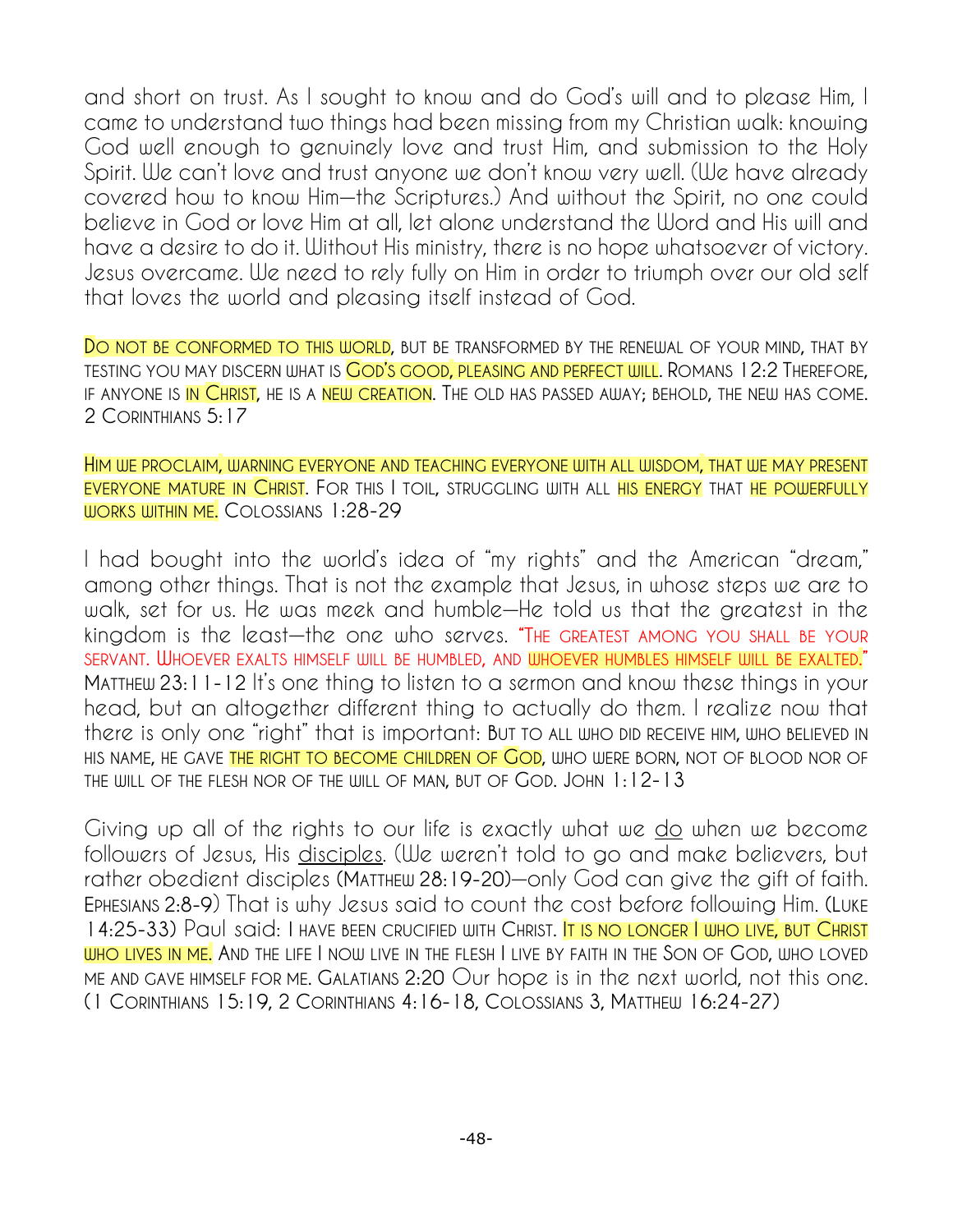and short on trust. As I sought to know and do God's will and to please Him, I came to understand two things had been missing from my Christian walk: knowing God well enough to genuinely love and trust Him, and submission to the Holy Spirit. We can't love and trust anyone we don't know very well. (We have already covered how to know Him—the Scriptures.) And without the Spirit, no one could believe in God or love Him at all, let alone understand the Word and His will and have a desire to do it. Without His ministry, there is no hope whatsoever of victory. Jesus overcame. We need to rely fully on Him in order to triumph over our old self that loves the world and pleasing itself instead of God.

**DO NOT BE CONFORMED TO THIS WORLD, BUT BE TRANSFORMED BY THE RENEWAL OF YOUR MIND, THAT BY TESTING YOU MAY DISCERN WHAT IS GOD'S GOOD, PLEASING AND PERFECT WILL. ROMANS 12:2 THEREFORE, IF ANYONE IS IN CHRIST, HE IS A NEW CREATION. THE OLD HAS PASSED AWAY; BEHOLD, THE NEW HAS COME. 2 CORINTHIANS 5:17**

**HIM WE PROCLAIM, WARNING EVERYONE AND TEACHING EVERYONE WITH ALL WISDOM, THAT WE MAY PRESENT EVERYONE MATURE IN CHRIST. FOR THIS I TOIL, STRUGGLING WITH ALL HIS ENERGY THAT HE POWERFULLY WORKS WITHIN ME. COLOSSIANS 1:28-29**

I had bought into the world's idea of "my rights" and the American "dream," among other things. That is not the example that Jesus, in whose steps we are to walk, set for us. He was meek and humble—He told us that the greatest in the kingdom is the least—the one who serves. **"THE GREATEST AMONG YOU SHALL BE YOUR SERVANT. WHOEVER EXALTS HIMSELF WILL BE HUMBLED, AND WHOEVER HUMBLES HIMSELF WILL BE EXALTED." MATTHEW 23:11-12** It's one thing to listen to a sermon and know these things in your head, but an altogether different thing to actually do them. I realize now that there is only one "right" that is important: **BUT TO ALL WHO DID RECEIVE HIM, WHO BELIEVED IN HIS NAME, HE GAVE THE RIGHT TO BECOME CHILDREN OF GOD, WHO WERE BORN, NOT OF BLOOD NOR OF THE WILL OF THE FLESH NOR OF THE WILL OF MAN, BUT OF GOD. JOHN 1:12-13**

Giving up all of the rights to our life is exactly what we do when we become followers of Jesus, His disciples. (We weren't told to go and make believers, but rather obedient disciples **(MATTHEW 28:19-20)**—only God can give the gift of faith. **EPHESIANS 2:8-9**) That is why Jesus said to count the cost before following Him. **(LUKE 14:25-33)** Paul said: **I HAVE BEEN CRUCIFIED WITH CHRIST. IT IS NO LONGER I WHO LIVE, BUT CHRIST WHO LIVES IN ME. AND THE LIFE I NOW LIVE IN THE FLESH I LIVE BY FAITH IN THE SON OF GOD, WHO LOVED ME AND GAVE HIMSELF FOR ME. GALATIANS 2:20** Our hope is in the next world, not this one. **(1 CORINTHIANS 15:19, 2 CORINTHIANS 4:16-18, COLOSSIANS 3, MATTHEW 16:24-27)**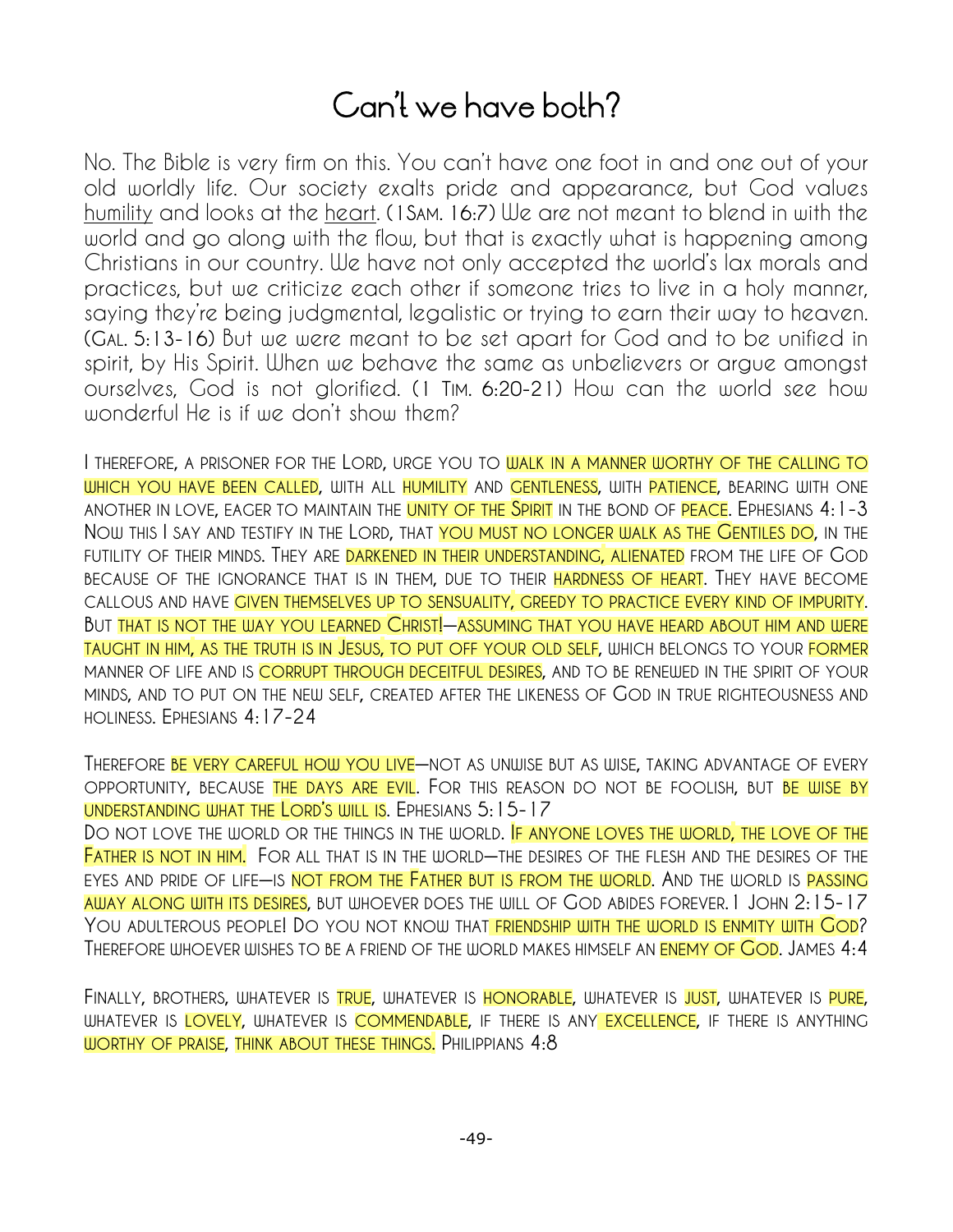#### Can't we have both?

No. The Bible is very firm on this. You can't have one foot in and one out of your old worldly life. Our society exalts pride and appearance, but God values humility and looks at the heart. **(1SAM. 16:7)** We are not meant to blend in with the world and go along with the flow, but that is exactly what is happening among Christians in our country. We have not only accepted the world's lax morals and practices, but we criticize each other if someone tries to live in a holy manner, saying they're being judgmental, legalistic or trying to earn their way to heaven. **(GAL. 5:13-16)** But we were meant to be set apart for God and to be unified in spirit, by His Spirit. When we behave the same as unbelievers or argue amongst ourselves, God is not glorified. **(1 TIM. 6:20-21)** How can the world see how wonderful He is if we don't show them?

**I THEREFORE, A PRISONER FOR THE LORD, URGE YOU TO WALK IN A MANNER WORTHY OF THE CALLING TO WHICH YOU HAVE BEEN CALLED, WITH ALL HUMILITY AND GENTLENESS, WITH PATIENCE, BEARING WITH ONE ANOTHER IN LOVE, EAGER TO MAINTAIN THE UNITY OF THE SPIRIT IN THE BOND OF PEACE. EPHESIANS 4:1-3 NOW THIS I SAY AND TESTIFY IN THE LORD, THAT YOU MUST NO LONGER WALK AS THE GENTILES DO, IN THE FUTILITY OF THEIR MINDS. THEY ARE DARKENED IN THEIR UNDERSTANDING, ALIENATED FROM THE LIFE OF GOD BECAUSE OF THE IGNORANCE THAT IS IN THEM, DUE TO THEIR HARDNESS OF HEART. THEY HAVE BECOME CALLOUS AND HAVE GIVEN THEMSELVES UP TO SENSUALITY, GREEDY TO PRACTICE EVERY KIND OF IMPURITY. BUT THAT IS NOT THE WAY YOU LEARNED CHRIST!—ASSUMING THAT YOU HAVE HEARD ABOUT HIM AND WERE** TAUGHT IN HIM, AS THE TRUTH IS IN JESUS, TO PUT OFF YOUR OLD SELF, WHICH BELONGS TO YOUR FORMER **MANNER OF LIFE AND IS CORRUPT THROUGH DECEITFUL DESIRES, AND TO BE RENEWED IN THE SPIRIT OF YOUR MINDS, AND TO PUT ON THE NEW SELF, CREATED AFTER THE LIKENESS OF GOD IN TRUE RIGHTEOUSNESS AND HOLINESS. EPHESIANS 4:17-24**

**THEREFORE BE VERY CAREFUL HOW YOU LIVE—NOT AS UNWISE BUT AS WISE, TAKING ADVANTAGE OF EVERY OPPORTUNITY, BECAUSE THE DAYS ARE EVIL. FOR THIS REASON DO NOT BE FOOLISH, BUT BE WISE BY UNDERSTANDING WHAT THE LORD'S WILL IS. EPHESIANS 5:15-17**

**DO NOT LOVE THE WORLD OR THE THINGS IN THE WORLD. IF ANYONE LOVES THE WORLD, THE LOVE OF THE FATHER IS NOT IN HIM. FOR ALL THAT IS IN THE WORLD—THE DESIRES OF THE FLESH AND THE DESIRES OF THE EYES AND PRIDE OF LIFE—IS NOT FROM THE FATHER BUT IS FROM THE WORLD. AND THE WORLD IS PASSING AWAY ALONG WITH ITS DESIRES, BUT WHOEVER DOES THE WILL OF GOD ABIDES FOREVER.1 JOHN 2:15-17 YOU ADULTEROUS PEOPLE! DO YOU NOT KNOW THAT FRIENDSHIP WITH THE WORLD IS ENMITY WITH GOD? THEREFORE WHOEVER WISHES TO BE A FRIEND OF THE WORLD MAKES HIMSELF AN ENEMY OF GOD. JAMES 4:4**

**FINALLY, BROTHERS, WHATEVER IS TRUE, WHATEVER IS HONORABLE, WHATEVER IS JUST, WHATEVER IS PURE, WHATEVER IS LOVELY, WHATEVER IS COMMENDABLE, IF THERE IS ANY EXCELLENCE, IF THERE IS ANYTHING WORTHY OF PRAISE, THINK ABOUT THESE THINGS. PHILIPPIANS 4:8**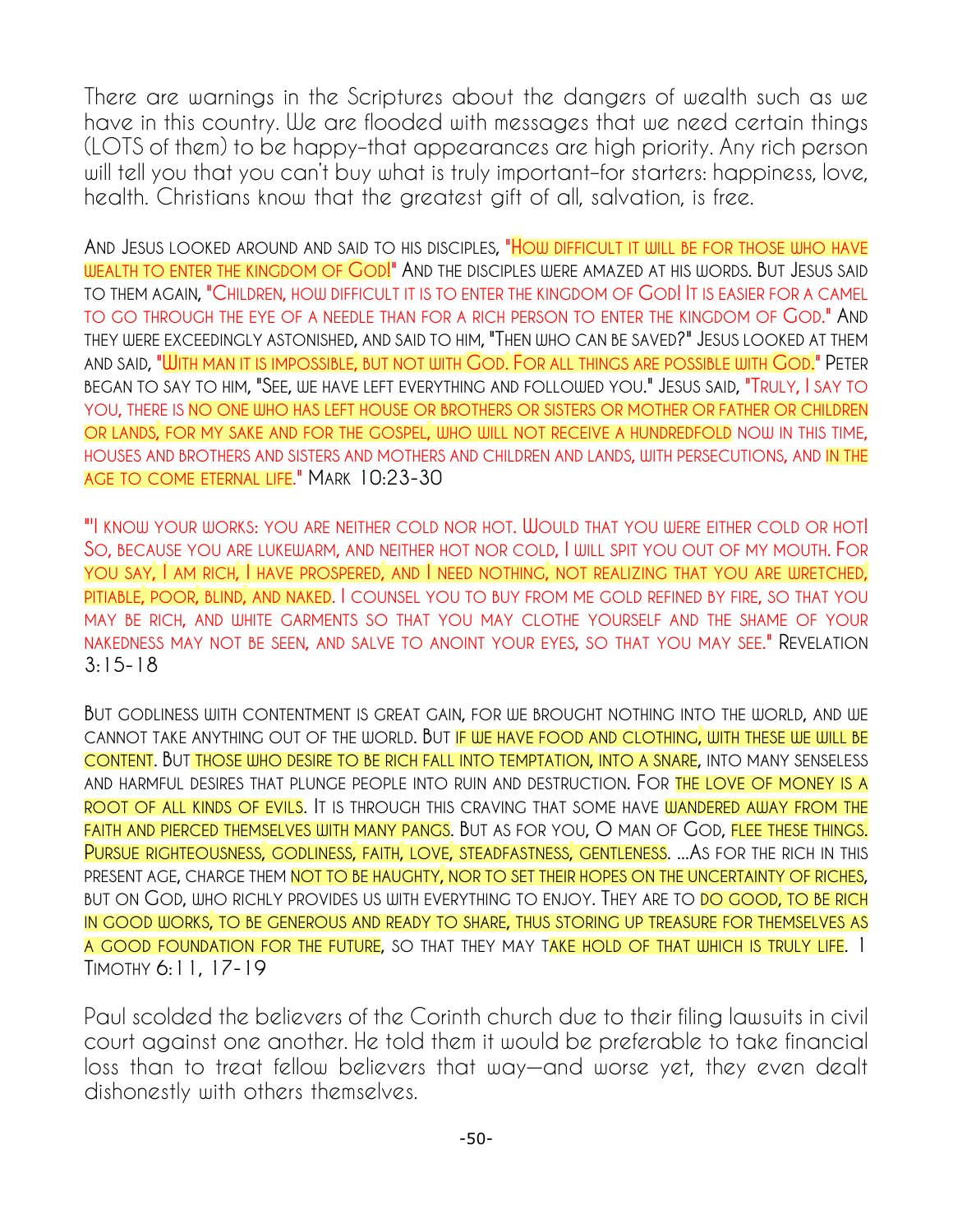There are warnings in the Scriptures about the dangers of wealth such as we have in this country. We are flooded with messages that we need certain things (LOTS of them) to be happy–that appearances are high priority. Any rich person will tell you that you can't buy what is truly important-for starters: happiness, love, health. Christians know that the greatest gift of all, salvation, is free.

**AND JESUS LOOKED AROUND AND SAID TO HIS DISCIPLES, "HOW DIFFICULT IT WILL BE FOR THOSE WHO HAVE WEALTH TO ENTER THE KINGDOM OF GOD!" AND THE DISCIPLES WERE AMAZED AT HIS WORDS. BUT JESUS SAID TO THEM AGAIN, "CHILDREN, HOW DIFFICULT IT IS TO ENTER THE KINGDOM OF GOD! IT IS EASIER FOR A CAMEL TO GO THROUGH THE EYE OF A NEEDLE THAN FOR A RICH PERSON TO ENTER THE KINGDOM OF GOD." AND THEY WERE EXCEEDINGLY ASTONISHED, AND SAID TO HIM, "THEN WHO CAN BE SAVED?" JESUS LOOKED AT THEM** AND SAID, "WITH MAN IT IS IMPOSSIBLE, BUT NOT WITH GOD. FOR ALL THINGS ARE POSSIBLE WITH GOD." PETER **BEGAN TO SAY TO HIM, "SEE, WE HAVE LEFT EVERYTHING AND FOLLOWED YOU." JESUS SAID, "TRULY, I SAY TO YOU, THERE IS NO ONE WHO HAS LEFT HOUSE OR BROTHERS OR SISTERS OR MOTHER OR FATHER OR CHILDREN OR LANDS, FOR MY SAKE AND FOR THE GOSPEL, WHO WILL NOT RECEIVE A HUNDREDFOLD NOW IN THIS TIME, HOUSES AND BROTHERS AND SISTERS AND MOTHERS AND CHILDREN AND LANDS, WITH PERSECUTIONS, AND IN THE AGE TO COME ETERNAL LIFE." MARK 10:23-30**

**"'I KNOW YOUR WORKS: YOU ARE NEITHER COLD NOR HOT. WOULD THAT YOU WERE EITHER COLD OR HOT! SO, BECAUSE YOU ARE LUKEWARM, AND NEITHER HOT NOR COLD, I WILL SPIT YOU OUT OF MY MOUTH. FOR** YOU SAY, I AM RICH, I HAVE PROSPERED, AND I NEED NOTHING, NOT REALIZING THAT YOU ARE WRETCHED, **PITIABLE, POOR, BLIND, AND NAKED. I COUNSEL YOU TO BUY FROM ME GOLD REFINED BY FIRE, SO THAT YOU MAY BE RICH, AND WHITE GARMENTS SO THAT YOU MAY CLOTHE YOURSELF AND THE SHAME OF YOUR NAKEDNESS MAY NOT BE SEEN, AND SALVE TO ANOINT YOUR EYES, SO THAT YOU MAY SEE." REVELATION 3:15-18**

**BUT GODLINESS WITH CONTENTMENT IS GREAT GAIN, FOR WE BROUGHT NOTHING INTO THE WORLD, AND WE CANNOT TAKE ANYTHING OUT OF THE WORLD. BUT IF WE HAVE FOOD AND CLOTHING, WITH THESE WE WILL BE** CONTENT. BUT THOSE WHO DESIRE TO BE RICH FALL INTO TEMPTATION, INTO A SNARE, INTO MANY SENSELESS **AND HARMFUL DESIRES THAT PLUNGE PEOPLE INTO RUIN AND DESTRUCTION. FOR THE LOVE OF MONEY IS A ROOT OF ALL KINDS OF EVILS. IT IS THROUGH THIS CRAVING THAT SOME HAVE WANDERED AWAY FROM THE** FAITH AND PIERCED THEMSELVES WITH MANY PANGS. BUT AS FOR YOU, O MAN OF GOD, FLEE THESE THINGS. **PURSUE RIGHTEOUSNESS, GODLINESS, FAITH, LOVE, STEADFASTNESS, GENTLENESS. ...AS FOR THE RICH IN THIS PRESENT AGE, CHARGE THEM NOT TO BE HAUGHTY, NOR TO SET THEIR HOPES ON THE UNCERTAINTY OF RICHES, BUT ON GOD, WHO RICHLY PROVIDES US WITH EVERYTHING TO ENJOY. THEY ARE TO DO GOOD, TO BE RICH** IN GOOD WORKS, TO BE GENEROUS AND READY TO SHARE, THUS STORING UP TREASURE FOR THEMSELVES AS **A GOOD FOUNDATION FOR THE FUTURE, SO THAT THEY MAY TAKE HOLD OF THAT WHICH IS TRULY LIFE. 1 TIMOTHY 6:11, 17-19**

Paul scolded the believers of the Corinth church due to their filing lawsuits in civil court against one another. He told them it would be preferable to take financial loss than to treat fellow believers that way—and worse yet, they even dealt dishonestly with others themselves.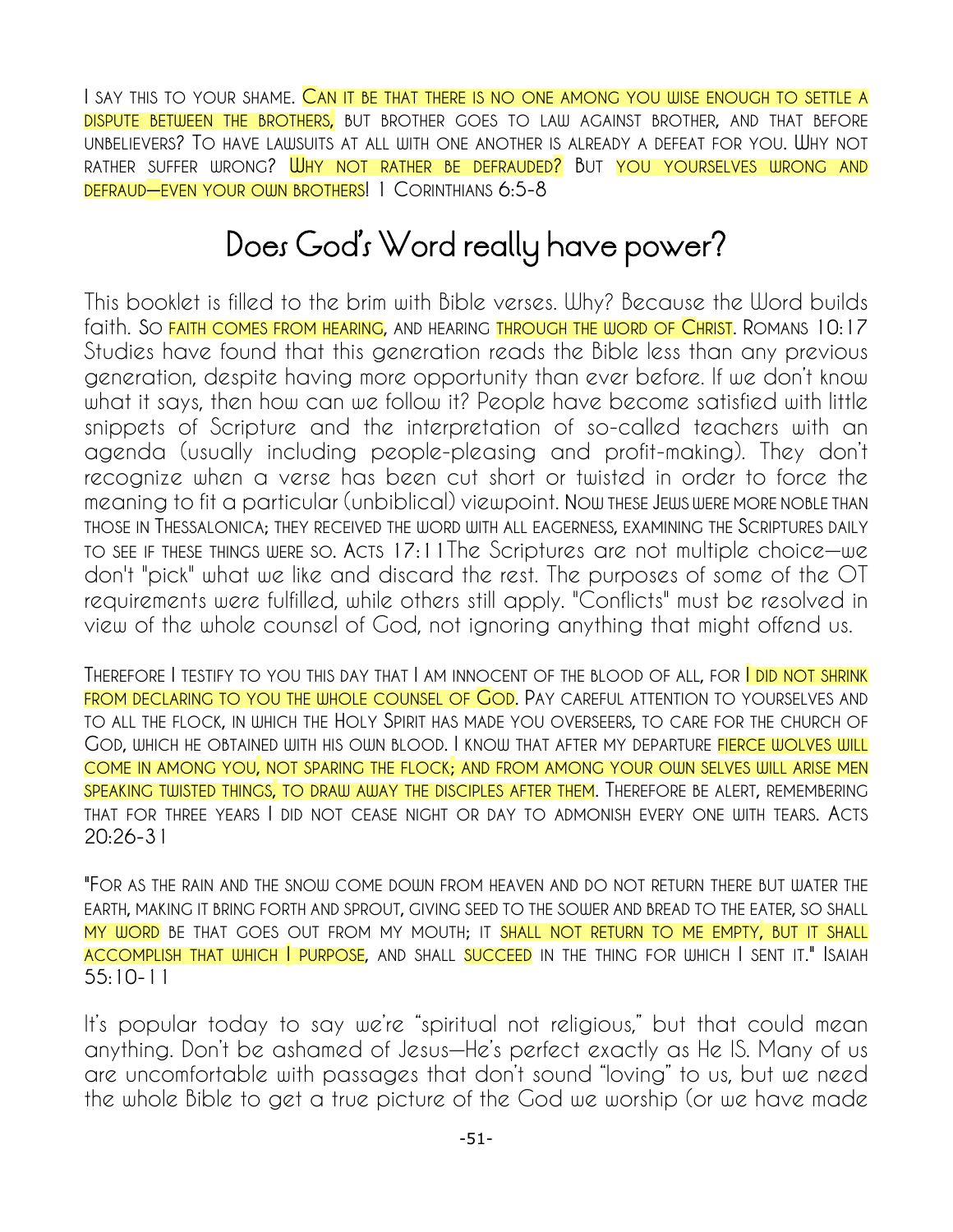**I SAY THIS TO YOUR SHAME. CAN IT BE THAT THERE IS NO ONE AMONG YOU WISE ENOUGH TO SETTLE A DISPUTE BETWEEN THE BROTHERS, BUT BROTHER GOES TO LAW AGAINST BROTHER, AND THAT BEFORE UNBELIEVERS? TO HAVE LAWSUITS AT ALL WITH ONE ANOTHER IS ALREADY A DEFEAT FOR YOU. WHY NOT RATHER SUFFER WRONG? WHY NOT RATHER BE DEFRAUDED? BUT YOU YOURSELVES WRONG AND DEFRAUD—EVEN YOUR OWN BROTHERS! 1 CORINTHIANS 6:5-8**

# Does God's Word really have power?

This booklet is filled to the brim with Bible verses. Why? Because the Word builds faith. **SO FAITH COMES FROM HEARING, AND HEARING THROUGH THE WORD OF CHRIST. ROMANS 10:17** Studies have found that this generation reads the Bible less than any previous generation, despite having more opportunity than ever before. If we don't know what it says, then how can we follow it? People have become satisfied with little snippets of Scripture and the interpretation of so-called teachers with an agenda (usually including people-pleasing and profit-making). They don't recognize when a verse has been cut short or twisted in order to force the meaning to fit a particular (unbiblical) viewpoint. **NOW THESE JEWS WERE MORE NOBLE THAN THOSE IN THESSALONICA; THEY RECEIVED THE WORD WITH ALL EAGERNESS, EXAMINING THE SCRIPTURES DAILY TO SEE IF THESE THINGS WERE SO. ACTS 17:11**The Scriptures are not multiple choice—we don't "pick" what we like and discard the rest. The purposes of some of the OT requirements were fulfilled, while others still apply. "Conflicts" must be resolved in view of the whole counsel of God, not ignoring anything that might offend us.

**THEREFORE I TESTIFY TO YOU THIS DAY THAT I AM INNOCENT OF THE BLOOD OF ALL, FOR I DID NOT SHRINK FROM DECLARING TO YOU THE WHOLE COUNSEL OF GOD. PAY CAREFUL ATTENTION TO YOURSELVES AND TO ALL THE FLOCK, IN WHICH THE HOLY SPIRIT HAS MADE YOU OVERSEERS, TO CARE FOR THE CHURCH OF GOD, WHICH HE OBTAINED WITH HIS OWN BLOOD. I KNOW THAT AFTER MY DEPARTURE FIERCE WOLVES WILL COME IN AMONG YOU, NOT SPARING THE FLOCK; AND FROM AMONG YOUR OWN SELVES WILL ARISE MEN SPEAKING TWISTED THINGS, TO DRAW AWAY THE DISCIPLES AFTER THEM. THEREFORE BE ALERT, REMEMBERING THAT FOR THREE YEARS I DID NOT CEASE NIGHT OR DAY TO ADMONISH EVERY ONE WITH TEARS. ACTS 20:26-31**

**"FOR AS THE RAIN AND THE SNOW COME DOWN FROM HEAVEN AND DO NOT RETURN THERE BUT WATER THE EARTH, MAKING IT BRING FORTH AND SPROUT, GIVING SEED TO THE SOWER AND BREAD TO THE EATER, SO SHALL MY WORD BE THAT GOES OUT FROM MY MOUTH; IT SHALL NOT RETURN TO ME EMPTY, BUT IT SHALL ACCOMPLISH THAT WHICH I PURPOSE, AND SHALL SUCCEED IN THE THING FOR WHICH I SENT IT." ISAIAH 55:10-11**

It's popular today to say we're "spiritual not religious," but that could mean anything. Don't be ashamed of Jesus—He's perfect exactly as He IS. Many of us are uncomfortable with passages that don't sound "loving" to us, but we need the whole Bible to get a true picture of the God we worship (or we have made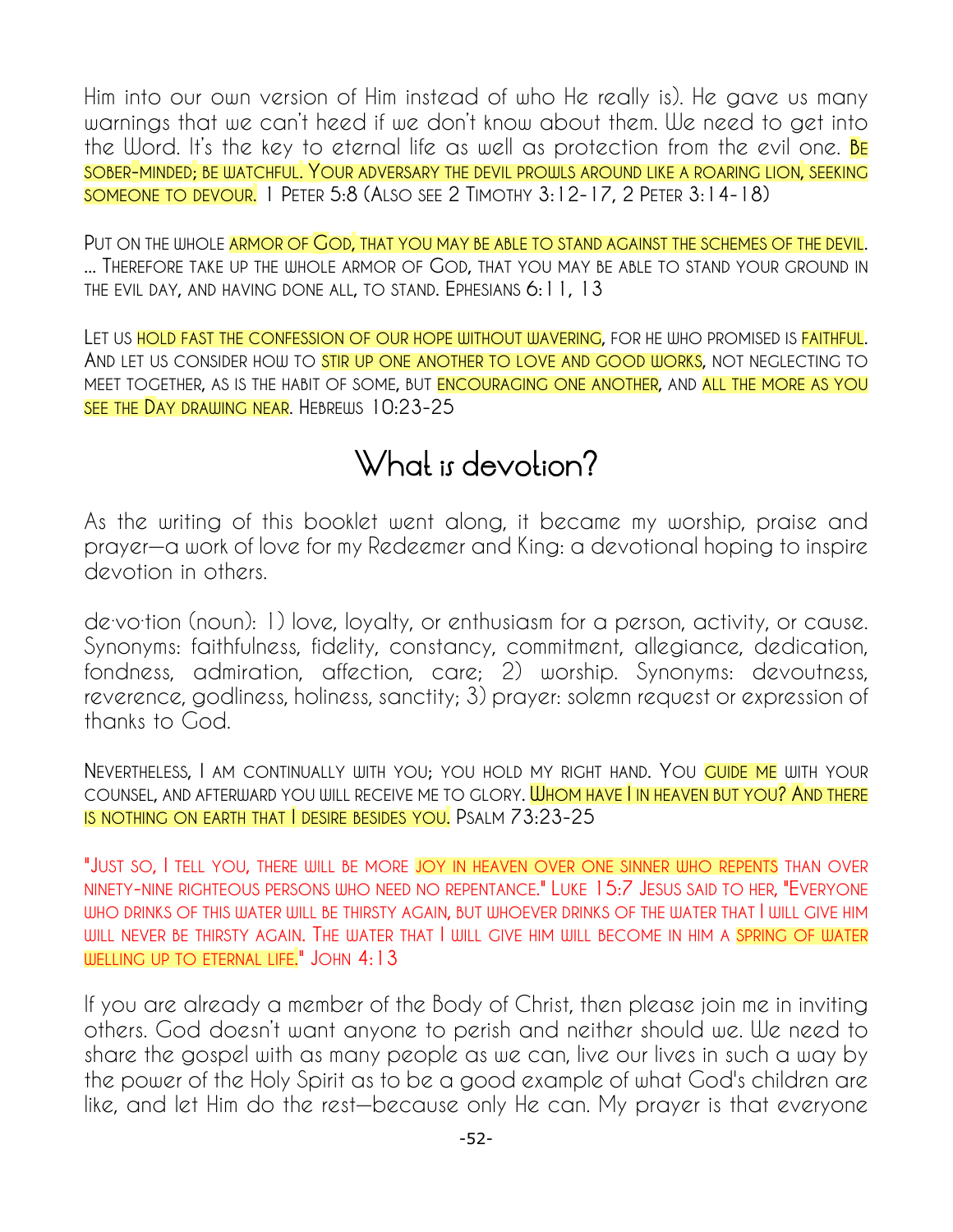Him into our own version of Him instead of who He really is). He gave us many warnings that we can't heed if we don't know about them. We need to get into the Word. It's the key to eternal life as well as protection from the evil one. **BE** SOBER-MINDED; BE WATCHFUL. YOUR ADVERSARY THE DEVIL PROWLS AROUND LIKE A ROARING LION, SEEKING **SOMEONE TO DEVOUR. 1 PETER 5:8 (ALSO SEE 2 TIMOTHY 3:12-17, 2 PETER 3:14-18)**

PUT ON THE WHOLE ARMOR OF GOD, THAT YOU MAY BE ABLE TO STAND AGAINST THE SCHEMES OF THE DEVIL. **... THEREFORE TAKE UP THE WHOLE ARMOR OF GOD, THAT YOU MAY BE ABLE TO STAND YOUR GROUND IN THE EVIL DAY, AND HAVING DONE ALL, TO STAND. EPHESIANS 6:11, 13**

**LET US HOLD FAST THE CONFESSION OF OUR HOPE WITHOUT WAVERING, FOR HE WHO PROMISED IS FAITHFUL. AND LET US CONSIDER HOW TO STIR UP ONE ANOTHER TO LOVE AND GOOD WORKS, NOT NEGLECTING TO MEET TOGETHER, AS IS THE HABIT OF SOME, BUT ENCOURAGING ONE ANOTHER, AND ALL THE MORE AS YOU SEE THE DAY DRAWING NEAR. HEBREWS 10:23-25**

#### What is devotion?

As the writing of this booklet went along, it became my worship, praise and prayer—a work of love for my Redeemer and King: a devotional hoping to inspire devotion in others.

de·vo·tion (noun): 1) love, loyalty, or enthusiasm for a person, activity, or cause. Synonyms: faithfulness, fidelity, constancy, commitment, allegiance, dedication, fondness, admiration, affection, care; 2) worship. Synonyms: devoutness, reverence, godliness, holiness, sanctity; 3) prayer: solemn request or expression of thanks to God.

**NEVERTHELESS, I AM CONTINUALLY WITH YOU; YOU HOLD MY RIGHT HAND. YOU GUIDE ME WITH YOUR COUNSEL, AND AFTERWARD YOU WILL RECEIVE ME TO GLORY. WHOM HAVE I IN HEAVEN BUT YOU? AND THERE IS NOTHING ON EARTH THAT I DESIRE BESIDES YOU. PSALM 73:23-25**

**"JUST SO, I TELL YOU, THERE WILL BE MORE JOY IN HEAVEN OVER ONE SINNER WHO REPENTS THAN OVER NINETY-NINE RIGHTEOUS PERSONS WHO NEED NO REPENTANCE." LUKE 15:7 JESUS SAID TO HER, "EVERYONE WHO DRINKS OF THIS WATER WILL BE THIRSTY AGAIN, BUT WHOEVER DRINKS OF THE WATER THAT I WILL GIVE HIM WILL NEVER BE THIRSTY AGAIN. THE WATER THAT I WILL GIVE HIM WILL BECOME IN HIM A SPRING OF WATER WELLING UP TO ETERNAL LIFE." JOHN 4:13**

If you are already a member of the Body of Christ, then please join me in inviting others. God doesn't want anyone to perish and neither should we. We need to share the gospel with as many people as we can, live our lives in such a way by the power of the Holy Spirit as to be a good example of what God's children are like, and let Him do the rest—because only He can. My prayer is that everyone